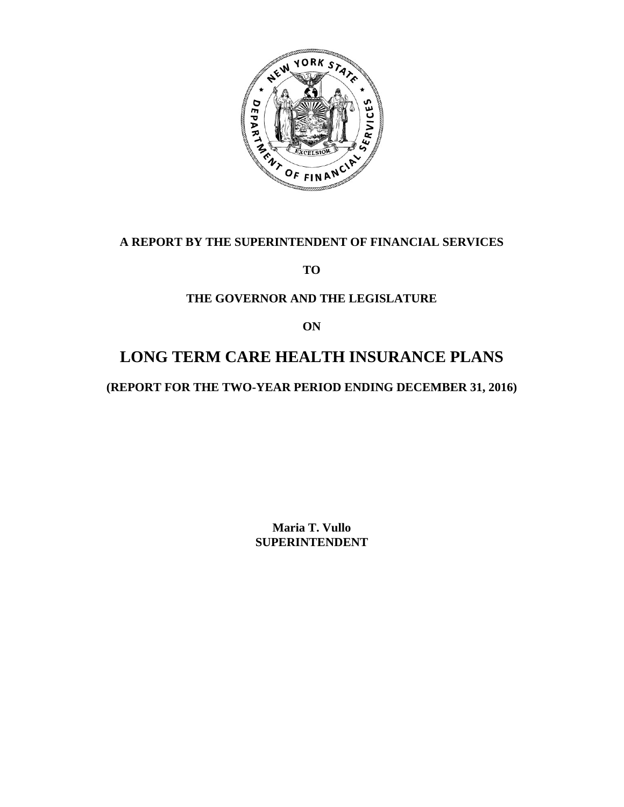

# **A REPORT BY THE SUPERINTENDENT OF FINANCIAL SERVICES**

**TO** 

# **THE GOVERNOR AND THE LEGISLATURE**

**ON** 

# **LONG TERM CARE HEALTH INSURANCE PLANS**

**(REPORT FOR THE TWO-YEAR PERIOD ENDING DECEMBER 31, 2016)** 

**Maria T. Vullo SUPERINTENDENT**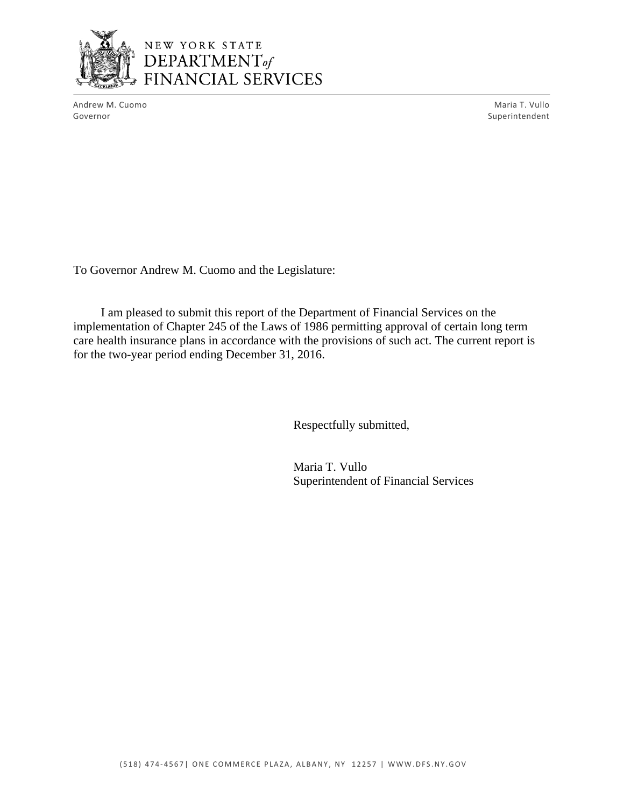

# NEW YORK STATE<br>DEPARTMENT of FINANCIAL SERVICES

Andrew M. Cuomo **Maria T. Vullo** Maria T. Vullo Governor Superintendent Superintendent Superintendent Superintendent Superintendent Superintendent Superintendent

To Governor Andrew M. Cuomo and the Legislature:

I am pleased to submit this report of the Department of Financial Services on the implementation of Chapter 245 of the Laws of 1986 permitting approval of certain long term care health insurance plans in accordance with the provisions of such act. The current report is for the two-year period ending December 31, 2016.

Respectfully submitted,

Maria T. Vullo Superintendent of Financial Services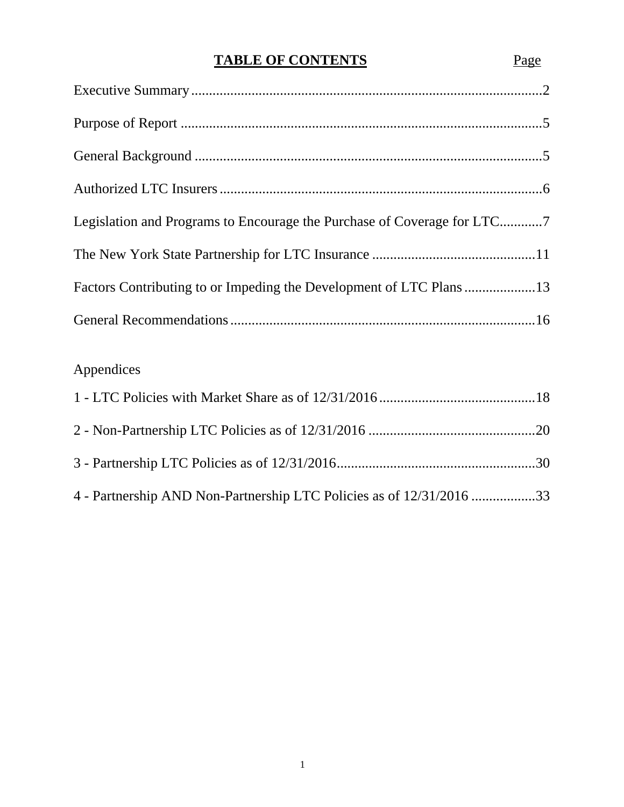# **TABLE OF CONTENTS** Page

| Legislation and Programs to Encourage the Purchase of Coverage for LTC7 |  |
|-------------------------------------------------------------------------|--|
|                                                                         |  |
| Factors Contributing to or Impeding the Development of LTC Plans13      |  |
|                                                                         |  |

# Appendices

| 4 - Partnership AND Non-Partnership LTC Policies as of 12/31/2016 33 |  |
|----------------------------------------------------------------------|--|

1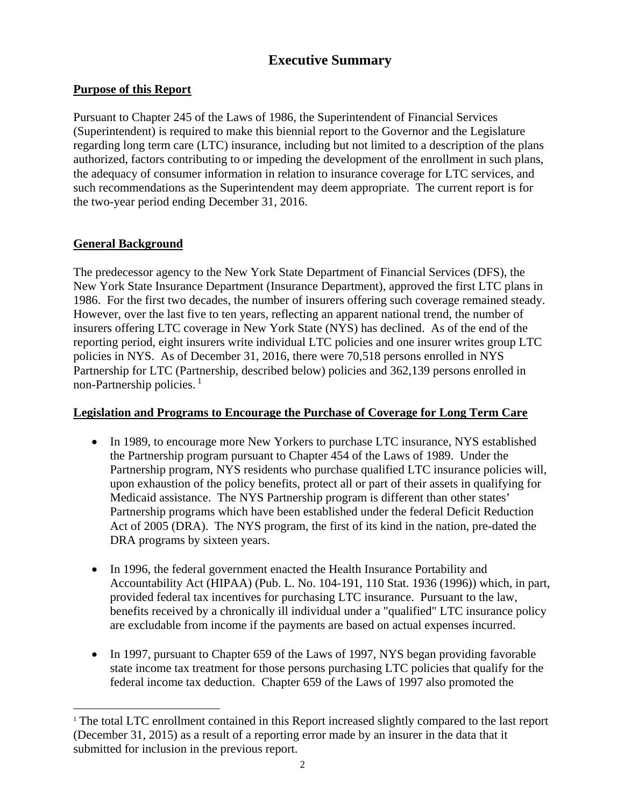# **Executive Summary**

# <span id="page-3-0"></span>**Purpose of this Report**

Pursuant to Chapter 245 of the Laws of 1986, the Superintendent of Financial Services (Superintendent) is required to make this biennial report to the Governor and the Legislature regarding long term care (LTC) insurance, including but not limited to a description of the plans authorized, factors contributing to or impeding the development of the enrollment in such plans, the adequacy of consumer information in relation to insurance coverage for LTC services, and such recommendations as the Superintendent may deem appropriate. The current report is for the two-year period ending December 31, 2016.

# **General Background**

 $\overline{a}$ 

non-Partnership policies.<sup>1</sup> The predecessor agency to the New York State Department of Financial Services (DFS), the New York State Insurance Department (Insurance Department), approved the first LTC plans in 1986. For the first two decades, the number of insurers offering such coverage remained steady. However, over the last five to ten years, reflecting an apparent national trend, the number of insurers offering LTC coverage in New York State (NYS) has declined. As of the end of the reporting period, eight insurers write individual LTC policies and one insurer writes group LTC policies in NYS. As of December 31, 2016, there were 70,518 persons enrolled in NYS Partnership for LTC (Partnership, described below) policies and 362,139 persons enrolled in

#### **Legislation and Programs to Encourage the Purchase of Coverage for Long Term Care**

- In 1989, to encourage more New Yorkers to purchase LTC insurance, NYS established the Partnership program pursuant to Chapter 454 of the Laws of 1989. Under the Partnership program, NYS residents who purchase qualified LTC insurance policies will, upon exhaustion of the policy benefits, protect all or part of their assets in qualifying for Medicaid assistance. The NYS Partnership program is different than other states' Partnership programs which have been established under the federal Deficit Reduction Act of 2005 (DRA). The NYS program, the first of its kind in the nation, pre-dated the DRA programs by sixteen years.
- In 1996, the federal government enacted the Health Insurance Portability and Accountability Act (HIPAA) (Pub. L. No. 104-191, 110 Stat. 1936 (1996)) which, in part, provided federal tax incentives for purchasing LTC insurance. Pursuant to the law, benefits received by a chronically ill individual under a "qualified" LTC insurance policy are excludable from income if the payments are based on actual expenses incurred.
- In 1997, pursuant to Chapter 659 of the Laws of 1997, NYS began providing favorable state income tax treatment for those persons purchasing LTC policies that qualify for the federal income tax deduction. Chapter 659 of the Laws of 1997 also promoted the

<sup>&</sup>lt;sup>1</sup> The total LTC enrollment contained in this Report increased slightly compared to the last report (December 31, 2015) as a result of a reporting error made by an insurer in the data that it submitted for inclusion in the previous report.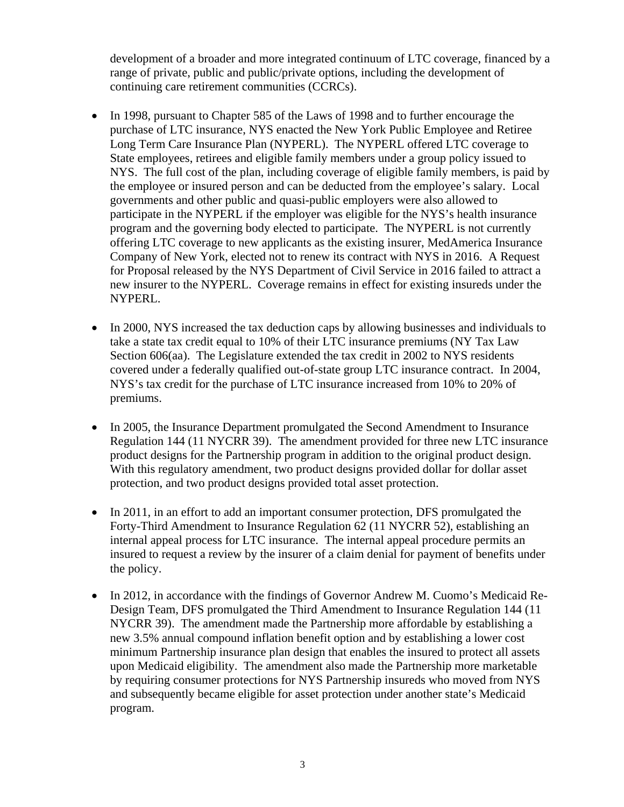development of a broader and more integrated continuum of LTC coverage, financed by a range of private, public and public/private options, including the development of continuing care retirement communities (CCRCs).

- In 1998, pursuant to Chapter 585 of the Laws of 1998 and to further encourage the purchase of LTC insurance, NYS enacted the New York Public Employee and Retiree Long Term Care Insurance Plan (NYPERL). The NYPERL offered LTC coverage to State employees, retirees and eligible family members under a group policy issued to NYS. The full cost of the plan, including coverage of eligible family members, is paid by the employee or insured person and can be deducted from the employee's salary. Local governments and other public and quasi-public employers were also allowed to participate in the NYPERL if the employer was eligible for the NYS's health insurance program and the governing body elected to participate. The NYPERL is not currently offering LTC coverage to new applicants as the existing insurer, MedAmerica Insurance Company of New York, elected not to renew its contract with NYS in 2016. A Request for Proposal released by the NYS Department of Civil Service in 2016 failed to attract a new insurer to the NYPERL. Coverage remains in effect for existing insureds under the NYPERL.
- In 2000, NYS increased the tax deduction caps by allowing businesses and individuals to take a state tax credit equal to 10% of their LTC insurance premiums (NY Tax Law Section 606(aa). The Legislature extended the tax credit in 2002 to NYS residents covered under a federally qualified out-of-state group LTC insurance contract. In 2004, NYS's tax credit for the purchase of LTC insurance increased from 10% to 20% of premiums.
- In 2005, the Insurance Department promulgated the Second Amendment to Insurance Regulation 144 (11 NYCRR 39). The amendment provided for three new LTC insurance product designs for the Partnership program in addition to the original product design. With this regulatory amendment, two product designs provided dollar for dollar asset protection, and two product designs provided total asset protection.
- In 2011, in an effort to add an important consumer protection, DFS promulgated the Forty-Third Amendment to Insurance Regulation 62 (11 NYCRR 52), establishing an internal appeal process for LTC insurance. The internal appeal procedure permits an insured to request a review by the insurer of a claim denial for payment of benefits under the policy.
- In 2012, in accordance with the findings of Governor Andrew M. Cuomo's Medicaid Re-Design Team, DFS promulgated the Third Amendment to Insurance Regulation 144 (11 NYCRR 39). The amendment made the Partnership more affordable by establishing a new 3.5% annual compound inflation benefit option and by establishing a lower cost minimum Partnership insurance plan design that enables the insured to protect all assets upon Medicaid eligibility. The amendment also made the Partnership more marketable by requiring consumer protections for NYS Partnership insureds who moved from NYS and subsequently became eligible for asset protection under another state's Medicaid program.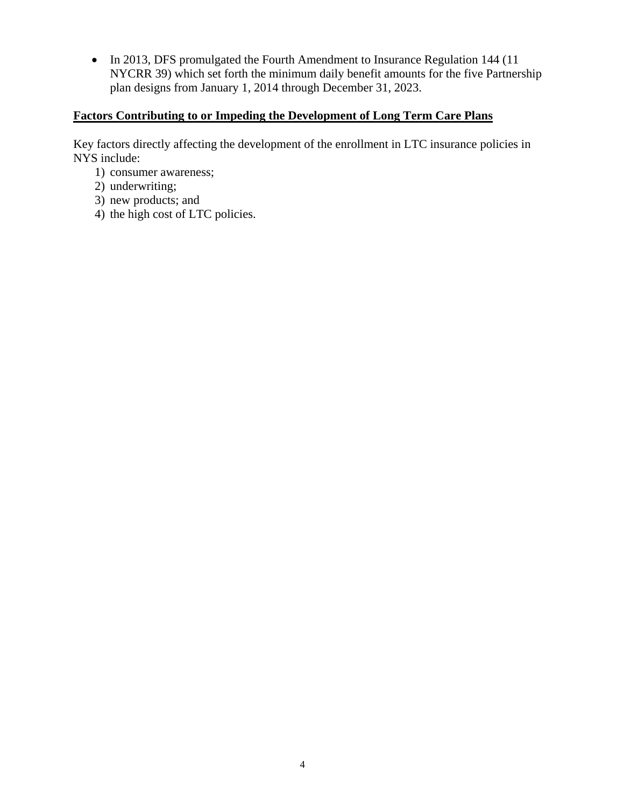• In 2013, DFS promulgated the Fourth Amendment to Insurance Regulation 144 (11) NYCRR 39) which set forth the minimum daily benefit amounts for the five Partnership plan designs from January 1, 2014 through December 31, 2023.

# **Factors Contributing to or Impeding the Development of Long Term Care Plans**

Key factors directly affecting the development of the enrollment in LTC insurance policies in NYS include:

- 1) consumer awareness;
- 2) underwriting;
- 3) new products; and
- 4) the high cost of LTC policies.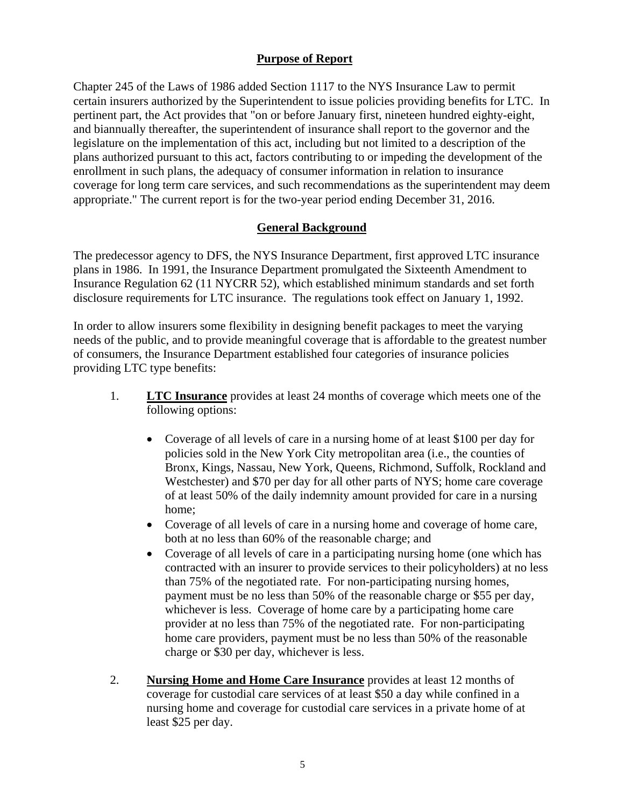# **Purpose of Report**

<span id="page-6-0"></span>Chapter 245 of the Laws of 1986 added Section 1117 to the NYS Insurance Law to permit certain insurers authorized by the Superintendent to issue policies providing benefits for LTC. In pertinent part, the Act provides that "on or before January first, nineteen hundred eighty-eight, and biannually thereafter, the superintendent of insurance shall report to the governor and the legislature on the implementation of this act, including but not limited to a description of the plans authorized pursuant to this act, factors contributing to or impeding the development of the enrollment in such plans, the adequacy of consumer information in relation to insurance coverage for long term care services, and such recommendations as the superintendent may deem appropriate." The current report is for the two-year period ending December 31, 2016.

#### **General Background**

The predecessor agency to DFS, the NYS Insurance Department, first approved LTC insurance plans in 1986. In 1991, the Insurance Department promulgated the Sixteenth Amendment to Insurance Regulation 62 (11 NYCRR 52), which established minimum standards and set forth disclosure requirements for LTC insurance. The regulations took effect on January 1, 1992.

In order to allow insurers some flexibility in designing benefit packages to meet the varying needs of the public, and to provide meaningful coverage that is affordable to the greatest number of consumers, the Insurance Department established four categories of insurance policies providing LTC type benefits:

- 1. **LTC Insurance** provides at least 24 months of coverage which meets one of the following options:
	- Coverage of all levels of care in a nursing home of at least \$100 per day for policies sold in the New York City metropolitan area (i.e., the counties of Bronx, Kings, Nassau, New York, Queens, Richmond, Suffolk, Rockland and Westchester) and \$70 per day for all other parts of NYS; home care coverage of at least 50% of the daily indemnity amount provided for care in a nursing home;
	- Coverage of all levels of care in a nursing home and coverage of home care, both at no less than 60% of the reasonable charge; and
	- Coverage of all levels of care in a participating nursing home (one which has contracted with an insurer to provide services to their policyholders) at no less than 75% of the negotiated rate. For non-participating nursing homes, payment must be no less than 50% of the reasonable charge or \$55 per day, whichever is less. Coverage of home care by a participating home care provider at no less than 75% of the negotiated rate. For non-participating home care providers, payment must be no less than 50% of the reasonable charge or \$30 per day, whichever is less.
- 2. **Nursing Home and Home Care Insurance** provides at least 12 months of coverage for custodial care services of at least \$50 a day while confined in a nursing home and coverage for custodial care services in a private home of at least \$25 per day.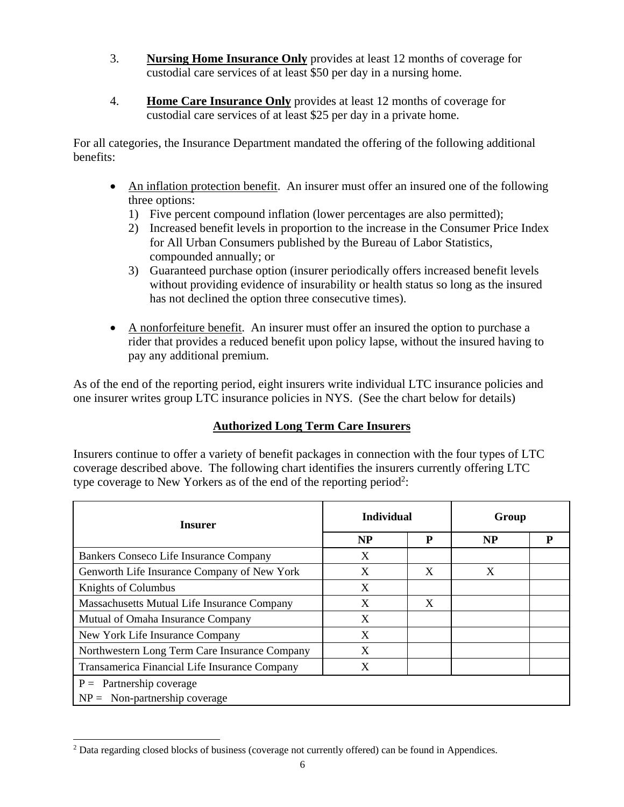- 3. **Nursing Home Insurance Only** provides at least 12 months of coverage for custodial care services of at least \$50 per day in a nursing home.
- 4. **Home Care Insurance Only** provides at least 12 months of coverage for custodial care services of at least \$25 per day in a private home.

For all categories, the Insurance Department mandated the offering of the following additional benefits:

- An inflation protection benefit. An insurer must offer an insured one of the following three options:
	- 1) Five percent compound inflation (lower percentages are also permitted);
	- 2) Increased benefit levels in proportion to the increase in the Consumer Price Index for All Urban Consumers published by the Bureau of Labor Statistics, compounded annually; or
	- 3) Guaranteed purchase option (insurer periodically offers increased benefit levels without providing evidence of insurability or health status so long as the insured has not declined the option three consecutive times).
- pay any additional premium. A nonforfeiture benefit. An insurer must offer an insured the option to purchase a rider that provides a reduced benefit upon policy lapse, without the insured having to

As of the end of the reporting period, eight insurers write individual LTC insurance policies and one insurer writes group LTC insurance policies in NYS. (See the chart below for details)

# **Authorized Long Term Care Insurers**

Insurers continue to offer a variety of benefit packages in connection with the four types of LTC coverage described above. The following chart identifies the insurers currently offering LTC type coverage to New Yorkers as of the end of the reporting period<sup>2</sup>:

| Insurer                                       | <b>Individual</b> |   | Group     |   |  |  |
|-----------------------------------------------|-------------------|---|-----------|---|--|--|
|                                               | <b>NP</b>         | P | <b>NP</b> | P |  |  |
| Bankers Conseco Life Insurance Company        | X                 |   |           |   |  |  |
| Genworth Life Insurance Company of New York   | X                 | X | X         |   |  |  |
| Knights of Columbus                           | X                 |   |           |   |  |  |
| Massachusetts Mutual Life Insurance Company   | X                 | X |           |   |  |  |
| Mutual of Omaha Insurance Company             | X                 |   |           |   |  |  |
| New York Life Insurance Company               | X                 |   |           |   |  |  |
| Northwestern Long Term Care Insurance Company | X                 |   |           |   |  |  |
| Transamerica Financial Life Insurance Company | X                 |   |           |   |  |  |
| $P =$ Partnership coverage                    |                   |   |           |   |  |  |
| $NP = Non-partnership coverage$               |                   |   |           |   |  |  |

 $\overline{a}$ <sup>2</sup> Data regarding closed blocks of business (coverage not currently offered) can be found in Appendices.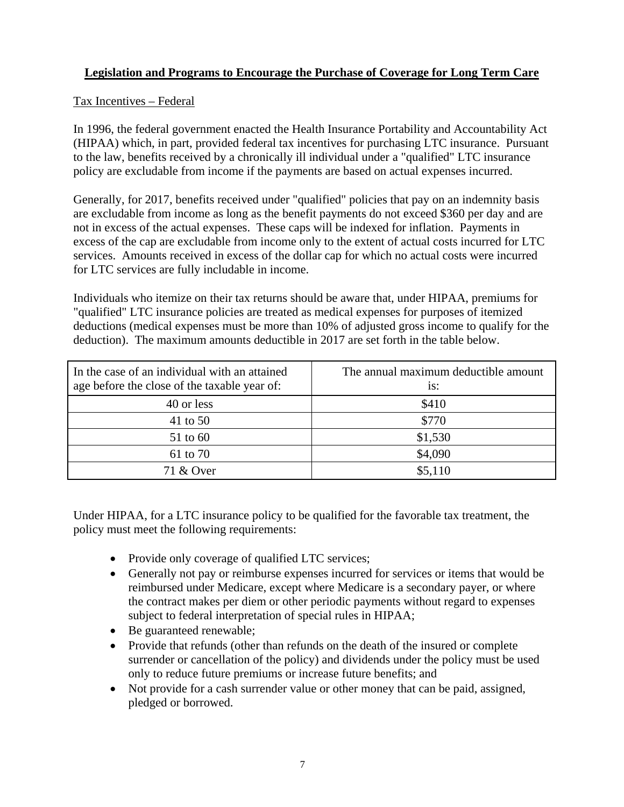# **Legislation and Programs to Encourage the Purchase of Coverage for Long Term Care**

#### Tax Incentives – Federal

In 1996, the federal government enacted the Health Insurance Portability and Accountability Act (HIPAA) which, in part, provided federal tax incentives for purchasing LTC insurance. Pursuant to the law, benefits received by a chronically ill individual under a "qualified" LTC insurance policy are excludable from income if the payments are based on actual expenses incurred.

Generally, for 2017, benefits received under "qualified" policies that pay on an indemnity basis are excludable from income as long as the benefit payments do not exceed \$360 per day and are not in excess of the actual expenses. These caps will be indexed for inflation. Payments in excess of the cap are excludable from income only to the extent of actual costs incurred for LTC services. Amounts received in excess of the dollar cap for which no actual costs were incurred for LTC services are fully includable in income.

Individuals who itemize on their tax returns should be aware that, under HIPAA, premiums for "qualified" LTC insurance policies are treated as medical expenses for purposes of itemized deductions (medical expenses must be more than 10% of adjusted gross income to qualify for the deduction). The maximum amounts deductible in 2017 are set forth in the table below.

| In the case of an individual with an attained<br>age before the close of the taxable year of: | The annual maximum deductible amount<br>$i$ s: |
|-----------------------------------------------------------------------------------------------|------------------------------------------------|
| 40 or less                                                                                    | \$410                                          |
| 41 to 50                                                                                      | \$770                                          |
| 51 to 60                                                                                      | \$1,530                                        |
| 61 to 70                                                                                      | \$4,090                                        |
| 71 & Over                                                                                     | \$5,110                                        |

Under HIPAA, for a LTC insurance policy to be qualified for the favorable tax treatment, the policy must meet the following requirements:

- Provide only coverage of qualified LTC services;
- Generally not pay or reimburse expenses incurred for services or items that would be reimbursed under Medicare, except where Medicare is a secondary payer, or where the contract makes per diem or other periodic payments without regard to expenses subject to federal interpretation of special rules in HIPAA;
- Be guaranteed renewable;
- Provide that refunds (other than refunds on the death of the insured or complete surrender or cancellation of the policy) and dividends under the policy must be used only to reduce future premiums or increase future benefits; and
- Not provide for a cash surrender value or other money that can be paid, assigned, pledged or borrowed.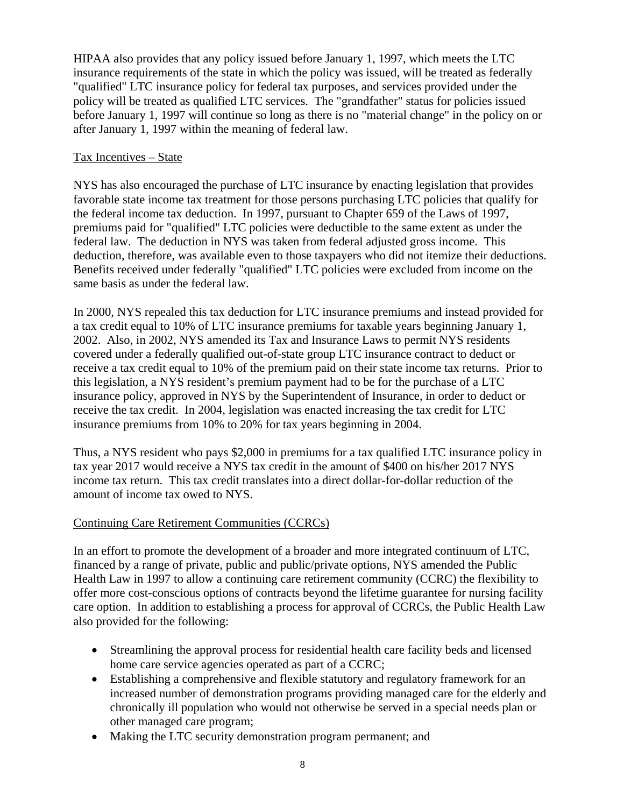HIPAA also provides that any policy issued before January 1, 1997, which meets the LTC insurance requirements of the state in which the policy was issued, will be treated as federally "qualified" LTC insurance policy for federal tax purposes, and services provided under the policy will be treated as qualified LTC services. The "grandfather" status for policies issued before January 1, 1997 will continue so long as there is no "material change" in the policy on or after January 1, 1997 within the meaning of federal law.

#### Tax Incentives – State

NYS has also encouraged the purchase of LTC insurance by enacting legislation that provides favorable state income tax treatment for those persons purchasing LTC policies that qualify for the federal income tax deduction. In 1997, pursuant to Chapter 659 of the Laws of 1997, premiums paid for "qualified" LTC policies were deductible to the same extent as under the federal law. The deduction in NYS was taken from federal adjusted gross income. This deduction, therefore, was available even to those taxpayers who did not itemize their deductions. Benefits received under federally "qualified" LTC policies were excluded from income on the same basis as under the federal law.

In 2000, NYS repealed this tax deduction for LTC insurance premiums and instead provided for a tax credit equal to 10% of LTC insurance premiums for taxable years beginning January 1, 2002. Also, in 2002, NYS amended its Tax and Insurance Laws to permit NYS residents covered under a federally qualified out-of-state group LTC insurance contract to deduct or receive a tax credit equal to 10% of the premium paid on their state income tax returns. Prior to this legislation, a NYS resident's premium payment had to be for the purchase of a LTC insurance policy, approved in NYS by the Superintendent of Insurance, in order to deduct or receive the tax credit. In 2004, legislation was enacted increasing the tax credit for LTC insurance premiums from 10% to 20% for tax years beginning in 2004.

Thus, a NYS resident who pays \$2,000 in premiums for a tax qualified LTC insurance policy in tax year 2017 would receive a NYS tax credit in the amount of \$400 on his/her 2017 NYS income tax return. This tax credit translates into a direct dollar-for-dollar reduction of the amount of income tax owed to NYS.

#### Continuing Care Retirement Communities (CCRCs)

In an effort to promote the development of a broader and more integrated continuum of LTC, financed by a range of private, public and public/private options, NYS amended the Public Health Law in 1997 to allow a continuing care retirement community (CCRC) the flexibility to offer more cost-conscious options of contracts beyond the lifetime guarantee for nursing facility care option. In addition to establishing a process for approval of CCRCs, the Public Health Law also provided for the following:

- Streamlining the approval process for residential health care facility beds and licensed home care service agencies operated as part of a CCRC;
- Establishing a comprehensive and flexible statutory and regulatory framework for an increased number of demonstration programs providing managed care for the elderly and chronically ill population who would not otherwise be served in a special needs plan or other managed care program;
- Making the LTC security demonstration program permanent; and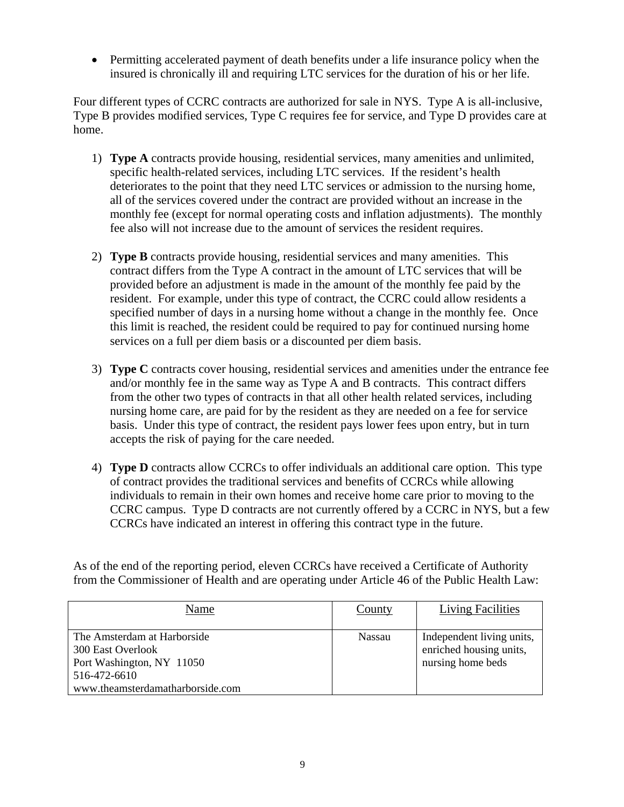Permitting accelerated payment of death benefits under a life insurance policy when the insured is chronically ill and requiring LTC services for the duration of his or her life.

Four different types of CCRC contracts are authorized for sale in NYS. Type A is all-inclusive, Type B provides modified services, Type C requires fee for service, and Type D provides care at home.

- 1) **Type A** contracts provide housing, residential services, many amenities and unlimited, specific health-related services, including LTC services. If the resident's health deteriorates to the point that they need LTC services or admission to the nursing home, all of the services covered under the contract are provided without an increase in the monthly fee (except for normal operating costs and inflation adjustments). The monthly fee also will not increase due to the amount of services the resident requires.
- 2) **Type B** contracts provide housing, residential services and many amenities. This contract differs from the Type A contract in the amount of LTC services that will be provided before an adjustment is made in the amount of the monthly fee paid by the resident. For example, under this type of contract, the CCRC could allow residents a specified number of days in a nursing home without a change in the monthly fee. Once this limit is reached, the resident could be required to pay for continued nursing home services on a full per diem basis or a discounted per diem basis.
- 3) **Type C** contracts cover housing, residential services and amenities under the entrance fee and/or monthly fee in the same way as Type A and B contracts. This contract differs from the other two types of contracts in that all other health related services, including nursing home care, are paid for by the resident as they are needed on a fee for service basis. Under this type of contract, the resident pays lower fees upon entry, but in turn accepts the risk of paying for the care needed.
- 4) **Type D** contracts allow CCRCs to offer individuals an additional care option. This type of contract provides the traditional services and benefits of CCRCs while allowing individuals to remain in their own homes and receive home care prior to moving to the CCRC campus. Type D contracts are not currently offered by a CCRC in NYS, but a few CCRCs have indicated an interest in offering this contract type in the future.

As of the end of the reporting period, eleven CCRCs have received a Certificate of Authority from the Commissioner of Health and are operating under Article 46 of the Public Health Law:

| Name                                                                                                                              | County | <b>Living Facilities</b>                                                  |
|-----------------------------------------------------------------------------------------------------------------------------------|--------|---------------------------------------------------------------------------|
| The Amsterdam at Harborside<br>300 East Overlook<br>Port Washington, NY 11050<br>516-472-6610<br>www.theamsterdamatharborside.com | Nassau | Independent living units,<br>enriched housing units,<br>nursing home beds |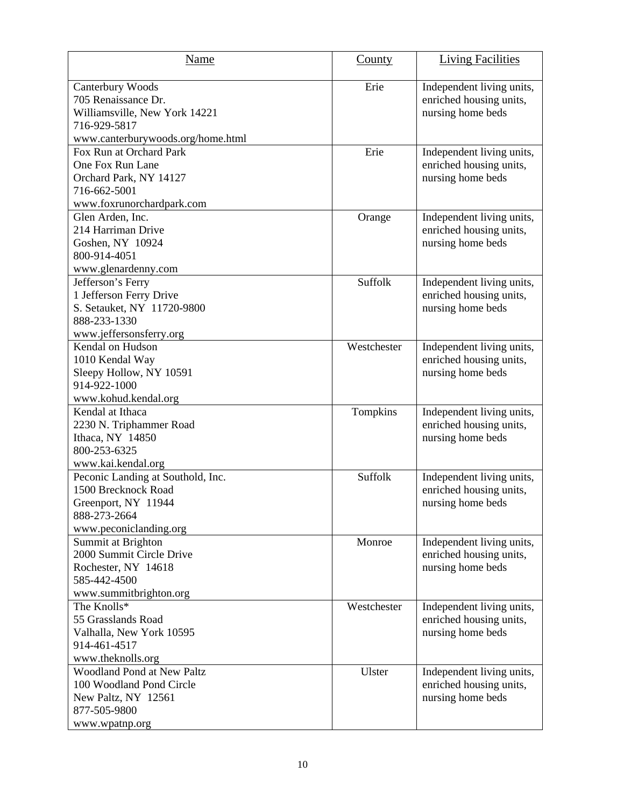| Name                                                                                                                          | County      | <b>Living Facilities</b>                                                  |
|-------------------------------------------------------------------------------------------------------------------------------|-------------|---------------------------------------------------------------------------|
| Canterbury Woods<br>705 Renaissance Dr.<br>Williamsville, New York 14221<br>716-929-5817<br>www.canterburywoods.org/home.html | Erie        | Independent living units,<br>enriched housing units,<br>nursing home beds |
| Fox Run at Orchard Park<br>One Fox Run Lane<br>Orchard Park, NY 14127<br>716-662-5001<br>www.foxrunorchardpark.com            | Erie        | Independent living units,<br>enriched housing units,<br>nursing home beds |
| Glen Arden, Inc.<br>214 Harriman Drive<br>Goshen, NY 10924<br>800-914-4051<br>www.glenardenny.com                             | Orange      | Independent living units,<br>enriched housing units,<br>nursing home beds |
| Jefferson's Ferry<br>1 Jefferson Ferry Drive<br>S. Setauket, NY 11720-9800<br>888-233-1330<br>www.jeffersonsferry.org         | Suffolk     | Independent living units,<br>enriched housing units,<br>nursing home beds |
| Kendal on Hudson<br>1010 Kendal Way<br>Sleepy Hollow, NY 10591<br>914-922-1000<br>www.kohud.kendal.org                        | Westchester | Independent living units,<br>enriched housing units,<br>nursing home beds |
| Kendal at Ithaca<br>2230 N. Triphammer Road<br>Ithaca, NY 14850<br>800-253-6325<br>www.kai.kendal.org                         | Tompkins    | Independent living units,<br>enriched housing units,<br>nursing home beds |
| Peconic Landing at Southold, Inc.<br>1500 Brecknock Road<br>Greenport, NY 11944<br>888-273-2664<br>www.peconiclanding.org     | Suffolk     | Independent living units,<br>enriched housing units,<br>nursing home beds |
| Summit at Brighton<br>2000 Summit Circle Drive<br>Rochester, NY 14618<br>585-442-4500<br>www.summitbrighton.org               | Monroe      | Independent living units,<br>enriched housing units,<br>nursing home beds |
| The Knolls*<br>55 Grasslands Road<br>Valhalla, New York 10595<br>914-461-4517<br>www.theknolls.org                            | Westchester | Independent living units,<br>enriched housing units,<br>nursing home beds |
| <b>Woodland Pond at New Paltz</b><br>100 Woodland Pond Circle<br>New Paltz, NY 12561<br>877-505-9800<br>www.wpatnp.org        | Ulster      | Independent living units,<br>enriched housing units,<br>nursing home beds |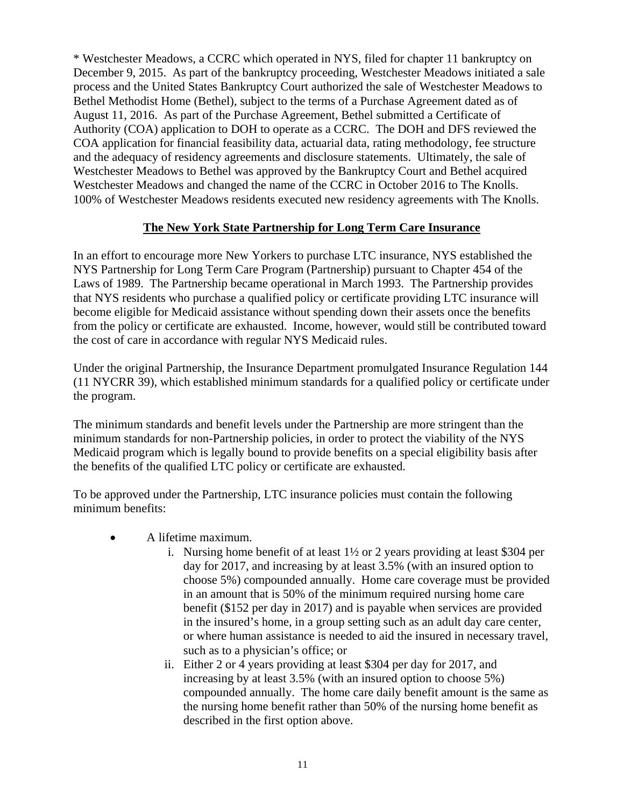<span id="page-12-0"></span>\* Westchester Meadows, a CCRC which operated in NYS, filed for chapter 11 bankruptcy on December 9, 2015. As part of the bankruptcy proceeding, Westchester Meadows initiated a sale process and the United States Bankruptcy Court authorized the sale of Westchester Meadows to Bethel Methodist Home (Bethel), subject to the terms of a Purchase Agreement dated as of August 11, 2016. As part of the Purchase Agreement, Bethel submitted a Certificate of Authority (COA) application to DOH to operate as a CCRC. The DOH and DFS reviewed the COA application for financial feasibility data, actuarial data, rating methodology, fee structure and the adequacy of residency agreements and disclosure statements. Ultimately, the sale of Westchester Meadows to Bethel was approved by the Bankruptcy Court and Bethel acquired Westchester Meadows and changed the name of the CCRC in October 2016 to The Knolls. 100% of Westchester Meadows residents executed new residency agreements with The Knolls.

#### **The New York State Partnership for Long Term Care Insurance**

In an effort to encourage more New Yorkers to purchase LTC insurance, NYS established the NYS Partnership for Long Term Care Program (Partnership) pursuant to Chapter 454 of the Laws of 1989. The Partnership became operational in March 1993. The Partnership provides that NYS residents who purchase a qualified policy or certificate providing LTC insurance will become eligible for Medicaid assistance without spending down their assets once the benefits from the policy or certificate are exhausted. Income, however, would still be contributed toward the cost of care in accordance with regular NYS Medicaid rules.

Under the original Partnership, the Insurance Department promulgated Insurance Regulation 144 (11 NYCRR 39), which established minimum standards for a qualified policy or certificate under the program.

The minimum standards and benefit levels under the Partnership are more stringent than the minimum standards for non-Partnership policies, in order to protect the viability of the NYS Medicaid program which is legally bound to provide benefits on a special eligibility basis after the benefits of the qualified LTC policy or certificate are exhausted.

To be approved under the Partnership, LTC insurance policies must contain the following minimum benefits:

- A lifetime maximum.
	- i. Nursing home benefit of at least 1½ or 2 years providing at least \$304 per day for 2017, and increasing by at least 3.5% (with an insured option to choose 5%) compounded annually. Home care coverage must be provided in an amount that is 50% of the minimum required nursing home care benefit (\$152 per day in 2017) and is payable when services are provided in the insured's home, in a group setting such as an adult day care center, or where human assistance is needed to aid the insured in necessary travel, such as to a physician's office; or
	- ii. Either 2 or 4 years providing at least \$304 per day for 2017, and increasing by at least 3.5% (with an insured option to choose 5%) compounded annually. The home care daily benefit amount is the same as the nursing home benefit rather than 50% of the nursing home benefit as described in the first option above.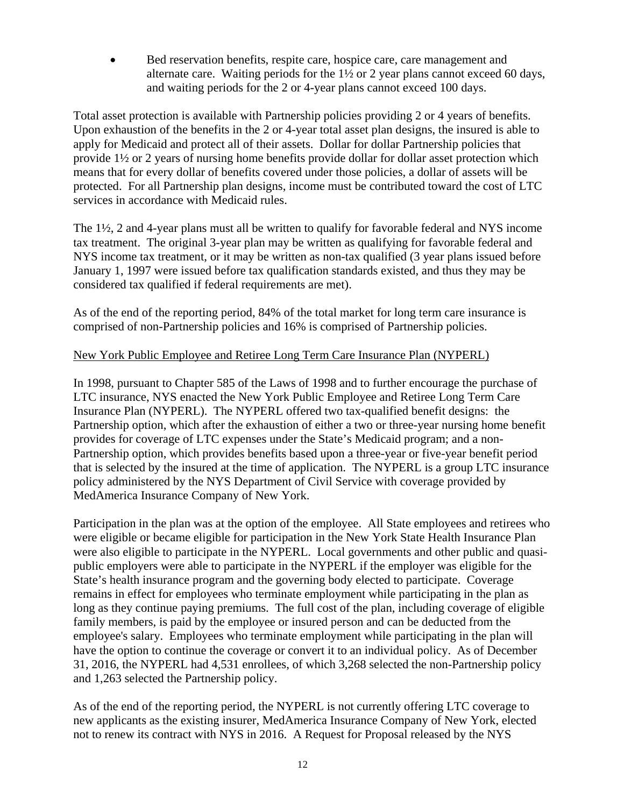Bed reservation benefits, respite care, hospice care, care management and alternate care. Waiting periods for the 1½ or 2 year plans cannot exceed 60 days, and waiting periods for the 2 or 4-year plans cannot exceed 100 days.

Total asset protection is available with Partnership policies providing 2 or 4 years of benefits. Upon exhaustion of the benefits in the 2 or 4-year total asset plan designs, the insured is able to apply for Medicaid and protect all of their assets. Dollar for dollar Partnership policies that provide 1½ or 2 years of nursing home benefits provide dollar for dollar asset protection which means that for every dollar of benefits covered under those policies, a dollar of assets will be protected. For all Partnership plan designs, income must be contributed toward the cost of LTC services in accordance with Medicaid rules.

The 1½, 2 and 4-year plans must all be written to qualify for favorable federal and NYS income tax treatment. The original 3-year plan may be written as qualifying for favorable federal and NYS income tax treatment, or it may be written as non-tax qualified (3 year plans issued before January 1, 1997 were issued before tax qualification standards existed, and thus they may be considered tax qualified if federal requirements are met).

As of the end of the reporting period, 84% of the total market for long term care insurance is comprised of non-Partnership policies and 16% is comprised of Partnership policies.

#### New York Public Employee and Retiree Long Term Care Insurance Plan (NYPERL)

In 1998, pursuant to Chapter 585 of the Laws of 1998 and to further encourage the purchase of LTC insurance, NYS enacted the New York Public Employee and Retiree Long Term Care Insurance Plan (NYPERL). The NYPERL offered two tax-qualified benefit designs: the Partnership option, which after the exhaustion of either a two or three-year nursing home benefit provides for coverage of LTC expenses under the State's Medicaid program; and a non-Partnership option, which provides benefits based upon a three-year or five-year benefit period that is selected by the insured at the time of application. The NYPERL is a group LTC insurance policy administered by the NYS Department of Civil Service with coverage provided by MedAmerica Insurance Company of New York.

Participation in the plan was at the option of the employee. All State employees and retirees who were eligible or became eligible for participation in the New York State Health Insurance Plan were also eligible to participate in the NYPERL. Local governments and other public and quasipublic employers were able to participate in the NYPERL if the employer was eligible for the State's health insurance program and the governing body elected to participate. Coverage remains in effect for employees who terminate employment while participating in the plan as long as they continue paying premiums. The full cost of the plan, including coverage of eligible family members, is paid by the employee or insured person and can be deducted from the employee's salary. Employees who terminate employment while participating in the plan will have the option to continue the coverage or convert it to an individual policy. As of December 31, 2016, the NYPERL had 4,531 enrollees, of which 3,268 selected the non-Partnership policy and 1,263 selected the Partnership policy.

As of the end of the reporting period, the NYPERL is not currently offering LTC coverage to new applicants as the existing insurer, MedAmerica Insurance Company of New York, elected not to renew its contract with NYS in 2016. A Request for Proposal released by the NYS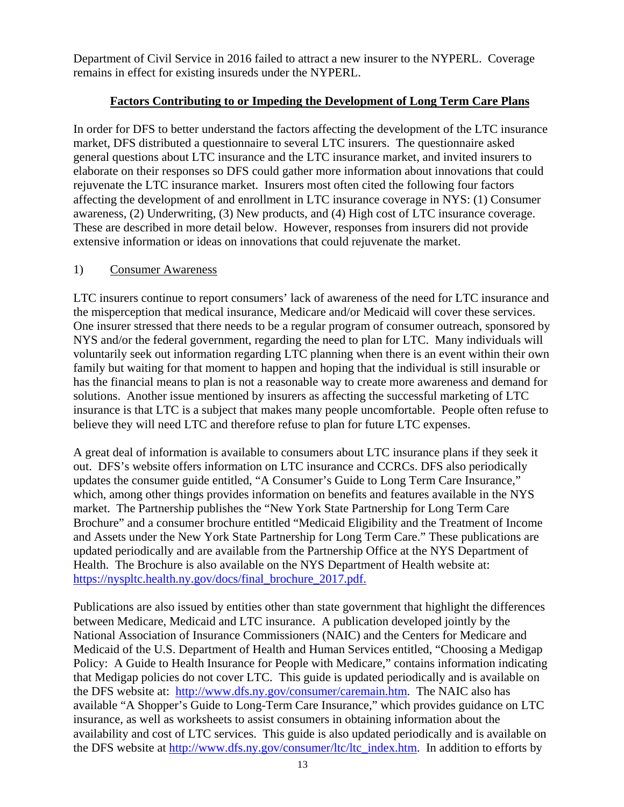<span id="page-14-0"></span>Department of Civil Service in 2016 failed to attract a new insurer to the NYPERL. Coverage remains in effect for existing insureds under the NYPERL.

# **Factors Contributing to or Impeding the Development of Long Term Care Plans**

In order for DFS to better understand the factors affecting the development of the LTC insurance market, DFS distributed a questionnaire to several LTC insurers. The questionnaire asked general questions about LTC insurance and the LTC insurance market, and invited insurers to elaborate on their responses so DFS could gather more information about innovations that could rejuvenate the LTC insurance market. Insurers most often cited the following four factors affecting the development of and enrollment in LTC insurance coverage in NYS: (1) Consumer awareness, (2) Underwriting, (3) New products, and (4) High cost of LTC insurance coverage. These are described in more detail below. However, responses from insurers did not provide extensive information or ideas on innovations that could rejuvenate the market.

#### 1) Consumer Awareness

LTC insurers continue to report consumers' lack of awareness of the need for LTC insurance and the misperception that medical insurance, Medicare and/or Medicaid will cover these services. One insurer stressed that there needs to be a regular program of consumer outreach, sponsored by NYS and/or the federal government, regarding the need to plan for LTC. Many individuals will voluntarily seek out information regarding LTC planning when there is an event within their own family but waiting for that moment to happen and hoping that the individual is still insurable or has the financial means to plan is not a reasonable way to create more awareness and demand for solutions. Another issue mentioned by insurers as affecting the successful marketing of LTC insurance is that LTC is a subject that makes many people uncomfortable. People often refuse to believe they will need LTC and therefore refuse to plan for future LTC expenses.

A great deal of information is available to consumers about LTC insurance plans if they seek it out. DFS's website offers information on LTC insurance and CCRCs. DFS also periodically updates the consumer guide entitled, "A Consumer's Guide to Long Term Care Insurance," which, among other things provides information on benefits and features available in the NYS market. The Partnership publishes the "New York State Partnership for Long Term Care Brochure" and a consumer brochure entitled "Medicaid Eligibility and the Treatment of Income and Assets under the New York State Partnership for Long Term Care." These publications are updated periodically and are available from the Partnership Office at the NYS Department of Health. The Brochure is also available on the NYS Department of Health website at: https://nyspltc.health.ny.gov/docs/final\_brochure\_2017.pdf.

Publications are also issued by entities other than state government that highlight the differences between Medicare, Medicaid and LTC insurance. A publication developed jointly by the National Association of Insurance Commissioners (NAIC) and the Centers for Medicare and Medicaid of the U.S. Department of Health and Human Services entitled, "Choosing a Medigap Policy: A Guide to Health Insurance for People with Medicare," contains information indicating that Medigap policies do not cover LTC. This guide is updated periodically and is available on the DFS website at: http://www.dfs.ny.gov/consumer/caremain.htm. The NAIC also has available "A Shopper's Guide to Long-Term Care Insurance," which provides guidance on LTC insurance, as well as worksheets to assist consumers in obtaining information about the availability and cost of LTC services. This guide is also updated periodically and is available on the DFS website at http://www.dfs.ny.gov/consumer/ltc/ltc\_index.htm. In addition to efforts by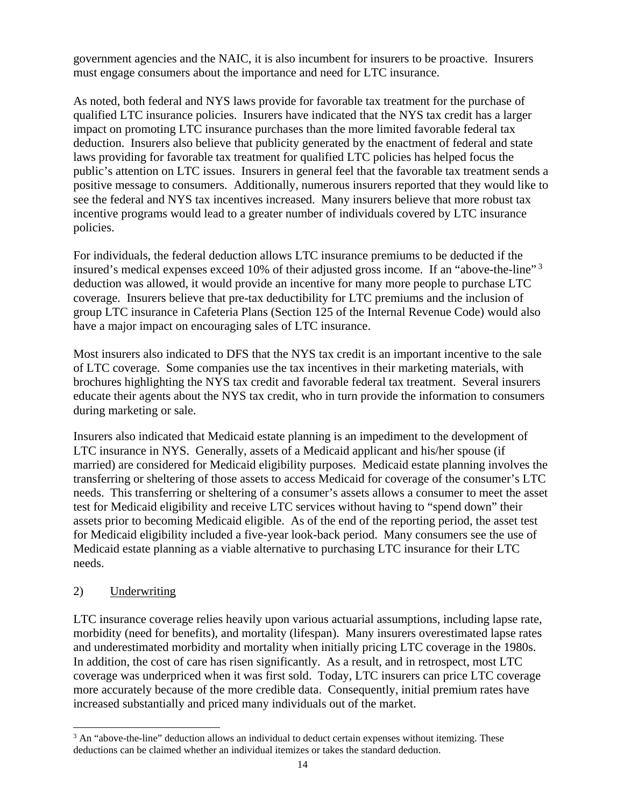government agencies and the NAIC, it is also incumbent for insurers to be proactive. Insurers must engage consumers about the importance and need for LTC insurance.

As noted, both federal and NYS laws provide for favorable tax treatment for the purchase of qualified LTC insurance policies. Insurers have indicated that the NYS tax credit has a larger impact on promoting LTC insurance purchases than the more limited favorable federal tax deduction. Insurers also believe that publicity generated by the enactment of federal and state laws providing for favorable tax treatment for qualified LTC policies has helped focus the public's attention on LTC issues. Insurers in general feel that the favorable tax treatment sends a positive message to consumers. Additionally, numerous insurers reported that they would like to see the federal and NYS tax incentives increased. Many insurers believe that more robust tax incentive programs would lead to a greater number of individuals covered by LTC insurance policies.

For individuals, the federal deduction allows LTC insurance premiums to be deducted if the insured's medical expenses exceed 10% of their adjusted gross income. If an "above-the-line"<sup>3</sup> deduction was allowed, it would provide an incentive for many more people to purchase LTC coverage. Insurers believe that pre-tax deductibility for LTC premiums and the inclusion of group LTC insurance in Cafeteria Plans (Section 125 of the Internal Revenue Code) would also have a major impact on encouraging sales of LTC insurance.

Most insurers also indicated to DFS that the NYS tax credit is an important incentive to the sale of LTC coverage. Some companies use the tax incentives in their marketing materials, with brochures highlighting the NYS tax credit and favorable federal tax treatment. Several insurers educate their agents about the NYS tax credit, who in turn provide the information to consumers during marketing or sale.

Insurers also indicated that Medicaid estate planning is an impediment to the development of LTC insurance in NYS. Generally, assets of a Medicaid applicant and his/her spouse (if married) are considered for Medicaid eligibility purposes. Medicaid estate planning involves the transferring or sheltering of those assets to access Medicaid for coverage of the consumer's LTC needs. This transferring or sheltering of a consumer's assets allows a consumer to meet the asset test for Medicaid eligibility and receive LTC services without having to "spend down" their assets prior to becoming Medicaid eligible. As of the end of the reporting period, the asset test for Medicaid eligibility included a five-year look-back period. Many consumers see the use of Medicaid estate planning as a viable alternative to purchasing LTC insurance for their LTC needs.

# 2) Underwriting

1

LTC insurance coverage relies heavily upon various actuarial assumptions, including lapse rate, morbidity (need for benefits), and mortality (lifespan). Many insurers overestimated lapse rates and underestimated morbidity and mortality when initially pricing LTC coverage in the 1980s. In addition, the cost of care has risen significantly. As a result, and in retrospect, most LTC coverage was underpriced when it was first sold. Today, LTC insurers can price LTC coverage more accurately because of the more credible data. Consequently, initial premium rates have increased substantially and priced many individuals out of the market.

 deductions can be claimed whether an individual itemizes or takes the standard deduction.  $3$  An "above-the-line" deduction allows an individual to deduct certain expenses without itemizing. These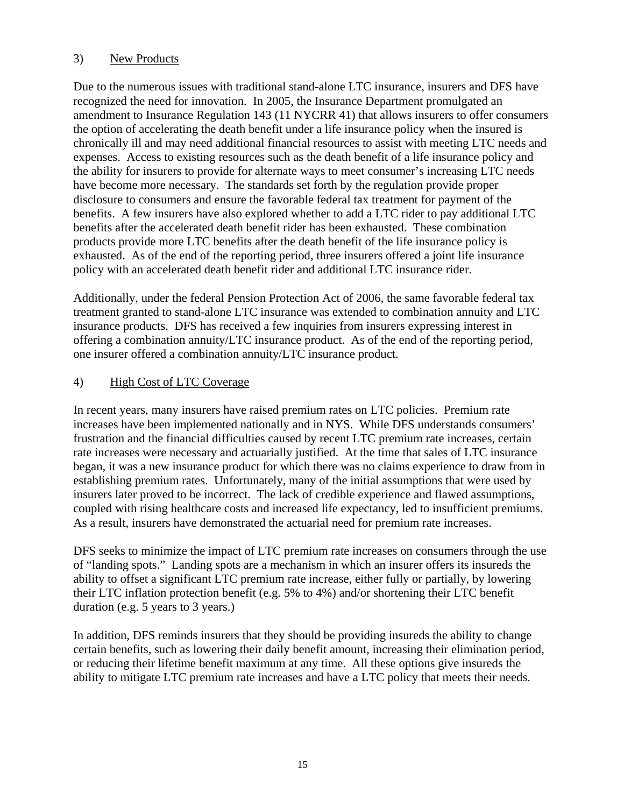#### 3) New Products

Due to the numerous issues with traditional stand-alone LTC insurance, insurers and DFS have recognized the need for innovation. In 2005, the Insurance Department promulgated an amendment to Insurance Regulation 143 (11 NYCRR 41) that allows insurers to offer consumers the option of accelerating the death benefit under a life insurance policy when the insured is chronically ill and may need additional financial resources to assist with meeting LTC needs and expenses. Access to existing resources such as the death benefit of a life insurance policy and the ability for insurers to provide for alternate ways to meet consumer's increasing LTC needs have become more necessary. The standards set forth by the regulation provide proper disclosure to consumers and ensure the favorable federal tax treatment for payment of the benefits. A few insurers have also explored whether to add a LTC rider to pay additional LTC benefits after the accelerated death benefit rider has been exhausted. These combination products provide more LTC benefits after the death benefit of the life insurance policy is exhausted. As of the end of the reporting period, three insurers offered a joint life insurance policy with an accelerated death benefit rider and additional LTC insurance rider.

Additionally, under the federal Pension Protection Act of 2006, the same favorable federal tax treatment granted to stand-alone LTC insurance was extended to combination annuity and LTC insurance products. DFS has received a few inquiries from insurers expressing interest in offering a combination annuity/LTC insurance product. As of the end of the reporting period, one insurer offered a combination annuity/LTC insurance product.

#### 4) High Cost of LTC Coverage

In recent years, many insurers have raised premium rates on LTC policies. Premium rate increases have been implemented nationally and in NYS. While DFS understands consumers' frustration and the financial difficulties caused by recent LTC premium rate increases, certain rate increases were necessary and actuarially justified. At the time that sales of LTC insurance began, it was a new insurance product for which there was no claims experience to draw from in establishing premium rates. Unfortunately, many of the initial assumptions that were used by insurers later proved to be incorrect. The lack of credible experience and flawed assumptions, coupled with rising healthcare costs and increased life expectancy, led to insufficient premiums. As a result, insurers have demonstrated the actuarial need for premium rate increases.

DFS seeks to minimize the impact of LTC premium rate increases on consumers through the use of "landing spots." Landing spots are a mechanism in which an insurer offers its insureds the ability to offset a significant LTC premium rate increase, either fully or partially, by lowering their LTC inflation protection benefit (e.g. 5% to 4%) and/or shortening their LTC benefit duration (e.g. 5 years to 3 years.)

In addition, DFS reminds insurers that they should be providing insureds the ability to change certain benefits, such as lowering their daily benefit amount, increasing their elimination period, or reducing their lifetime benefit maximum at any time. All these options give insureds the ability to mitigate LTC premium rate increases and have a LTC policy that meets their needs.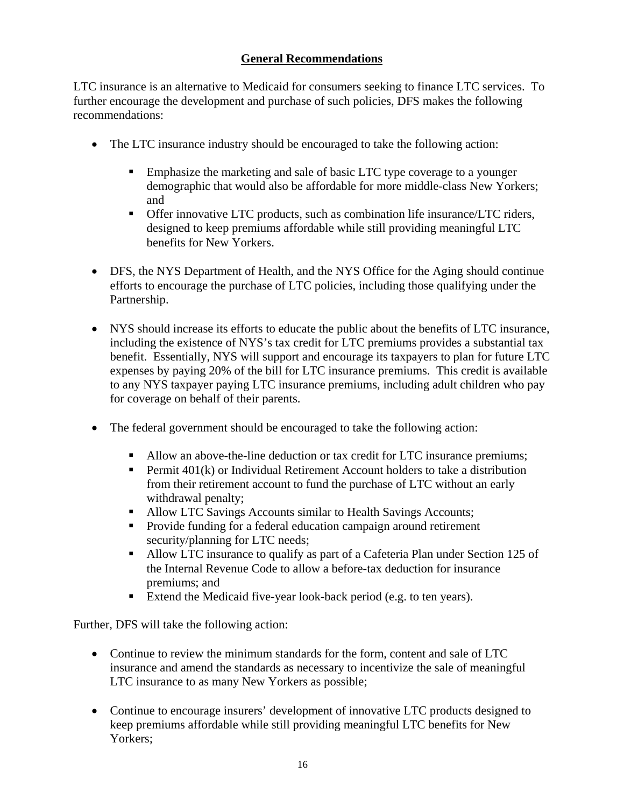# **General Recommendations**

<span id="page-17-0"></span>LTC insurance is an alternative to Medicaid for consumers seeking to finance LTC services. To further encourage the development and purchase of such policies, DFS makes the following recommendations:

- The LTC insurance industry should be encouraged to take the following action:
	- **Emphasize the marketing and sale of basic LTC type coverage to a younger** demographic that would also be affordable for more middle-class New Yorkers; and
	- Offer innovative LTC products, such as combination life insurance/LTC riders, designed to keep premiums affordable while still providing meaningful LTC benefits for New Yorkers.
- DFS, the NYS Department of Health, and the NYS Office for the Aging should continue efforts to encourage the purchase of LTC policies, including those qualifying under the Partnership.
- NYS should increase its efforts to educate the public about the benefits of LTC insurance, including the existence of NYS's tax credit for LTC premiums provides a substantial tax benefit. Essentially, NYS will support and encourage its taxpayers to plan for future LTC expenses by paying 20% of the bill for LTC insurance premiums. This credit is available to any NYS taxpayer paying LTC insurance premiums, including adult children who pay for coverage on behalf of their parents.
- The federal government should be encouraged to take the following action:
	- Allow an above-the-line deduction or tax credit for LTC insurance premiums;
	- **Permit 401(k) or Individual Retirement Account holders to take a distribution** from their retirement account to fund the purchase of LTC without an early withdrawal penalty;
	- Allow LTC Savings Accounts similar to Health Savings Accounts;
	- **Provide funding for a federal education campaign around retirement** security/planning for LTC needs;
	- Allow LTC insurance to qualify as part of a Cafeteria Plan under Section 125 of the Internal Revenue Code to allow a before-tax deduction for insurance premiums; and
	- Extend the Medicaid five-year look-back period (e.g. to ten years).

Further, DFS will take the following action:

- Continue to review the minimum standards for the form, content and sale of LTC insurance and amend the standards as necessary to incentivize the sale of meaningful LTC insurance to as many New Yorkers as possible;
- Continue to encourage insurers' development of innovative LTC products designed to keep premiums affordable while still providing meaningful LTC benefits for New Yorkers;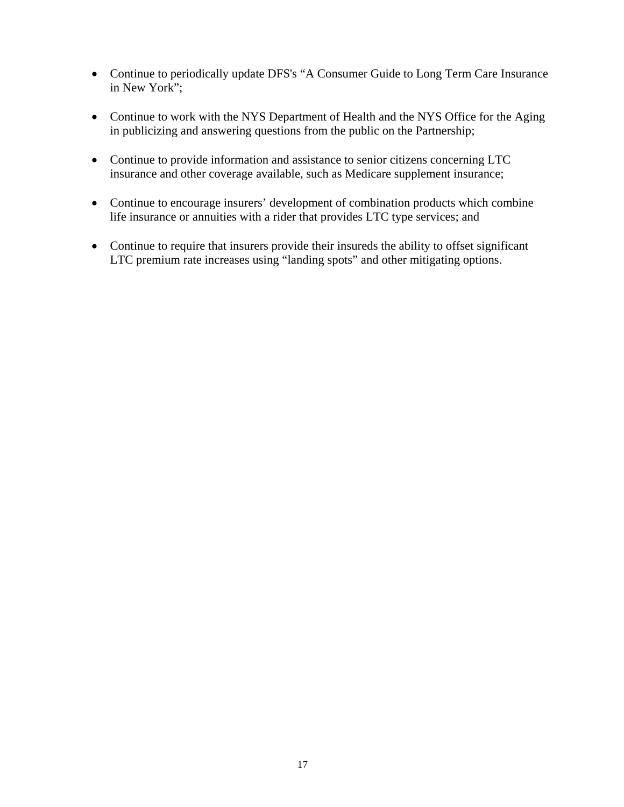- Continue to periodically update DFS's "A Consumer Guide to Long Term Care Insurance in New York";
- Continue to work with the NYS Department of Health and the NYS Office for the Aging in publicizing and answering questions from the public on the Partnership;
- Continue to provide information and assistance to senior citizens concerning LTC insurance and other coverage available, such as Medicare supplement insurance;
- Continue to encourage insurers' development of combination products which combine life insurance or annuities with a rider that provides LTC type services; and
- Continue to require that insurers provide their insureds the ability to offset significant LTC premium rate increases using "landing spots" and other mitigating options.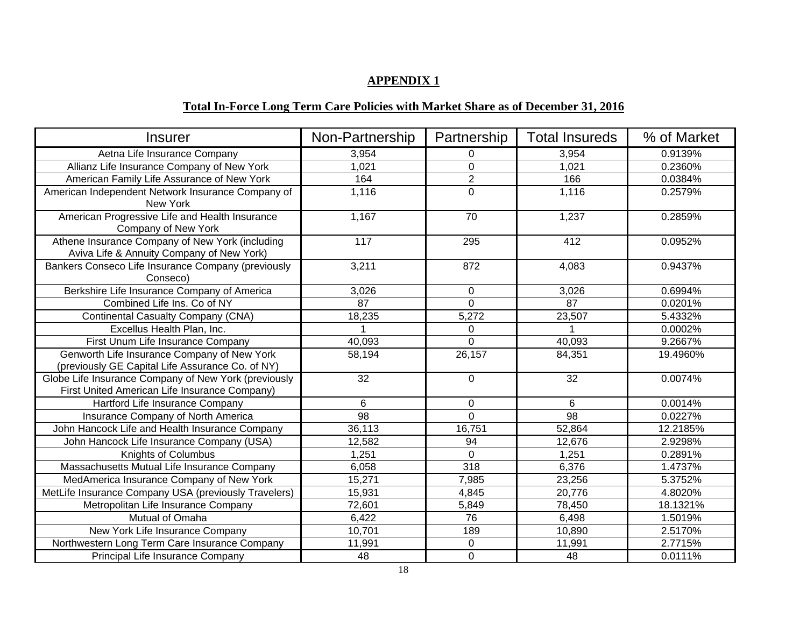#### **APPENDIX 1**

# **Total In-Force Long Term Care Policies with Market Share as of December 31, 2016**

| <b>Insurer</b>                                                                                        | Non-Partnership | Partnership    | <b>Total Insureds</b> | % of Market |
|-------------------------------------------------------------------------------------------------------|-----------------|----------------|-----------------------|-------------|
| Aetna Life Insurance Company                                                                          | 3,954           | 0              | 3,954                 | 0.9139%     |
| Allianz Life Insurance Company of New York                                                            | 1,021           | $\overline{0}$ | 1,021                 | 0.2360%     |
| American Family Life Assurance of New York                                                            | 164             | $\overline{2}$ | 166                   | 0.0384%     |
| American Independent Network Insurance Company of<br>New York                                         | 1,116           | $\overline{0}$ | 1,116                 | 0.2579%     |
| American Progressive Life and Health Insurance<br>Company of New York                                 | 1,167           | 70             | 1,237                 | 0.2859%     |
| Athene Insurance Company of New York (including<br>Aviva Life & Annuity Company of New York)          | 117             | 295            | 412                   | 0.0952%     |
| Bankers Conseco Life Insurance Company (previously<br>Conseco)                                        | 3,211           | 872            | 4,083                 | 0.9437%     |
| Berkshire Life Insurance Company of America                                                           | 3,026           | $\mathbf 0$    | 3,026                 | 0.6994%     |
| Combined Life Ins. Co of NY                                                                           | 87              | $\Omega$       | 87                    | 0.0201%     |
| <b>Continental Casualty Company (CNA)</b>                                                             | 18,235          | 5,272          | 23,507                | 5.4332%     |
| Excellus Health Plan, Inc.                                                                            |                 | 0              |                       | 0.0002%     |
| First Unum Life Insurance Company                                                                     | 40,093          | $\Omega$       | 40,093                | 9.2667%     |
| Genworth Life Insurance Company of New York<br>(previously GE Capital Life Assurance Co. of NY)       | 58,194          | 26,157         | 84,351                | 19.4960%    |
| Globe Life Insurance Company of New York (previously<br>First United American Life Insurance Company) | 32              | $\Omega$       | 32                    | 0.0074%     |
| Hartford Life Insurance Company                                                                       | 6               | $\mathbf 0$    | 6                     | 0.0014%     |
| Insurance Company of North America                                                                    | 98              | $\mathbf 0$    | 98                    | 0.0227%     |
| John Hancock Life and Health Insurance Company                                                        | 36,113          | 16,751         | 52,864                | 12.2185%    |
| John Hancock Life Insurance Company (USA)                                                             | 12,582          | 94             | 12,676                | 2.9298%     |
| Knights of Columbus                                                                                   | 1,251           | $\overline{0}$ | 1,251                 | 0.2891%     |
| Massachusetts Mutual Life Insurance Company                                                           | 6,058           | 318            | 6,376                 | 1.4737%     |
| MedAmerica Insurance Company of New York                                                              | 15,271          | 7,985          | 23,256                | 5.3752%     |
| MetLife Insurance Company USA (previously Travelers)                                                  | 15,931          | 4,845          | 20,776                | 4.8020%     |
| Metropolitan Life Insurance Company                                                                   | 72,601          | 5,849          | 78,450                | 18.1321%    |
| Mutual of Omaha                                                                                       | 6,422           | 76             | 6,498                 | 1.5019%     |
| New York Life Insurance Company                                                                       | 10,701          | 189            | 10,890                | 2.5170%     |
| Northwestern Long Term Care Insurance Company                                                         | 11,991          | $\pmb{0}$      | 11,991                | 2.7715%     |
| Principal Life Insurance Company                                                                      | 48              | $\mathbf 0$    | 48                    | 0.0111%     |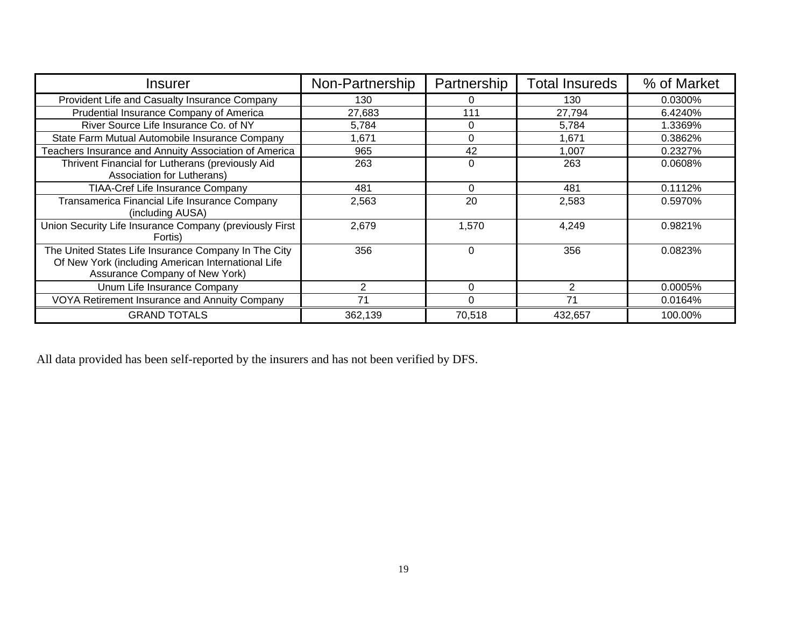| Insurer                                                                                                                                      | Non-Partnership | Partnership | <b>Total Insureds</b> | % of Market |
|----------------------------------------------------------------------------------------------------------------------------------------------|-----------------|-------------|-----------------------|-------------|
| Provident Life and Casualty Insurance Company                                                                                                | 130             | 0           | 130                   | 0.0300%     |
| Prudential Insurance Company of America                                                                                                      | 27,683          | 111         | 27,794                | 6.4240%     |
| River Source Life Insurance Co. of NY                                                                                                        | 5,784           | 0           | 5,784                 | 1.3369%     |
| State Farm Mutual Automobile Insurance Company                                                                                               | 1,671           | 0           | 1.671                 | 0.3862%     |
| Teachers Insurance and Annuity Association of America                                                                                        | 965             | 42          | 1,007                 | 0.2327%     |
| Thrivent Financial for Lutherans (previously Aid<br>Association for Lutherans)                                                               | 263             | $\Omega$    | 263                   | 0.0608%     |
| <b>TIAA-Cref Life Insurance Company</b>                                                                                                      | 481             | $\Omega$    | 481                   | 0.1112%     |
| Transamerica Financial Life Insurance Company<br>(including AUSA)                                                                            | 2,563           | 20          | 2,583                 | 0.5970%     |
| Union Security Life Insurance Company (previously First<br>Fortis)                                                                           | 2,679           | 1,570       | 4,249                 | 0.9821%     |
| The United States Life Insurance Company In The City<br>Of New York (including American International Life<br>Assurance Company of New York) | 356             | 0           | 356                   | 0.0823%     |
| Unum Life Insurance Company                                                                                                                  | 2               | 0           | 2                     | 0.0005%     |
| VOYA Retirement Insurance and Annuity Company                                                                                                | 71              | $\Omega$    | 71                    | 0.0164%     |
| <b>GRAND TOTALS</b>                                                                                                                          | 362,139         | 70,518      | 432,657               | 100.00%     |

All data provided has been self-reported by the insurers and has not been verified by DFS.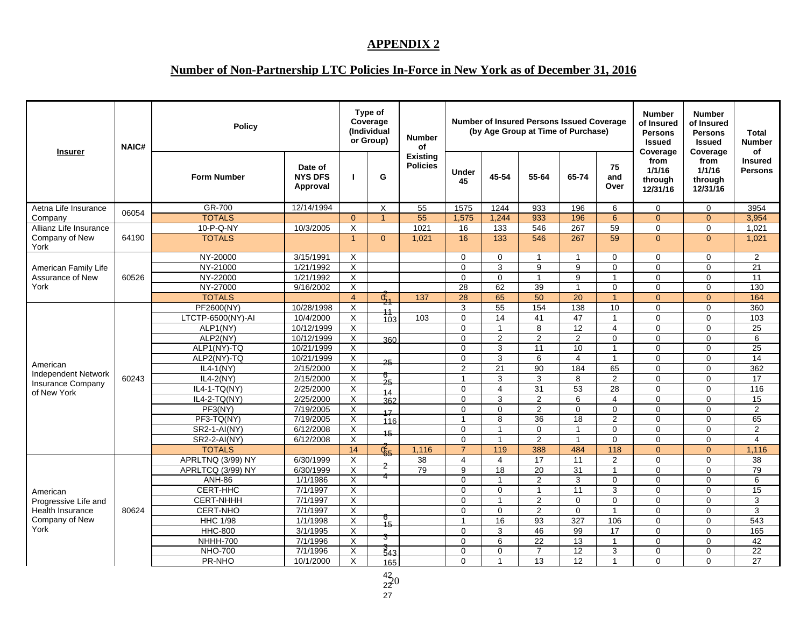#### **APPENDIX 2**

# **Number of Non-Partnership LTC Policies In-Force in New York as of December 31, 2016**

| <b>Insurer</b>                                         | <b>NAIC#</b> | <b>Policy</b>      |                                       |                | Type of<br>Coverage<br>(Individual<br>or Group) | <b>Number</b><br>of                |                    |                | <b>Number of Insured Persons Issued Coverage</b><br>(by Age Group at Time of Purchase) |                 |                         | <b>Number</b><br>of Insured<br><b>Persons</b><br><b>Issued</b><br>Coverage | <b>Number</b><br>of Insured<br><b>Persons</b><br><b>Issued</b><br>Coverage | Total<br><b>Number</b><br>οf     |
|--------------------------------------------------------|--------------|--------------------|---------------------------------------|----------------|-------------------------------------------------|------------------------------------|--------------------|----------------|----------------------------------------------------------------------------------------|-----------------|-------------------------|----------------------------------------------------------------------------|----------------------------------------------------------------------------|----------------------------------|
|                                                        |              | <b>Form Number</b> | Date of<br><b>NYS DFS</b><br>Approval | п              | G                                               | <b>Existing</b><br><b>Policies</b> | <b>Under</b><br>45 | 45-54          | 55-64                                                                                  | 65-74           | 75<br>and<br>Over       | from<br>1/1/16<br>through<br>12/31/16                                      | from<br>1/1/16<br>through<br>12/31/16                                      | <b>Insured</b><br><b>Persons</b> |
| Aetna Life Insurance                                   |              | GR-700             | 12/14/1994                            |                | X                                               | 55                                 | 1575               | 1244           | 933                                                                                    | 196             | 6                       | $\mathbf 0$                                                                | $\mathbf 0$                                                                | 3954                             |
| Company                                                | 06054        | <b>TOTALS</b>      |                                       | $\Omega$       | $\blacktriangleleft$                            | 55                                 | 1,575              | 1,244          | 933                                                                                    | 196             | 6                       | $\Omega$                                                                   | $\Omega$                                                                   | 3,954                            |
| Allianz Life Insurance                                 |              | 10-P-Q-NY          | 10/3/2005                             | X              |                                                 | 1021                               | 16                 | 133            | 546                                                                                    | 267             | 59                      | $\mathbf 0$                                                                | $\Omega$                                                                   | 1,021                            |
| Company of New<br>York                                 | 64190        | <b>TOTALS</b>      |                                       | $\overline{1}$ | $\Omega$                                        | 1.021                              | 16                 | 133            | 546                                                                                    | 267             | 59                      | $\Omega$                                                                   | $\Omega$                                                                   | 1,021                            |
|                                                        |              | NY-20000           | 3/15/1991                             | X              |                                                 |                                    | $\mathbf 0$        | $\mathbf 0$    | $\mathbf{1}$                                                                           | $\mathbf{1}$    | $\mathbf 0$             | $\mathbf 0$                                                                | 0                                                                          | $\overline{2}$                   |
| American Family Life                                   |              | NY-21000           | 1/21/1992                             | X              |                                                 |                                    | $\mathbf{0}$       | 3              | 9                                                                                      | 9               | $\mathbf 0$             | $\mathbf 0$                                                                | $\mathbf 0$                                                                | 21                               |
| Assurance of New                                       | 60526        | NY-22000           | 1/21/1992                             | X              |                                                 |                                    | $\Omega$           | $\Omega$       | $\mathbf{1}$                                                                           | $\overline{9}$  | $\overline{1}$          | $\Omega$                                                                   | $\Omega$                                                                   | $\overline{11}$                  |
| York                                                   |              | NY-27000           | 9/16/2002                             | X              |                                                 |                                    | 28                 | 62             | 39                                                                                     | $\mathbf{1}$    | $\Omega$                | $\Omega$                                                                   | $\Omega$                                                                   | 130                              |
|                                                        |              | <b>TOTALS</b>      |                                       | $\overline{4}$ | $\overrightarrow{G}_1$                          | 137                                | 28                 | 65             | 50                                                                                     | 20              | $\mathbf{1}$            | $\mathbf{0}$                                                               | $\Omega$                                                                   | 164                              |
|                                                        |              | PF2600(NY)         | 10/28/1998                            | X              | 11                                              |                                    | 3                  | 55             | 154                                                                                    | 138             | 10                      | $\mathbf 0$                                                                | 0                                                                          | 360                              |
|                                                        |              | LTCTP-6500(NY)-AI  | 10/4/2000                             | X              | 103                                             | 103                                | $\Omega$           | 14             | 41                                                                                     | 47              | $\mathbf{1}$            | $\Omega$                                                                   | $\Omega$                                                                   | 103                              |
|                                                        |              | ALP1(NY)           | 10/12/1999                            | X              |                                                 |                                    | $\Omega$           |                | 8                                                                                      | 12              | $\overline{4}$          | $\Omega$                                                                   | $\Omega$                                                                   | 25                               |
|                                                        |              | ALP2(NY)           | 10/12/1999                            | X              | 360                                             |                                    | $\mathbf 0$        | $\overline{2}$ | 2                                                                                      | $\overline{2}$  | $\mathbf 0$             | $\pmb{0}$                                                                  | 0                                                                          | 6                                |
|                                                        |              | ALP1(NY)-TQ        | 10/21/1999                            | X              |                                                 |                                    | $\Omega$           | 3              | 11                                                                                     | 10              | $\mathbf{1}$            | $\Omega$                                                                   | $\Omega$                                                                   | 25                               |
|                                                        |              | ALP2(NY)-TQ        | 10/21/1999                            | X              | 25                                              |                                    | $\mathbf 0$        | 3              | 6                                                                                      | $\overline{4}$  | $\mathbf{1}$            | $\Omega$                                                                   | $\Omega$                                                                   | $\overline{14}$                  |
| American                                               |              | $IL4-1(NY)$        | 2/15/2000                             | X              |                                                 |                                    | 2                  | 21             | 90                                                                                     | 184             | 65                      | $\Omega$                                                                   | $\Omega$                                                                   | 362                              |
| <b>Independent Network</b><br><b>Insurance Company</b> | 60243        | $IL4-2(NY)$        | 2/15/2000                             | X              | 6<br>25                                         |                                    | $\overline{1}$     | 3              | 3                                                                                      | 8               | $\overline{2}$          | $\mathbf 0$                                                                | $\Omega$                                                                   | 17                               |
| of New York                                            |              | $IL4-1-TQ(NY)$     | 2/25/2000                             | X              | 14                                              |                                    | $\Omega$           | $\overline{4}$ | 31                                                                                     | 53              | $\overline{28}$         | $\mathbf 0$                                                                | $\Omega$                                                                   | $\frac{116}{116}$                |
|                                                        |              | IL4-2-TQ(NY)       | 2/25/2000                             | X              | 362                                             |                                    | $\Omega$           | 3              | 2                                                                                      | 6               | $\overline{4}$          | $\Omega$                                                                   | $\Omega$                                                                   | 15                               |
|                                                        |              | PF3(NY)            | 7/19/2005                             | X              | 17                                              |                                    | $\Omega$           | $\Omega$       | 2                                                                                      | $\Omega$        | $\Omega$                | $\Omega$                                                                   | $\Omega$                                                                   | $\overline{2}$                   |
|                                                        |              | PF3-TQ(NY)         | 7/19/2005                             | $\overline{X}$ | 116                                             |                                    | $\mathbf{1}$       | 8              | 36                                                                                     | 18              | $\overline{\mathbf{c}}$ | $\pmb{0}$                                                                  | $\Omega$                                                                   | 65                               |
|                                                        |              | SR2-1-AI(NY)       | 6/12/2008                             | X              | 15                                              |                                    | $\Omega$           | $\overline{1}$ | $\Omega$                                                                               | $\mathbf{1}$    | $\Omega$                | $\mathbf 0$                                                                | $\Omega$                                                                   | 2                                |
|                                                        |              | SR2-2-AI(NY)       | 6/12/2008                             | X              |                                                 |                                    | $\Omega$           | $\overline{1}$ | $\overline{2}$                                                                         | $\overline{1}$  | $\mathbf 0$             | $\Omega$                                                                   | $\Omega$                                                                   | $\overline{4}$                   |
|                                                        |              | <b>TOTALS</b>      |                                       | 14             | $\mathfrak{E}_{5}$                              | 1,116                              | $\overline{7}$     | 119            | 388                                                                                    | 484             | 118                     | $\Omega$                                                                   | $\Omega$                                                                   | 1,116                            |
|                                                        |              | APRLTNQ (3/99) NY  | 6/30/1999                             | X              |                                                 | 38                                 | $\overline{4}$     | 4              | 17                                                                                     | 11              | 2                       | $\mathbf 0$                                                                | $\Omega$                                                                   | 38                               |
|                                                        |              | APRLTCQ (3/99) NY  | 6/30/1999                             | X              | 2<br>4                                          | 79                                 | 9                  | 18             | 20                                                                                     | 31              | $\mathbf{1}$            | $\mathbf 0$                                                                | 0                                                                          | 79                               |
|                                                        |              | <b>ANH-86</b>      | 1/1/1986                              | X              |                                                 |                                    | $\Omega$           | -1             | 2                                                                                      | 3               | $\mathbf 0$             | $\Omega$                                                                   | $\Omega$                                                                   | 6                                |
| American                                               |              | CERT-HHC           | 7/1/1997                              | X              |                                                 |                                    | $\Omega$           | $\Omega$       | $\mathbf{1}$                                                                           | $\overline{11}$ | 3                       | $\Omega$                                                                   | $\Omega$                                                                   | $\overline{15}$                  |
| Progressive Life and                                   |              | CERT-NHHH          | 7/1/1997                              | X              |                                                 |                                    | $\Omega$           |                | 2                                                                                      | $\mathbf 0$     | $\mathbf 0$             | $\mathbf 0$                                                                | $\Omega$                                                                   | 3                                |
| <b>Health Insurance</b>                                | 80624        | <b>CERT-NHO</b>    | 7/1/1997                              | X              |                                                 |                                    | $\Omega$           | $\Omega$       | 2                                                                                      | $\mathbf 0$     | $\mathbf{1}$            | $\mathbf 0$                                                                | $\Omega$                                                                   | 3                                |
| Company of New                                         |              | <b>HHC 1/98</b>    | 1/1/1998                              | X              | 6<br>$-15$                                      |                                    | $\mathbf{1}$       | 16             | $\overline{93}$                                                                        | 327             | 106                     | $\Omega$                                                                   | $\Omega$                                                                   | 543                              |
| York                                                   |              | <b>HHC-800</b>     | 3/1/1995                              | X              |                                                 |                                    | $\Omega$           | 3              | 46                                                                                     | 99              | 17                      | $\Omega$                                                                   | $\Omega$                                                                   | 165                              |
|                                                        |              | <b>NHHH-700</b>    | 7/1/1996                              | X              | 3                                               |                                    | $\Omega$           | 6              | 22                                                                                     | 13              | $\mathbf{1}$            | $\Omega$                                                                   | $\Omega$                                                                   | 42                               |
|                                                        |              | <b>NHO-700</b>     | 7/1/1996                              | $\overline{X}$ | $\frac{3}{5}$ 43                                |                                    | $\mathbf 0$        | 0              | $\overline{7}$                                                                         | 12              | 3                       | $\mathbf 0$                                                                | 0                                                                          | $\overline{22}$                  |
|                                                        |              | PR-NHO             | 10/1/2000                             | X              | 165                                             |                                    | $\Omega$           | -1             | 13                                                                                     | 12              | $\overline{1}$          | $\Omega$                                                                   | $\Omega$                                                                   | 27                               |

42<br>22C<br>27 20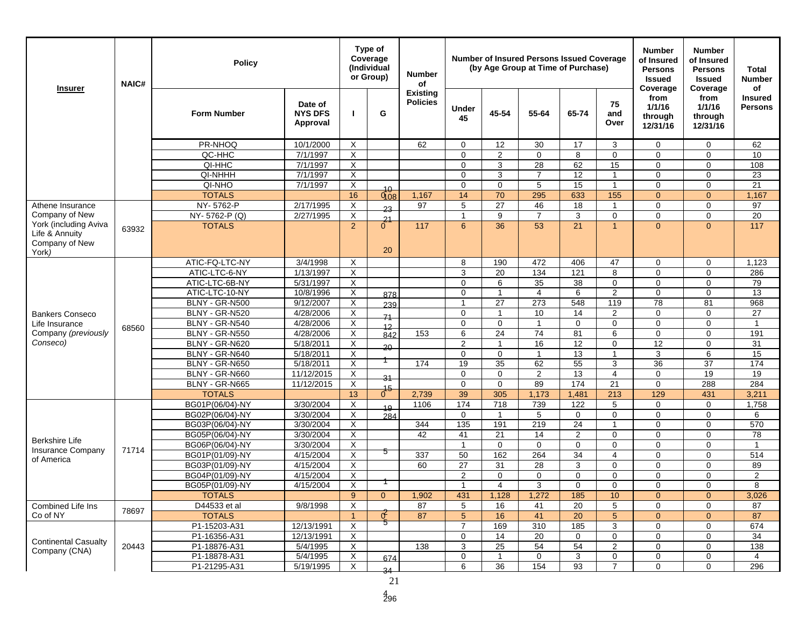| <b>Insurer</b>                                            | <b>NAIC#</b> | <b>Policy</b>                    |                                       | Type of<br>Coverage<br>(Individual<br>or Group) |                | <b>Number</b><br>of                |                         |                   | <b>Number of Insured Persons Issued Coverage</b><br>(by Age Group at Time of Purchase) |                 |                   | <b>Number</b><br>of Insured<br><b>Persons</b><br><b>Issued</b><br>Coverage | <b>Number</b><br>of Insured<br><b>Persons</b><br><b>Issued</b><br>Coverage | Total<br><b>Number</b><br>of     |
|-----------------------------------------------------------|--------------|----------------------------------|---------------------------------------|-------------------------------------------------|----------------|------------------------------------|-------------------------|-------------------|----------------------------------------------------------------------------------------|-----------------|-------------------|----------------------------------------------------------------------------|----------------------------------------------------------------------------|----------------------------------|
|                                                           |              | <b>Form Number</b>               | Date of<br><b>NYS DFS</b><br>Approval |                                                 | G              | <b>Existing</b><br><b>Policies</b> | Under<br>45             | 45-54             | 55-64                                                                                  | 65-74           | 75<br>and<br>Over | from<br>1/1/16<br>through<br>12/31/16                                      | from<br>1/1/16<br>through<br>12/31/16                                      | <b>Insured</b><br><b>Persons</b> |
|                                                           |              | PR-NHOO                          | 10/1/2000                             | $\times$                                        |                | 62                                 | $\Omega$                | $12 \overline{ }$ | 30                                                                                     | 17              | 3                 | $\mathbf 0$                                                                | $\mathbf 0$                                                                | 62                               |
|                                                           |              | QC-HHC                           | 7/1/1997                              | X                                               |                |                                    | $\mathbf 0$             | $\overline{2}$    | $\mathbf 0$                                                                            | 8               | $\mathbf 0$       | $\mathbf 0$                                                                | $\mathbf 0$                                                                | 10                               |
|                                                           |              | QI-HHC                           | 7/1/1997                              | X                                               |                |                                    | $\Omega$                | 3                 | 28                                                                                     | 62              | 15                | $\mathbf 0$                                                                | $\mathbf 0$                                                                | 108                              |
|                                                           |              | QI-NHHH                          | 7/1/1997                              | X                                               |                |                                    | $\Omega$                | 3                 | $\overline{7}$                                                                         | $\overline{12}$ | $\mathbf{1}$      | $\Omega$                                                                   | $\mathbf 0$                                                                | 23                               |
|                                                           |              | QI-NHO                           | 7/1/1997                              | X                                               | $^{40}$        |                                    | $\mathbf 0$             | 0                 | 5                                                                                      | 15              | $\mathbf{1}$      | $\mathbf 0$                                                                | $\mathbf 0$                                                                | 21                               |
|                                                           |              | <b>TOTALS</b>                    |                                       | 16                                              | 0.08           | 1,167                              | 14                      | 70                | 295                                                                                    | 633             | 155               | $\Omega$                                                                   | $\Omega$                                                                   | 1,167                            |
| Athene Insurance                                          |              | NY-5762-P                        | 2/17/1995                             | X                                               | 22             | 97                                 | 5                       | 27                | 46                                                                                     | 18              | $\mathbf{1}$      | $\mathbf 0$                                                                | $\mathbf 0$                                                                | 97                               |
| Company of New                                            |              | NY-5762-P (Q)                    | 2/27/1995                             | X                                               | $\frac{21}{6}$ |                                    | $\mathbf{1}$            | 9                 | $\overline{7}$                                                                         | 3               | $\mathbf 0$       | $\mathbf 0$                                                                | $\mathbf 0$                                                                | 20                               |
| York (including Aviva<br>Life & Annuity<br>Company of New | 63932        | <b>TOTALS</b>                    |                                       | 2                                               |                | 117                                | 6                       | 36                | 53                                                                                     | 21              | $\mathbf{1}$      | $\Omega$                                                                   | $\overline{0}$                                                             | 117                              |
| York)                                                     |              |                                  |                                       |                                                 | 20             |                                    |                         |                   |                                                                                        |                 |                   |                                                                            |                                                                            |                                  |
|                                                           |              | ATIC-FQ-LTC-NY                   | 3/4/1998                              | X                                               |                |                                    | 8                       | 190               | 472                                                                                    | 406             | 47                | $\mathbf 0$                                                                | $\mathbf 0$                                                                | 1,123                            |
|                                                           |              | ATIC-LTC-6-NY                    | 1/13/1997                             | Χ                                               |                |                                    | 3                       | 20                | 134                                                                                    | 121             | 8                 | $\mathbf 0$                                                                | $\mathbf 0$                                                                | 286                              |
|                                                           |              | ATIC-LTC-6B-NY                   | 5/31/1997                             | X                                               |                |                                    | $\mathbf 0$             | 6                 | 35                                                                                     | 38              | $\mathbf 0$       | $\mathbf 0$                                                                | $\mathbf 0$                                                                | 79                               |
|                                                           |              | ATIC-LTC-10-NY                   | 10/8/1996                             | X                                               | 878            |                                    | $\mathbf 0$             | $\mathbf{1}$      | $\overline{4}$                                                                         | 6               | 2                 | $\mathbf 0$                                                                | $\mathbf 0$                                                                | 13                               |
|                                                           |              | BLNY - GR-N500                   | 9/12/2007                             | X                                               | 239            |                                    | $\mathbf{1}$            | 27                | 273                                                                                    | 548             | 119               | 78                                                                         | 81                                                                         | 968                              |
| <b>Bankers Conseco</b>                                    |              | BLNY - GR-N520                   | 4/28/2006                             | X                                               | 71             |                                    | $\mathbf 0$             | $\mathbf{1}$      | 10                                                                                     | 14              | 2                 | $\mathbf 0$                                                                | $\mathbf 0$                                                                | 27                               |
| Life Insurance                                            | 68560        | BLNY - GR-N540                   | 4/28/2006                             | X                                               | 12             |                                    | $\Omega$                | $\Omega$          | 1                                                                                      | $\mathbf 0$     | $\mathbf 0$       | $\mathbf 0$                                                                | $\mathbf 0$                                                                | $\overline{1}$                   |
| Company (previously                                       |              | BLNY - GR-N550                   | 4/28/2006                             | X                                               | 842            | 153                                | 6                       | $\overline{24}$   | $\overline{74}$                                                                        | 81              | 6                 | $\mathbf 0$                                                                | $\mathbf 0$                                                                | 191                              |
| Conseco)                                                  |              | BLNY - GR-N620                   | 5/18/2011                             | X                                               | $20 -$         |                                    | 2                       | $\overline{1}$    | 16                                                                                     | 12              | $\mathbf 0$       | 12                                                                         | $\mathbf 0$                                                                | 31                               |
|                                                           |              | BLNY - GR-N640                   | 5/18/2011                             | X                                               |                |                                    | $\mathbf 0$<br>19       | 0<br>35           | 1                                                                                      | 13<br>55        | 1                 | 3                                                                          | 6                                                                          | 15                               |
|                                                           |              | BLNY - GR-N650                   | 5/18/2011                             | X                                               |                | 174                                |                         |                   | 62                                                                                     |                 | 3                 | 36                                                                         | 37<br>19                                                                   | 174                              |
|                                                           |              | BLNY - GR-N660<br>BLNY - GR-N665 | 11/12/2015<br>11/12/2015              | Χ<br>X                                          | 31             |                                    | $\Omega$<br>$\mathbf 0$ | 0<br>$\mathbf 0$  | $\overline{2}$<br>89                                                                   | 13<br>174       | 4<br>21           | $\mathbf 0$<br>$\mathbf 0$                                                 | 288                                                                        | 19<br>284                        |
|                                                           |              | <b>TOTALS</b>                    |                                       | 13                                              | $1^{15}$       | 2,739                              | 39                      | 305               | 1,173                                                                                  | 1,481           | 213               | 129                                                                        | 431                                                                        | 3,211                            |
|                                                           |              | BG01P(06/04)-NY                  | 3/30/2004                             | Χ                                               |                | 1106                               | 174                     | 718               | 739                                                                                    | 122             | 5                 | $\mathbf 0$                                                                | $\mathbf 0$                                                                | 1,758                            |
|                                                           |              | BG02P(06/04)-NY                  | 3/30/2004                             | X                                               | 19<br>284      |                                    | $\mathbf 0$             | $\overline{1}$    | 5                                                                                      | $\mathbf 0$     | $\mathbf 0$       | $\mathbf 0$                                                                | $\mathbf 0$                                                                | 6                                |
|                                                           |              | BG03P(06/04)-NY                  | 3/30/2004                             | X                                               |                | 344                                | 135                     | 191               | 219                                                                                    | 24              | $\mathbf{1}$      | $\Omega$                                                                   | $\Omega$                                                                   | 570                              |
|                                                           |              | BG05P(06/04)-NY                  | 3/30/2004                             | X                                               |                | 42                                 | 41                      | 21                | 14                                                                                     | 2               | $\mathbf 0$       | $\mathbf 0$                                                                | $\mathbf 0$                                                                | 78                               |
| Berkshire Life                                            |              | BG06P(06/04)-NY                  | 3/30/2004                             | X                                               |                |                                    | $\overline{1}$          | $\Omega$          | $\mathbf 0$                                                                            | $\mathbf 0$     | $\mathbf 0$       | $\mathbf 0$                                                                | $\mathbf 0$                                                                | $\mathbf{1}$                     |
| <b>Insurance Company</b>                                  | 71714        | BG01P(01/09)-NY                  | 4/15/2004                             | X                                               | ত              | 337                                | 50                      | 162               | 264                                                                                    | 34              | $\overline{4}$    | $\mathbf 0$                                                                | $\mathbf 0$                                                                | 514                              |
| of America                                                |              | BG03P(01/09)-NY                  | 4/15/2004                             | X                                               |                | 60                                 | 27                      | 31                | 28                                                                                     | 3               | 0                 | $\mathbf 0$                                                                | $\mathbf 0$                                                                | 89                               |
|                                                           |              | BG04P(01/09)-NY                  | 4/15/2004                             | X                                               |                |                                    | $\overline{2}$          | $\Omega$          | $\Omega$                                                                               | $\mathbf 0$     | $\Omega$          | $\mathbf 0$                                                                | $\mathbf 0$                                                                | $\overline{2}$                   |
|                                                           |              | BG05P(01/09)-NY                  | 4/15/2004                             | X                                               |                |                                    | -1                      | 4                 | 3                                                                                      | $\Omega$        | $\Omega$          | $\Omega$                                                                   | $\Omega$                                                                   | 8                                |
|                                                           |              | TOTALS                           |                                       | 9                                               | $\mathbf{0}$   | 1,902                              | 431                     | 1,128             | 1,272                                                                                  | 185             | 10 <sup>°</sup>   | $\mathbf{0}$                                                               | $\mathbf{0}$                                                               | 3,026                            |
| Combined Life Ins                                         | 78697        | D44533 et al                     | 9/8/1998                              | X                                               |                | 87                                 | 5                       | 16                | 41                                                                                     | 20              | 5                 | $\mathbf 0$                                                                | $\mathbf 0$                                                                | 87                               |
| Co of NY                                                  |              | <b>TOTALS</b>                    |                                       | -1                                              | া              | 87                                 | 5 <sup>5</sup>          | 16                | 41                                                                                     | $\overline{20}$ | $\overline{5}$    | $\mathbf{0}$                                                               | $\mathbf{0}$                                                               | 87                               |
|                                                           |              | P1-15203-A31                     | 12/13/1991                            | X                                               |                |                                    | $\overline{7}$          | 169               | 310                                                                                    | 185             | 3                 | 0                                                                          | $\mathbf 0$                                                                | 674                              |
| <b>Continental Casualty</b>                               |              | P1-16356-A31                     | 12/13/1991                            | X                                               |                |                                    | $\mathbf 0$             | 14                | 20                                                                                     | 0               | 0                 | $\mathbf 0$                                                                | $\mathbf 0$                                                                | 34                               |
| Company (CNA)                                             | 20443        | P1-18876-A31                     | 5/4/1995                              | X                                               |                | 138                                | 3                       | 25                | 54                                                                                     | 54              | $\mathbf{2}$      | $\mathbf 0$                                                                | $\mathbf 0$                                                                | 138                              |
|                                                           |              | P1-18878-A31                     | 5/4/1995                              | X                                               | 674            |                                    | $\mathbf 0$             | $\mathbf{1}$      | $\mathbf 0$                                                                            | 3               | 0                 | $\mathbf 0$                                                                | $\mathbf 0$                                                                | 4                                |
|                                                           |              | P1-21295-A31                     | 5/19/1995                             | X                                               | 34             |                                    | 6                       | 36                | 154                                                                                    | 93              | $\overline{7}$    | $\mathbf 0$                                                                | $\mathbf 0$                                                                | 296                              |
|                                                           |              |                                  |                                       |                                                 | 21             |                                    |                         |                   |                                                                                        |                 |                   |                                                                            |                                                                            |                                  |

4 296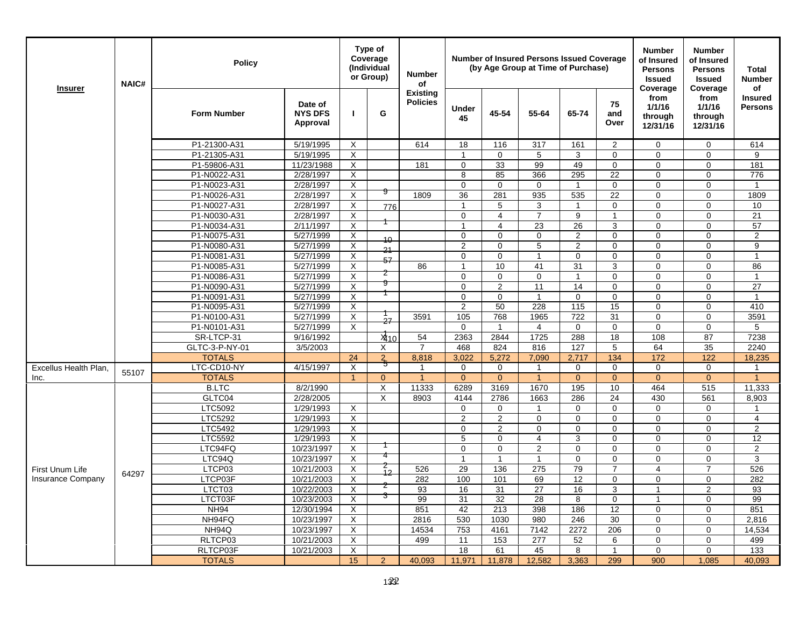| <b>Existing</b><br>from<br>from<br><b>Insured</b><br><b>Policies</b><br>75<br>Date of<br>1/1/16<br>1/1/16<br><b>Persons</b><br><b>Under</b><br>G<br>45-54<br><b>Form Number</b><br><b>NYS DFS</b><br>55-64<br>65-74<br>and<br>through<br>through<br>45<br>Approval<br>Over<br>12/31/16<br>12/31/16<br>P1-21300-A31<br>5/19/1995<br>X<br>614<br>18<br>116<br>317<br>161<br>$\overline{2}$<br>$\mathbf 0$<br>$\mathbf 0$<br>614<br>P1-21305-A31<br>5/19/1995<br>X<br>$\mathbf 0$<br>9<br>0<br>5<br>3<br>0<br>0<br>$\mathbf 1$<br>$\overline{\mathsf{x}}$<br>33<br>99<br>49<br>P1-59806-A31<br>11/23/1988<br>0<br>0<br>$\Omega$<br>181<br>181<br>$\Omega$<br>22<br>P1-N0022-A31<br>2/28/1997<br>X<br>8<br>85<br>366<br>295<br>$\Omega$<br>776<br>$\Omega$<br>$\overline{\mathsf{x}}$<br>P1-N0023-A31<br>2/28/1997<br>0<br>$\mathbf 0$<br>$\mathbf 0$<br>$\mathbf{1}$<br>0<br>$\mathbf 0$<br>$\mathbf 0$<br>$\mathbf{1}$<br>9<br>$\overline{X}$<br>36<br>281<br>935<br>535<br>22<br>1809<br>P1-N0026-A31<br>2/28/1997<br>1809<br>$\mathbf 0$<br>$\Omega$<br>X<br>$\mathbf 0$<br>P1-N0027-A31<br>2/28/1997<br>5<br>3<br>0<br>$\mathbf 0$<br>10<br>776<br>-1<br>1<br>P1-N0030-A31<br>2/28/1997<br>X<br>0<br>$\overline{4}$<br>$\overline{7}$<br>9<br>21<br>$\mathbf{1}$<br>$\mathbf 0$<br>$\Omega$<br>P1-N0034-A31<br>X<br>23<br>26<br>3<br>57<br>2/11/1997<br>$\overline{4}$<br>$\mathbf 0$<br>$\Omega$<br>1<br>$\overline{X}$<br>0<br>$\Omega$<br>0<br>$\overline{c}$<br>0<br>$\overline{2}$<br>P1-N0075-A31<br>5/27/1999<br>$\Omega$<br>$\Omega$<br>10<br>$\overline{X}$<br>$\overline{2}$<br>9<br>P1-N0080-A31<br>5/27/1999<br>$\mathbf 0$<br>5<br>$\overline{2}$<br>0<br>$\mathbf 0$<br>$\mathbf 0$<br>21<br>$\times$<br>0<br>P1-N0081-A31<br>5/27/1999<br>0<br>$\Omega$<br>$\overline{1}$<br>$\mathbf 0$<br>$\mathbf 0$<br>$\Omega$<br>$\mathbf{1}$<br>57<br>$\overline{X}$<br>P1-N0085-A31<br>10<br>41<br>31<br>3<br>$\mathbf 0$<br>86<br>5/27/1999<br>86<br>$\mathbf{1}$<br>$\Omega$<br>2<br>P1-N0086-A31<br>5/27/1999<br>X<br>0<br>$\mathbf 0$<br>$\mathbf 0$<br>$\mathbf 0$<br>$\mathbf 0$<br>$\mathbf 0$<br>$\mathbf{1}$<br>$\mathbf{1}$<br>9<br>P1-N0090-A31<br>5/27/1999<br>X<br>0<br>$\overline{2}$<br>11<br>14<br>0<br>$\mathbf 0$<br>27<br>$\mathbf 0$<br>X<br>$\Omega$<br>0<br>P1-N0091-A31<br>5/27/1999<br>$\pmb{0}$<br>$\Omega$<br>$\Omega$<br>1<br>$\Omega$<br>1<br>228<br>P1-N0095-A31<br>5/27/1999<br>X<br>$\overline{2}$<br>50<br>115<br>15<br>$\Omega$<br>$\Omega$<br>410<br>X<br>722<br>31<br>3591<br>P1-N0100-A31<br>5/27/1999<br>3591<br>105<br>768<br>1965<br>$\mathbf 0$<br>$\mathbf 0$<br>27<br>P1-N0101-A31<br>5/27/1999<br>$\times$<br>$\mathbf 0$<br>$\mathbf 0$<br>$\mathbf 0$<br>0<br>$\mathbf{1}$<br>$\overline{4}$<br>$\mathbf 0$<br>5<br>288<br>SR-LTCP-31<br>9/16/1992<br>$x_{10}$<br>54<br>2363<br>2844<br>1725<br>18<br>108<br>87<br>7238<br>GLTC-3-P-NY-01<br>816<br>127<br>5<br>64<br>35<br>2240<br>3/5/2003<br>$\overline{7}$<br>468<br>824<br>X<br><b>TOTALS</b><br>134<br>172<br>24<br>$\frac{2}{5}$<br>8,818<br>3.022<br>5,272<br>7,090<br>2,717<br>122<br>18,235<br>$\sf X$<br>LTC-CD10-NY<br>0<br>4/15/1997<br>0<br>$\mathbf 0$<br>$\mathbf{1}$<br>$\mathbf 0$<br>$\mathbf 0$<br>$\Omega$<br>Excellus Health Plan,<br>1<br>1<br>55107<br><b>TOTALS</b><br>$\overline{1}$<br>$\overline{0}$<br>$\overline{1}$<br>$\overline{0}$<br>$\overline{0}$<br>$\mathbf{1}$<br>$\mathbf{0}$<br>$\overline{0}$<br>$\mathbf{0}$<br>$\overline{0}$<br>$\overline{1}$<br>Inc.<br>195<br><b>B.LTC</b><br>8/2/1990<br>X<br>11333<br>6289<br>3169<br>1670<br>10<br>464<br>11,333<br>515<br>286<br>$\overline{24}$<br>GLTC04<br>2/28/2005<br>X<br>2786<br>1663<br>430<br>561<br>8,903<br>8903<br>4144<br>LTC5092<br>1/29/1993<br>X<br>$\mathbf 0$<br>$\mathbf 0$<br>0<br>$\mathbf 0$<br>$\mathbf 0$<br>$\overline{1}$<br>$\mathbf 0$<br>1<br>LTC5292<br>1/29/1993<br>X<br>$\overline{2}$<br>$\mathbf{2}$<br>$\mathbf 0$<br>$\mathbf 0$<br>$\mathbf 0$<br>$\mathbf 0$<br>$\overline{4}$<br>$\mathbf 0$<br>$\overline{\mathsf{x}}$<br>$\overline{2}$<br>0<br>$\overline{2}$<br>LTC5492<br>1/29/1993<br>0<br>$\mathbf 0$<br>0<br>$\Omega$<br>$\Omega$<br>LTC5592<br>1/29/1993<br>$\boldsymbol{\mathsf{X}}$<br>5<br>3<br>0<br>12<br>$\mathbf 0$<br>4<br>$\mathbf 0$<br>$\Omega$<br>X<br>$\overline{2}$<br>$\overline{2}$<br>LTC94FQ<br>10/23/1997<br>$\mathbf 0$<br>$\mathbf 0$<br>$\mathbf 0$<br>$\mathbf 0$<br>$\mathbf 0$<br>$\mathbf 0$<br>X<br>3<br>LTC94Q<br>10/23/1997<br>$\mathbf 0$<br>$\mathbf 0$<br>$\mathbf 0$<br>$\mathbf{1}$<br>$\mathbf{1}$<br>$\mathbf{1}$<br>$\mathbf 0$<br>z<br>LTCP03<br>X<br>526<br>29<br>136<br>275<br>79<br>526<br>10/21/2003<br>$\overline{7}$<br>$\overline{7}$<br>4<br>First Unum Life<br>12<br>64297<br>LTCP03F<br>X<br>282<br>100<br>69<br>12<br>282<br><b>Insurance Company</b><br>10/21/2003<br>101<br>$\mathbf 0$<br>$\mathbf 0$<br>$\mathbf 0$<br>z<br>X<br>27<br>3<br>LTCT03<br>10/22/2003<br>93<br>16<br>31<br>16<br>2<br>93<br>$\overline{1}$<br>3<br>X<br>99<br>32<br>28<br>8<br>0<br>99<br>LTCT03F<br>10/23/2003<br>31<br>$\overline{1}$<br>$\Omega$<br>X<br><b>NH94</b><br>12/30/1994<br>851<br>42<br>213<br>398<br>186<br>12<br>851<br>$\Omega$<br>$\Omega$<br>NH94FQ<br>$\mathsf{X}$<br>980<br>246<br>30<br>10/23/1997<br>2816<br>530<br>1030<br>$\mathbf 0$<br>$\mathbf 0$<br>2,816<br>NH94Q<br>X<br>14534<br>753<br>4161<br>7142<br>2272<br>206<br>14,534<br>10/23/1997<br>$\mathbf 0$<br>$\mathbf 0$ |                | <b>NAIC#</b> | <b>Policy</b> |  | Type of<br>Coverage<br>(Individual<br>or Group) |  | <b>Number</b><br>of |  | <b>Number of Insured Persons Issued Coverage</b><br>(by Age Group at Time of Purchase) |  | <b>Number</b><br>of Insured<br><b>Persons</b><br><b>Issued</b><br>Coverage | <b>Number</b><br>of Insured<br><b>Persons</b><br><b>Issued</b> | <b>Total</b><br><b>Number</b><br>of |
|------------------------------------------------------------------------------------------------------------------------------------------------------------------------------------------------------------------------------------------------------------------------------------------------------------------------------------------------------------------------------------------------------------------------------------------------------------------------------------------------------------------------------------------------------------------------------------------------------------------------------------------------------------------------------------------------------------------------------------------------------------------------------------------------------------------------------------------------------------------------------------------------------------------------------------------------------------------------------------------------------------------------------------------------------------------------------------------------------------------------------------------------------------------------------------------------------------------------------------------------------------------------------------------------------------------------------------------------------------------------------------------------------------------------------------------------------------------------------------------------------------------------------------------------------------------------------------------------------------------------------------------------------------------------------------------------------------------------------------------------------------------------------------------------------------------------------------------------------------------------------------------------------------------------------------------------------------------------------------------------------------------------------------------------------------------------------------------------------------------------------------------------------------------------------------------------------------------------------------------------------------------------------------------------------------------------------------------------------------------------------------------------------------------------------------------------------------------------------------------------------------------------------------------------------------------------------------------------------------------------------------------------------------------------------------------------------------------------------------------------------------------------------------------------------------------------------------------------------------------------------------------------------------------------------------------------------------------------------------------------------------------------------------------------------------------------------------------------------------------------------------------------------------------------------------------------------------------------------------------------------------------------------------------------------------------------------------------------------------------------------------------------------------------------------------------------------------------------------------------------------------------------------------------------------------------------------------------------------------------------------------------------------------------------------------------------------------------------------------------------------------------------------------------------------------------------------------------------------------------------------------------------------------------------------------------------------------------------------------------------------------------------------------------------------------------------------------------------------------------------------------------------------------------------------------------------------------------------------------------------------------------------------------------------------------------------------------------------------------------------------------------------------------------------------------------------------------------------------------------------------------------------------------------------------------------------------------------------------------------------------------------------------------------------------------------------------------------------------------------------------------------------------------------------------------------------------------------------------------------------------------------------------------------------------------------------------------------------------------------------------------------------------------------------------------------------------------------------------------------------------------------------------------------------------------------------------------------------------------------------------------------------------------------------------------------------------------------------------------------------------------------------------------------------------------------------------------------------------------|----------------|--------------|---------------|--|-------------------------------------------------|--|---------------------|--|----------------------------------------------------------------------------------------|--|----------------------------------------------------------------------------|----------------------------------------------------------------|-------------------------------------|
|                                                                                                                                                                                                                                                                                                                                                                                                                                                                                                                                                                                                                                                                                                                                                                                                                                                                                                                                                                                                                                                                                                                                                                                                                                                                                                                                                                                                                                                                                                                                                                                                                                                                                                                                                                                                                                                                                                                                                                                                                                                                                                                                                                                                                                                                                                                                                                                                                                                                                                                                                                                                                                                                                                                                                                                                                                                                                                                                                                                                                                                                                                                                                                                                                                                                                                                                                                                                                                                                                                                                                                                                                                                                                                                                                                                                                                                                                                                                                                                                                                                                                                                                                                                                                                                                                                                                                                                                                                                                                                                                                                                                                                                                                                                                                                                                                                                                                                                                                                                                                                                                                                                                                                                                                                                                                                                                                                                                                                                                                    | <b>Insurer</b> |              |               |  |                                                 |  |                     |  |                                                                                        |  |                                                                            | Coverage                                                       |                                     |
|                                                                                                                                                                                                                                                                                                                                                                                                                                                                                                                                                                                                                                                                                                                                                                                                                                                                                                                                                                                                                                                                                                                                                                                                                                                                                                                                                                                                                                                                                                                                                                                                                                                                                                                                                                                                                                                                                                                                                                                                                                                                                                                                                                                                                                                                                                                                                                                                                                                                                                                                                                                                                                                                                                                                                                                                                                                                                                                                                                                                                                                                                                                                                                                                                                                                                                                                                                                                                                                                                                                                                                                                                                                                                                                                                                                                                                                                                                                                                                                                                                                                                                                                                                                                                                                                                                                                                                                                                                                                                                                                                                                                                                                                                                                                                                                                                                                                                                                                                                                                                                                                                                                                                                                                                                                                                                                                                                                                                                                                                    |                |              |               |  |                                                 |  |                     |  |                                                                                        |  |                                                                            |                                                                |                                     |
|                                                                                                                                                                                                                                                                                                                                                                                                                                                                                                                                                                                                                                                                                                                                                                                                                                                                                                                                                                                                                                                                                                                                                                                                                                                                                                                                                                                                                                                                                                                                                                                                                                                                                                                                                                                                                                                                                                                                                                                                                                                                                                                                                                                                                                                                                                                                                                                                                                                                                                                                                                                                                                                                                                                                                                                                                                                                                                                                                                                                                                                                                                                                                                                                                                                                                                                                                                                                                                                                                                                                                                                                                                                                                                                                                                                                                                                                                                                                                                                                                                                                                                                                                                                                                                                                                                                                                                                                                                                                                                                                                                                                                                                                                                                                                                                                                                                                                                                                                                                                                                                                                                                                                                                                                                                                                                                                                                                                                                                                                    |                |              |               |  |                                                 |  |                     |  |                                                                                        |  |                                                                            |                                                                |                                     |
|                                                                                                                                                                                                                                                                                                                                                                                                                                                                                                                                                                                                                                                                                                                                                                                                                                                                                                                                                                                                                                                                                                                                                                                                                                                                                                                                                                                                                                                                                                                                                                                                                                                                                                                                                                                                                                                                                                                                                                                                                                                                                                                                                                                                                                                                                                                                                                                                                                                                                                                                                                                                                                                                                                                                                                                                                                                                                                                                                                                                                                                                                                                                                                                                                                                                                                                                                                                                                                                                                                                                                                                                                                                                                                                                                                                                                                                                                                                                                                                                                                                                                                                                                                                                                                                                                                                                                                                                                                                                                                                                                                                                                                                                                                                                                                                                                                                                                                                                                                                                                                                                                                                                                                                                                                                                                                                                                                                                                                                                                    |                |              |               |  |                                                 |  |                     |  |                                                                                        |  |                                                                            |                                                                |                                     |
|                                                                                                                                                                                                                                                                                                                                                                                                                                                                                                                                                                                                                                                                                                                                                                                                                                                                                                                                                                                                                                                                                                                                                                                                                                                                                                                                                                                                                                                                                                                                                                                                                                                                                                                                                                                                                                                                                                                                                                                                                                                                                                                                                                                                                                                                                                                                                                                                                                                                                                                                                                                                                                                                                                                                                                                                                                                                                                                                                                                                                                                                                                                                                                                                                                                                                                                                                                                                                                                                                                                                                                                                                                                                                                                                                                                                                                                                                                                                                                                                                                                                                                                                                                                                                                                                                                                                                                                                                                                                                                                                                                                                                                                                                                                                                                                                                                                                                                                                                                                                                                                                                                                                                                                                                                                                                                                                                                                                                                                                                    |                |              |               |  |                                                 |  |                     |  |                                                                                        |  |                                                                            |                                                                |                                     |
|                                                                                                                                                                                                                                                                                                                                                                                                                                                                                                                                                                                                                                                                                                                                                                                                                                                                                                                                                                                                                                                                                                                                                                                                                                                                                                                                                                                                                                                                                                                                                                                                                                                                                                                                                                                                                                                                                                                                                                                                                                                                                                                                                                                                                                                                                                                                                                                                                                                                                                                                                                                                                                                                                                                                                                                                                                                                                                                                                                                                                                                                                                                                                                                                                                                                                                                                                                                                                                                                                                                                                                                                                                                                                                                                                                                                                                                                                                                                                                                                                                                                                                                                                                                                                                                                                                                                                                                                                                                                                                                                                                                                                                                                                                                                                                                                                                                                                                                                                                                                                                                                                                                                                                                                                                                                                                                                                                                                                                                                                    |                |              |               |  |                                                 |  |                     |  |                                                                                        |  |                                                                            |                                                                |                                     |
|                                                                                                                                                                                                                                                                                                                                                                                                                                                                                                                                                                                                                                                                                                                                                                                                                                                                                                                                                                                                                                                                                                                                                                                                                                                                                                                                                                                                                                                                                                                                                                                                                                                                                                                                                                                                                                                                                                                                                                                                                                                                                                                                                                                                                                                                                                                                                                                                                                                                                                                                                                                                                                                                                                                                                                                                                                                                                                                                                                                                                                                                                                                                                                                                                                                                                                                                                                                                                                                                                                                                                                                                                                                                                                                                                                                                                                                                                                                                                                                                                                                                                                                                                                                                                                                                                                                                                                                                                                                                                                                                                                                                                                                                                                                                                                                                                                                                                                                                                                                                                                                                                                                                                                                                                                                                                                                                                                                                                                                                                    |                |              |               |  |                                                 |  |                     |  |                                                                                        |  |                                                                            |                                                                |                                     |
|                                                                                                                                                                                                                                                                                                                                                                                                                                                                                                                                                                                                                                                                                                                                                                                                                                                                                                                                                                                                                                                                                                                                                                                                                                                                                                                                                                                                                                                                                                                                                                                                                                                                                                                                                                                                                                                                                                                                                                                                                                                                                                                                                                                                                                                                                                                                                                                                                                                                                                                                                                                                                                                                                                                                                                                                                                                                                                                                                                                                                                                                                                                                                                                                                                                                                                                                                                                                                                                                                                                                                                                                                                                                                                                                                                                                                                                                                                                                                                                                                                                                                                                                                                                                                                                                                                                                                                                                                                                                                                                                                                                                                                                                                                                                                                                                                                                                                                                                                                                                                                                                                                                                                                                                                                                                                                                                                                                                                                                                                    |                |              |               |  |                                                 |  |                     |  |                                                                                        |  |                                                                            |                                                                |                                     |
|                                                                                                                                                                                                                                                                                                                                                                                                                                                                                                                                                                                                                                                                                                                                                                                                                                                                                                                                                                                                                                                                                                                                                                                                                                                                                                                                                                                                                                                                                                                                                                                                                                                                                                                                                                                                                                                                                                                                                                                                                                                                                                                                                                                                                                                                                                                                                                                                                                                                                                                                                                                                                                                                                                                                                                                                                                                                                                                                                                                                                                                                                                                                                                                                                                                                                                                                                                                                                                                                                                                                                                                                                                                                                                                                                                                                                                                                                                                                                                                                                                                                                                                                                                                                                                                                                                                                                                                                                                                                                                                                                                                                                                                                                                                                                                                                                                                                                                                                                                                                                                                                                                                                                                                                                                                                                                                                                                                                                                                                                    |                |              |               |  |                                                 |  |                     |  |                                                                                        |  |                                                                            |                                                                |                                     |
|                                                                                                                                                                                                                                                                                                                                                                                                                                                                                                                                                                                                                                                                                                                                                                                                                                                                                                                                                                                                                                                                                                                                                                                                                                                                                                                                                                                                                                                                                                                                                                                                                                                                                                                                                                                                                                                                                                                                                                                                                                                                                                                                                                                                                                                                                                                                                                                                                                                                                                                                                                                                                                                                                                                                                                                                                                                                                                                                                                                                                                                                                                                                                                                                                                                                                                                                                                                                                                                                                                                                                                                                                                                                                                                                                                                                                                                                                                                                                                                                                                                                                                                                                                                                                                                                                                                                                                                                                                                                                                                                                                                                                                                                                                                                                                                                                                                                                                                                                                                                                                                                                                                                                                                                                                                                                                                                                                                                                                                                                    |                |              |               |  |                                                 |  |                     |  |                                                                                        |  |                                                                            |                                                                |                                     |
|                                                                                                                                                                                                                                                                                                                                                                                                                                                                                                                                                                                                                                                                                                                                                                                                                                                                                                                                                                                                                                                                                                                                                                                                                                                                                                                                                                                                                                                                                                                                                                                                                                                                                                                                                                                                                                                                                                                                                                                                                                                                                                                                                                                                                                                                                                                                                                                                                                                                                                                                                                                                                                                                                                                                                                                                                                                                                                                                                                                                                                                                                                                                                                                                                                                                                                                                                                                                                                                                                                                                                                                                                                                                                                                                                                                                                                                                                                                                                                                                                                                                                                                                                                                                                                                                                                                                                                                                                                                                                                                                                                                                                                                                                                                                                                                                                                                                                                                                                                                                                                                                                                                                                                                                                                                                                                                                                                                                                                                                                    |                |              |               |  |                                                 |  |                     |  |                                                                                        |  |                                                                            |                                                                |                                     |
|                                                                                                                                                                                                                                                                                                                                                                                                                                                                                                                                                                                                                                                                                                                                                                                                                                                                                                                                                                                                                                                                                                                                                                                                                                                                                                                                                                                                                                                                                                                                                                                                                                                                                                                                                                                                                                                                                                                                                                                                                                                                                                                                                                                                                                                                                                                                                                                                                                                                                                                                                                                                                                                                                                                                                                                                                                                                                                                                                                                                                                                                                                                                                                                                                                                                                                                                                                                                                                                                                                                                                                                                                                                                                                                                                                                                                                                                                                                                                                                                                                                                                                                                                                                                                                                                                                                                                                                                                                                                                                                                                                                                                                                                                                                                                                                                                                                                                                                                                                                                                                                                                                                                                                                                                                                                                                                                                                                                                                                                                    |                |              |               |  |                                                 |  |                     |  |                                                                                        |  |                                                                            |                                                                |                                     |
|                                                                                                                                                                                                                                                                                                                                                                                                                                                                                                                                                                                                                                                                                                                                                                                                                                                                                                                                                                                                                                                                                                                                                                                                                                                                                                                                                                                                                                                                                                                                                                                                                                                                                                                                                                                                                                                                                                                                                                                                                                                                                                                                                                                                                                                                                                                                                                                                                                                                                                                                                                                                                                                                                                                                                                                                                                                                                                                                                                                                                                                                                                                                                                                                                                                                                                                                                                                                                                                                                                                                                                                                                                                                                                                                                                                                                                                                                                                                                                                                                                                                                                                                                                                                                                                                                                                                                                                                                                                                                                                                                                                                                                                                                                                                                                                                                                                                                                                                                                                                                                                                                                                                                                                                                                                                                                                                                                                                                                                                                    |                |              |               |  |                                                 |  |                     |  |                                                                                        |  |                                                                            |                                                                |                                     |
|                                                                                                                                                                                                                                                                                                                                                                                                                                                                                                                                                                                                                                                                                                                                                                                                                                                                                                                                                                                                                                                                                                                                                                                                                                                                                                                                                                                                                                                                                                                                                                                                                                                                                                                                                                                                                                                                                                                                                                                                                                                                                                                                                                                                                                                                                                                                                                                                                                                                                                                                                                                                                                                                                                                                                                                                                                                                                                                                                                                                                                                                                                                                                                                                                                                                                                                                                                                                                                                                                                                                                                                                                                                                                                                                                                                                                                                                                                                                                                                                                                                                                                                                                                                                                                                                                                                                                                                                                                                                                                                                                                                                                                                                                                                                                                                                                                                                                                                                                                                                                                                                                                                                                                                                                                                                                                                                                                                                                                                                                    |                |              |               |  |                                                 |  |                     |  |                                                                                        |  |                                                                            |                                                                |                                     |
|                                                                                                                                                                                                                                                                                                                                                                                                                                                                                                                                                                                                                                                                                                                                                                                                                                                                                                                                                                                                                                                                                                                                                                                                                                                                                                                                                                                                                                                                                                                                                                                                                                                                                                                                                                                                                                                                                                                                                                                                                                                                                                                                                                                                                                                                                                                                                                                                                                                                                                                                                                                                                                                                                                                                                                                                                                                                                                                                                                                                                                                                                                                                                                                                                                                                                                                                                                                                                                                                                                                                                                                                                                                                                                                                                                                                                                                                                                                                                                                                                                                                                                                                                                                                                                                                                                                                                                                                                                                                                                                                                                                                                                                                                                                                                                                                                                                                                                                                                                                                                                                                                                                                                                                                                                                                                                                                                                                                                                                                                    |                |              |               |  |                                                 |  |                     |  |                                                                                        |  |                                                                            |                                                                |                                     |
|                                                                                                                                                                                                                                                                                                                                                                                                                                                                                                                                                                                                                                                                                                                                                                                                                                                                                                                                                                                                                                                                                                                                                                                                                                                                                                                                                                                                                                                                                                                                                                                                                                                                                                                                                                                                                                                                                                                                                                                                                                                                                                                                                                                                                                                                                                                                                                                                                                                                                                                                                                                                                                                                                                                                                                                                                                                                                                                                                                                                                                                                                                                                                                                                                                                                                                                                                                                                                                                                                                                                                                                                                                                                                                                                                                                                                                                                                                                                                                                                                                                                                                                                                                                                                                                                                                                                                                                                                                                                                                                                                                                                                                                                                                                                                                                                                                                                                                                                                                                                                                                                                                                                                                                                                                                                                                                                                                                                                                                                                    |                |              |               |  |                                                 |  |                     |  |                                                                                        |  |                                                                            |                                                                |                                     |
|                                                                                                                                                                                                                                                                                                                                                                                                                                                                                                                                                                                                                                                                                                                                                                                                                                                                                                                                                                                                                                                                                                                                                                                                                                                                                                                                                                                                                                                                                                                                                                                                                                                                                                                                                                                                                                                                                                                                                                                                                                                                                                                                                                                                                                                                                                                                                                                                                                                                                                                                                                                                                                                                                                                                                                                                                                                                                                                                                                                                                                                                                                                                                                                                                                                                                                                                                                                                                                                                                                                                                                                                                                                                                                                                                                                                                                                                                                                                                                                                                                                                                                                                                                                                                                                                                                                                                                                                                                                                                                                                                                                                                                                                                                                                                                                                                                                                                                                                                                                                                                                                                                                                                                                                                                                                                                                                                                                                                                                                                    |                |              |               |  |                                                 |  |                     |  |                                                                                        |  |                                                                            |                                                                |                                     |
|                                                                                                                                                                                                                                                                                                                                                                                                                                                                                                                                                                                                                                                                                                                                                                                                                                                                                                                                                                                                                                                                                                                                                                                                                                                                                                                                                                                                                                                                                                                                                                                                                                                                                                                                                                                                                                                                                                                                                                                                                                                                                                                                                                                                                                                                                                                                                                                                                                                                                                                                                                                                                                                                                                                                                                                                                                                                                                                                                                                                                                                                                                                                                                                                                                                                                                                                                                                                                                                                                                                                                                                                                                                                                                                                                                                                                                                                                                                                                                                                                                                                                                                                                                                                                                                                                                                                                                                                                                                                                                                                                                                                                                                                                                                                                                                                                                                                                                                                                                                                                                                                                                                                                                                                                                                                                                                                                                                                                                                                                    |                |              |               |  |                                                 |  |                     |  |                                                                                        |  |                                                                            |                                                                |                                     |
|                                                                                                                                                                                                                                                                                                                                                                                                                                                                                                                                                                                                                                                                                                                                                                                                                                                                                                                                                                                                                                                                                                                                                                                                                                                                                                                                                                                                                                                                                                                                                                                                                                                                                                                                                                                                                                                                                                                                                                                                                                                                                                                                                                                                                                                                                                                                                                                                                                                                                                                                                                                                                                                                                                                                                                                                                                                                                                                                                                                                                                                                                                                                                                                                                                                                                                                                                                                                                                                                                                                                                                                                                                                                                                                                                                                                                                                                                                                                                                                                                                                                                                                                                                                                                                                                                                                                                                                                                                                                                                                                                                                                                                                                                                                                                                                                                                                                                                                                                                                                                                                                                                                                                                                                                                                                                                                                                                                                                                                                                    |                |              |               |  |                                                 |  |                     |  |                                                                                        |  |                                                                            |                                                                |                                     |
|                                                                                                                                                                                                                                                                                                                                                                                                                                                                                                                                                                                                                                                                                                                                                                                                                                                                                                                                                                                                                                                                                                                                                                                                                                                                                                                                                                                                                                                                                                                                                                                                                                                                                                                                                                                                                                                                                                                                                                                                                                                                                                                                                                                                                                                                                                                                                                                                                                                                                                                                                                                                                                                                                                                                                                                                                                                                                                                                                                                                                                                                                                                                                                                                                                                                                                                                                                                                                                                                                                                                                                                                                                                                                                                                                                                                                                                                                                                                                                                                                                                                                                                                                                                                                                                                                                                                                                                                                                                                                                                                                                                                                                                                                                                                                                                                                                                                                                                                                                                                                                                                                                                                                                                                                                                                                                                                                                                                                                                                                    |                |              |               |  |                                                 |  |                     |  |                                                                                        |  |                                                                            |                                                                |                                     |
|                                                                                                                                                                                                                                                                                                                                                                                                                                                                                                                                                                                                                                                                                                                                                                                                                                                                                                                                                                                                                                                                                                                                                                                                                                                                                                                                                                                                                                                                                                                                                                                                                                                                                                                                                                                                                                                                                                                                                                                                                                                                                                                                                                                                                                                                                                                                                                                                                                                                                                                                                                                                                                                                                                                                                                                                                                                                                                                                                                                                                                                                                                                                                                                                                                                                                                                                                                                                                                                                                                                                                                                                                                                                                                                                                                                                                                                                                                                                                                                                                                                                                                                                                                                                                                                                                                                                                                                                                                                                                                                                                                                                                                                                                                                                                                                                                                                                                                                                                                                                                                                                                                                                                                                                                                                                                                                                                                                                                                                                                    |                |              |               |  |                                                 |  |                     |  |                                                                                        |  |                                                                            |                                                                |                                     |
|                                                                                                                                                                                                                                                                                                                                                                                                                                                                                                                                                                                                                                                                                                                                                                                                                                                                                                                                                                                                                                                                                                                                                                                                                                                                                                                                                                                                                                                                                                                                                                                                                                                                                                                                                                                                                                                                                                                                                                                                                                                                                                                                                                                                                                                                                                                                                                                                                                                                                                                                                                                                                                                                                                                                                                                                                                                                                                                                                                                                                                                                                                                                                                                                                                                                                                                                                                                                                                                                                                                                                                                                                                                                                                                                                                                                                                                                                                                                                                                                                                                                                                                                                                                                                                                                                                                                                                                                                                                                                                                                                                                                                                                                                                                                                                                                                                                                                                                                                                                                                                                                                                                                                                                                                                                                                                                                                                                                                                                                                    |                |              |               |  |                                                 |  |                     |  |                                                                                        |  |                                                                            |                                                                |                                     |
|                                                                                                                                                                                                                                                                                                                                                                                                                                                                                                                                                                                                                                                                                                                                                                                                                                                                                                                                                                                                                                                                                                                                                                                                                                                                                                                                                                                                                                                                                                                                                                                                                                                                                                                                                                                                                                                                                                                                                                                                                                                                                                                                                                                                                                                                                                                                                                                                                                                                                                                                                                                                                                                                                                                                                                                                                                                                                                                                                                                                                                                                                                                                                                                                                                                                                                                                                                                                                                                                                                                                                                                                                                                                                                                                                                                                                                                                                                                                                                                                                                                                                                                                                                                                                                                                                                                                                                                                                                                                                                                                                                                                                                                                                                                                                                                                                                                                                                                                                                                                                                                                                                                                                                                                                                                                                                                                                                                                                                                                                    |                |              |               |  |                                                 |  |                     |  |                                                                                        |  |                                                                            |                                                                |                                     |
|                                                                                                                                                                                                                                                                                                                                                                                                                                                                                                                                                                                                                                                                                                                                                                                                                                                                                                                                                                                                                                                                                                                                                                                                                                                                                                                                                                                                                                                                                                                                                                                                                                                                                                                                                                                                                                                                                                                                                                                                                                                                                                                                                                                                                                                                                                                                                                                                                                                                                                                                                                                                                                                                                                                                                                                                                                                                                                                                                                                                                                                                                                                                                                                                                                                                                                                                                                                                                                                                                                                                                                                                                                                                                                                                                                                                                                                                                                                                                                                                                                                                                                                                                                                                                                                                                                                                                                                                                                                                                                                                                                                                                                                                                                                                                                                                                                                                                                                                                                                                                                                                                                                                                                                                                                                                                                                                                                                                                                                                                    |                |              |               |  |                                                 |  |                     |  |                                                                                        |  |                                                                            |                                                                |                                     |
|                                                                                                                                                                                                                                                                                                                                                                                                                                                                                                                                                                                                                                                                                                                                                                                                                                                                                                                                                                                                                                                                                                                                                                                                                                                                                                                                                                                                                                                                                                                                                                                                                                                                                                                                                                                                                                                                                                                                                                                                                                                                                                                                                                                                                                                                                                                                                                                                                                                                                                                                                                                                                                                                                                                                                                                                                                                                                                                                                                                                                                                                                                                                                                                                                                                                                                                                                                                                                                                                                                                                                                                                                                                                                                                                                                                                                                                                                                                                                                                                                                                                                                                                                                                                                                                                                                                                                                                                                                                                                                                                                                                                                                                                                                                                                                                                                                                                                                                                                                                                                                                                                                                                                                                                                                                                                                                                                                                                                                                                                    |                |              |               |  |                                                 |  |                     |  |                                                                                        |  |                                                                            |                                                                |                                     |
|                                                                                                                                                                                                                                                                                                                                                                                                                                                                                                                                                                                                                                                                                                                                                                                                                                                                                                                                                                                                                                                                                                                                                                                                                                                                                                                                                                                                                                                                                                                                                                                                                                                                                                                                                                                                                                                                                                                                                                                                                                                                                                                                                                                                                                                                                                                                                                                                                                                                                                                                                                                                                                                                                                                                                                                                                                                                                                                                                                                                                                                                                                                                                                                                                                                                                                                                                                                                                                                                                                                                                                                                                                                                                                                                                                                                                                                                                                                                                                                                                                                                                                                                                                                                                                                                                                                                                                                                                                                                                                                                                                                                                                                                                                                                                                                                                                                                                                                                                                                                                                                                                                                                                                                                                                                                                                                                                                                                                                                                                    |                |              |               |  |                                                 |  |                     |  |                                                                                        |  |                                                                            |                                                                |                                     |
|                                                                                                                                                                                                                                                                                                                                                                                                                                                                                                                                                                                                                                                                                                                                                                                                                                                                                                                                                                                                                                                                                                                                                                                                                                                                                                                                                                                                                                                                                                                                                                                                                                                                                                                                                                                                                                                                                                                                                                                                                                                                                                                                                                                                                                                                                                                                                                                                                                                                                                                                                                                                                                                                                                                                                                                                                                                                                                                                                                                                                                                                                                                                                                                                                                                                                                                                                                                                                                                                                                                                                                                                                                                                                                                                                                                                                                                                                                                                                                                                                                                                                                                                                                                                                                                                                                                                                                                                                                                                                                                                                                                                                                                                                                                                                                                                                                                                                                                                                                                                                                                                                                                                                                                                                                                                                                                                                                                                                                                                                    |                |              |               |  |                                                 |  |                     |  |                                                                                        |  |                                                                            |                                                                |                                     |
|                                                                                                                                                                                                                                                                                                                                                                                                                                                                                                                                                                                                                                                                                                                                                                                                                                                                                                                                                                                                                                                                                                                                                                                                                                                                                                                                                                                                                                                                                                                                                                                                                                                                                                                                                                                                                                                                                                                                                                                                                                                                                                                                                                                                                                                                                                                                                                                                                                                                                                                                                                                                                                                                                                                                                                                                                                                                                                                                                                                                                                                                                                                                                                                                                                                                                                                                                                                                                                                                                                                                                                                                                                                                                                                                                                                                                                                                                                                                                                                                                                                                                                                                                                                                                                                                                                                                                                                                                                                                                                                                                                                                                                                                                                                                                                                                                                                                                                                                                                                                                                                                                                                                                                                                                                                                                                                                                                                                                                                                                    |                |              |               |  |                                                 |  |                     |  |                                                                                        |  |                                                                            |                                                                |                                     |
|                                                                                                                                                                                                                                                                                                                                                                                                                                                                                                                                                                                                                                                                                                                                                                                                                                                                                                                                                                                                                                                                                                                                                                                                                                                                                                                                                                                                                                                                                                                                                                                                                                                                                                                                                                                                                                                                                                                                                                                                                                                                                                                                                                                                                                                                                                                                                                                                                                                                                                                                                                                                                                                                                                                                                                                                                                                                                                                                                                                                                                                                                                                                                                                                                                                                                                                                                                                                                                                                                                                                                                                                                                                                                                                                                                                                                                                                                                                                                                                                                                                                                                                                                                                                                                                                                                                                                                                                                                                                                                                                                                                                                                                                                                                                                                                                                                                                                                                                                                                                                                                                                                                                                                                                                                                                                                                                                                                                                                                                                    |                |              |               |  |                                                 |  |                     |  |                                                                                        |  |                                                                            |                                                                |                                     |
|                                                                                                                                                                                                                                                                                                                                                                                                                                                                                                                                                                                                                                                                                                                                                                                                                                                                                                                                                                                                                                                                                                                                                                                                                                                                                                                                                                                                                                                                                                                                                                                                                                                                                                                                                                                                                                                                                                                                                                                                                                                                                                                                                                                                                                                                                                                                                                                                                                                                                                                                                                                                                                                                                                                                                                                                                                                                                                                                                                                                                                                                                                                                                                                                                                                                                                                                                                                                                                                                                                                                                                                                                                                                                                                                                                                                                                                                                                                                                                                                                                                                                                                                                                                                                                                                                                                                                                                                                                                                                                                                                                                                                                                                                                                                                                                                                                                                                                                                                                                                                                                                                                                                                                                                                                                                                                                                                                                                                                                                                    |                |              |               |  |                                                 |  |                     |  |                                                                                        |  |                                                                            |                                                                |                                     |
|                                                                                                                                                                                                                                                                                                                                                                                                                                                                                                                                                                                                                                                                                                                                                                                                                                                                                                                                                                                                                                                                                                                                                                                                                                                                                                                                                                                                                                                                                                                                                                                                                                                                                                                                                                                                                                                                                                                                                                                                                                                                                                                                                                                                                                                                                                                                                                                                                                                                                                                                                                                                                                                                                                                                                                                                                                                                                                                                                                                                                                                                                                                                                                                                                                                                                                                                                                                                                                                                                                                                                                                                                                                                                                                                                                                                                                                                                                                                                                                                                                                                                                                                                                                                                                                                                                                                                                                                                                                                                                                                                                                                                                                                                                                                                                                                                                                                                                                                                                                                                                                                                                                                                                                                                                                                                                                                                                                                                                                                                    |                |              |               |  |                                                 |  |                     |  |                                                                                        |  |                                                                            |                                                                |                                     |
|                                                                                                                                                                                                                                                                                                                                                                                                                                                                                                                                                                                                                                                                                                                                                                                                                                                                                                                                                                                                                                                                                                                                                                                                                                                                                                                                                                                                                                                                                                                                                                                                                                                                                                                                                                                                                                                                                                                                                                                                                                                                                                                                                                                                                                                                                                                                                                                                                                                                                                                                                                                                                                                                                                                                                                                                                                                                                                                                                                                                                                                                                                                                                                                                                                                                                                                                                                                                                                                                                                                                                                                                                                                                                                                                                                                                                                                                                                                                                                                                                                                                                                                                                                                                                                                                                                                                                                                                                                                                                                                                                                                                                                                                                                                                                                                                                                                                                                                                                                                                                                                                                                                                                                                                                                                                                                                                                                                                                                                                                    |                |              |               |  |                                                 |  |                     |  |                                                                                        |  |                                                                            |                                                                |                                     |
|                                                                                                                                                                                                                                                                                                                                                                                                                                                                                                                                                                                                                                                                                                                                                                                                                                                                                                                                                                                                                                                                                                                                                                                                                                                                                                                                                                                                                                                                                                                                                                                                                                                                                                                                                                                                                                                                                                                                                                                                                                                                                                                                                                                                                                                                                                                                                                                                                                                                                                                                                                                                                                                                                                                                                                                                                                                                                                                                                                                                                                                                                                                                                                                                                                                                                                                                                                                                                                                                                                                                                                                                                                                                                                                                                                                                                                                                                                                                                                                                                                                                                                                                                                                                                                                                                                                                                                                                                                                                                                                                                                                                                                                                                                                                                                                                                                                                                                                                                                                                                                                                                                                                                                                                                                                                                                                                                                                                                                                                                    |                |              |               |  |                                                 |  |                     |  |                                                                                        |  |                                                                            |                                                                |                                     |
|                                                                                                                                                                                                                                                                                                                                                                                                                                                                                                                                                                                                                                                                                                                                                                                                                                                                                                                                                                                                                                                                                                                                                                                                                                                                                                                                                                                                                                                                                                                                                                                                                                                                                                                                                                                                                                                                                                                                                                                                                                                                                                                                                                                                                                                                                                                                                                                                                                                                                                                                                                                                                                                                                                                                                                                                                                                                                                                                                                                                                                                                                                                                                                                                                                                                                                                                                                                                                                                                                                                                                                                                                                                                                                                                                                                                                                                                                                                                                                                                                                                                                                                                                                                                                                                                                                                                                                                                                                                                                                                                                                                                                                                                                                                                                                                                                                                                                                                                                                                                                                                                                                                                                                                                                                                                                                                                                                                                                                                                                    |                |              |               |  |                                                 |  |                     |  |                                                                                        |  |                                                                            |                                                                |                                     |
|                                                                                                                                                                                                                                                                                                                                                                                                                                                                                                                                                                                                                                                                                                                                                                                                                                                                                                                                                                                                                                                                                                                                                                                                                                                                                                                                                                                                                                                                                                                                                                                                                                                                                                                                                                                                                                                                                                                                                                                                                                                                                                                                                                                                                                                                                                                                                                                                                                                                                                                                                                                                                                                                                                                                                                                                                                                                                                                                                                                                                                                                                                                                                                                                                                                                                                                                                                                                                                                                                                                                                                                                                                                                                                                                                                                                                                                                                                                                                                                                                                                                                                                                                                                                                                                                                                                                                                                                                                                                                                                                                                                                                                                                                                                                                                                                                                                                                                                                                                                                                                                                                                                                                                                                                                                                                                                                                                                                                                                                                    |                |              |               |  |                                                 |  |                     |  |                                                                                        |  |                                                                            |                                                                |                                     |
|                                                                                                                                                                                                                                                                                                                                                                                                                                                                                                                                                                                                                                                                                                                                                                                                                                                                                                                                                                                                                                                                                                                                                                                                                                                                                                                                                                                                                                                                                                                                                                                                                                                                                                                                                                                                                                                                                                                                                                                                                                                                                                                                                                                                                                                                                                                                                                                                                                                                                                                                                                                                                                                                                                                                                                                                                                                                                                                                                                                                                                                                                                                                                                                                                                                                                                                                                                                                                                                                                                                                                                                                                                                                                                                                                                                                                                                                                                                                                                                                                                                                                                                                                                                                                                                                                                                                                                                                                                                                                                                                                                                                                                                                                                                                                                                                                                                                                                                                                                                                                                                                                                                                                                                                                                                                                                                                                                                                                                                                                    |                |              |               |  |                                                 |  |                     |  |                                                                                        |  |                                                                            |                                                                |                                     |
|                                                                                                                                                                                                                                                                                                                                                                                                                                                                                                                                                                                                                                                                                                                                                                                                                                                                                                                                                                                                                                                                                                                                                                                                                                                                                                                                                                                                                                                                                                                                                                                                                                                                                                                                                                                                                                                                                                                                                                                                                                                                                                                                                                                                                                                                                                                                                                                                                                                                                                                                                                                                                                                                                                                                                                                                                                                                                                                                                                                                                                                                                                                                                                                                                                                                                                                                                                                                                                                                                                                                                                                                                                                                                                                                                                                                                                                                                                                                                                                                                                                                                                                                                                                                                                                                                                                                                                                                                                                                                                                                                                                                                                                                                                                                                                                                                                                                                                                                                                                                                                                                                                                                                                                                                                                                                                                                                                                                                                                                                    |                |              |               |  |                                                 |  |                     |  |                                                                                        |  |                                                                            |                                                                |                                     |
|                                                                                                                                                                                                                                                                                                                                                                                                                                                                                                                                                                                                                                                                                                                                                                                                                                                                                                                                                                                                                                                                                                                                                                                                                                                                                                                                                                                                                                                                                                                                                                                                                                                                                                                                                                                                                                                                                                                                                                                                                                                                                                                                                                                                                                                                                                                                                                                                                                                                                                                                                                                                                                                                                                                                                                                                                                                                                                                                                                                                                                                                                                                                                                                                                                                                                                                                                                                                                                                                                                                                                                                                                                                                                                                                                                                                                                                                                                                                                                                                                                                                                                                                                                                                                                                                                                                                                                                                                                                                                                                                                                                                                                                                                                                                                                                                                                                                                                                                                                                                                                                                                                                                                                                                                                                                                                                                                                                                                                                                                    |                |              |               |  |                                                 |  |                     |  |                                                                                        |  |                                                                            |                                                                |                                     |
|                                                                                                                                                                                                                                                                                                                                                                                                                                                                                                                                                                                                                                                                                                                                                                                                                                                                                                                                                                                                                                                                                                                                                                                                                                                                                                                                                                                                                                                                                                                                                                                                                                                                                                                                                                                                                                                                                                                                                                                                                                                                                                                                                                                                                                                                                                                                                                                                                                                                                                                                                                                                                                                                                                                                                                                                                                                                                                                                                                                                                                                                                                                                                                                                                                                                                                                                                                                                                                                                                                                                                                                                                                                                                                                                                                                                                                                                                                                                                                                                                                                                                                                                                                                                                                                                                                                                                                                                                                                                                                                                                                                                                                                                                                                                                                                                                                                                                                                                                                                                                                                                                                                                                                                                                                                                                                                                                                                                                                                                                    |                |              |               |  |                                                 |  |                     |  |                                                                                        |  |                                                                            |                                                                |                                     |
|                                                                                                                                                                                                                                                                                                                                                                                                                                                                                                                                                                                                                                                                                                                                                                                                                                                                                                                                                                                                                                                                                                                                                                                                                                                                                                                                                                                                                                                                                                                                                                                                                                                                                                                                                                                                                                                                                                                                                                                                                                                                                                                                                                                                                                                                                                                                                                                                                                                                                                                                                                                                                                                                                                                                                                                                                                                                                                                                                                                                                                                                                                                                                                                                                                                                                                                                                                                                                                                                                                                                                                                                                                                                                                                                                                                                                                                                                                                                                                                                                                                                                                                                                                                                                                                                                                                                                                                                                                                                                                                                                                                                                                                                                                                                                                                                                                                                                                                                                                                                                                                                                                                                                                                                                                                                                                                                                                                                                                                                                    |                |              |               |  |                                                 |  |                     |  |                                                                                        |  |                                                                            |                                                                |                                     |
| RLTCP03<br>X<br>277<br>52<br>499<br>10/21/2003<br>499<br>153<br>6<br>$\mathbf 0$<br>$\mathbf 0$<br>11                                                                                                                                                                                                                                                                                                                                                                                                                                                                                                                                                                                                                                                                                                                                                                                                                                                                                                                                                                                                                                                                                                                                                                                                                                                                                                                                                                                                                                                                                                                                                                                                                                                                                                                                                                                                                                                                                                                                                                                                                                                                                                                                                                                                                                                                                                                                                                                                                                                                                                                                                                                                                                                                                                                                                                                                                                                                                                                                                                                                                                                                                                                                                                                                                                                                                                                                                                                                                                                                                                                                                                                                                                                                                                                                                                                                                                                                                                                                                                                                                                                                                                                                                                                                                                                                                                                                                                                                                                                                                                                                                                                                                                                                                                                                                                                                                                                                                                                                                                                                                                                                                                                                                                                                                                                                                                                                                                              |                |              |               |  |                                                 |  |                     |  |                                                                                        |  |                                                                            |                                                                |                                     |
| RLTCP03F<br>X<br>18<br>61<br>45<br>8<br>$\Omega$<br>$\Omega$<br>133<br>10/21/2003<br>$\mathbf{1}$                                                                                                                                                                                                                                                                                                                                                                                                                                                                                                                                                                                                                                                                                                                                                                                                                                                                                                                                                                                                                                                                                                                                                                                                                                                                                                                                                                                                                                                                                                                                                                                                                                                                                                                                                                                                                                                                                                                                                                                                                                                                                                                                                                                                                                                                                                                                                                                                                                                                                                                                                                                                                                                                                                                                                                                                                                                                                                                                                                                                                                                                                                                                                                                                                                                                                                                                                                                                                                                                                                                                                                                                                                                                                                                                                                                                                                                                                                                                                                                                                                                                                                                                                                                                                                                                                                                                                                                                                                                                                                                                                                                                                                                                                                                                                                                                                                                                                                                                                                                                                                                                                                                                                                                                                                                                                                                                                                                  |                |              |               |  |                                                 |  |                     |  |                                                                                        |  |                                                                            |                                                                |                                     |
| 299<br><b>TOTALS</b><br>15<br>$\overline{2}$<br>11,971<br>12,582<br>3,363<br>900<br>1,085<br>40,093<br>40,093<br>11,878                                                                                                                                                                                                                                                                                                                                                                                                                                                                                                                                                                                                                                                                                                                                                                                                                                                                                                                                                                                                                                                                                                                                                                                                                                                                                                                                                                                                                                                                                                                                                                                                                                                                                                                                                                                                                                                                                                                                                                                                                                                                                                                                                                                                                                                                                                                                                                                                                                                                                                                                                                                                                                                                                                                                                                                                                                                                                                                                                                                                                                                                                                                                                                                                                                                                                                                                                                                                                                                                                                                                                                                                                                                                                                                                                                                                                                                                                                                                                                                                                                                                                                                                                                                                                                                                                                                                                                                                                                                                                                                                                                                                                                                                                                                                                                                                                                                                                                                                                                                                                                                                                                                                                                                                                                                                                                                                                            |                |              |               |  |                                                 |  |                     |  |                                                                                        |  |                                                                            |                                                                |                                     |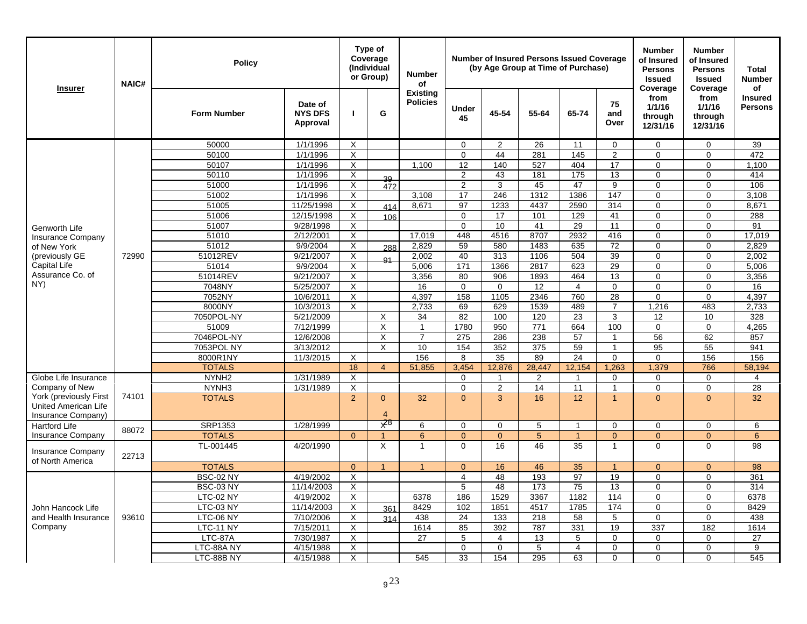| <b>Insurer</b>                               | <b>NAIC#</b> | <b>Policy</b>          |                                       |                     | Type of<br>Coverage<br>(Individual<br>or Group) | <b>Number</b><br>of                |                            |                     | <b>Number of Insured Persons Issued Coverage</b><br>(by Age Group at Time of Purchase) |                |                                | <b>Number</b><br>of Insured<br><b>Persons</b><br><b>Issued</b><br>Coverage | <b>Number</b><br>of Insured<br><b>Persons</b><br><b>Issued</b><br>Coverage | Total<br><b>Number</b><br>οf |
|----------------------------------------------|--------------|------------------------|---------------------------------------|---------------------|-------------------------------------------------|------------------------------------|----------------------------|---------------------|----------------------------------------------------------------------------------------|----------------|--------------------------------|----------------------------------------------------------------------------|----------------------------------------------------------------------------|------------------------------|
|                                              |              | <b>Form Number</b>     | Date of<br><b>NYS DFS</b><br>Approval | $\mathbf{I}$        | G                                               | <b>Existing</b><br><b>Policies</b> | Under<br>45                | 45-54               | 55-64                                                                                  | 65-74          | 75<br>and<br>Over              | from<br>1/1/16<br>through<br>12/31/16                                      | from<br>1/1/16<br>through<br>12/31/16                                      | Insured<br><b>Persons</b>    |
|                                              |              | 50000                  | 1/1/1996                              | $\times$            |                                                 |                                    | $\mathbf 0$                | $\overline{2}$      | 26                                                                                     | 11             | $\mathbf 0$                    | $\mathbf 0$                                                                | $\mathbf 0$                                                                | 39                           |
|                                              |              | 50100                  | 1/1/1996                              | $\times$            |                                                 |                                    | $\Omega$                   | 44                  | 281                                                                                    | 145            | $\overline{2}$                 | $\Omega$                                                                   | $\Omega$                                                                   | 472                          |
|                                              |              | 50107                  | 1/1/1996                              | X                   |                                                 | 1,100                              | 12                         | 140                 | 527                                                                                    | 404            | 17                             | $\mathbf 0$                                                                | $\mathbf 0$                                                                | 1,100                        |
|                                              |              | 50110                  | 1/1/1996                              | Χ                   | 39                                              |                                    | 2                          | 43                  | 181                                                                                    | 175            | 13                             | 0                                                                          | $\Omega$                                                                   | 414                          |
|                                              |              | 51000                  | 1/1/1996                              | X                   | 472                                             |                                    | $\overline{2}$             | 3                   | 45                                                                                     | 47             | 9                              | $\Omega$                                                                   | $\Omega$                                                                   | 106                          |
|                                              |              | 51002                  | 1/1/1996                              | X                   |                                                 | 3,108                              | 17                         | 246                 | 1312                                                                                   | 1386           | 147                            | $\mathbf 0$                                                                | $\Omega$                                                                   | 3,108                        |
|                                              |              | 51005                  | 11/25/1998                            | $\times$            | 414                                             | 8,671                              | 97                         | 1233                | 4437                                                                                   | 2590           | 314                            | $\mathbf 0$                                                                | $\Omega$                                                                   | 8,671                        |
|                                              |              | 51006                  | 12/15/1998                            | X                   | 106                                             |                                    | $\mathbf{0}$               | 17                  | 101                                                                                    | 129            | 41                             | $\mathbf{0}$                                                               | $\Omega$                                                                   | 288                          |
| Genworth Life                                |              | 51007                  | 9/28/1998                             | X                   |                                                 |                                    | $\mathbf 0$                | 10                  | 41                                                                                     | 29             | 11                             | $\mathbf 0$                                                                | $\Omega$                                                                   | 91                           |
| <b>Insurance Company</b>                     |              | 51010                  | 2/12/2001                             | X                   |                                                 | 17,019                             | 448                        | 4516                | 8707                                                                                   | 2932           | 416                            | $\mathbf 0$                                                                | $\mathbf 0$                                                                | 17.019                       |
| of New York                                  |              | 51012                  | 9/9/2004                              | X                   | 288                                             | 2,829                              | 59                         | 580                 | 1483                                                                                   | 635            | 72                             | $\mathbf 0$                                                                | $\mathbf 0$                                                                | 2,829                        |
| (previously GE                               | 72990        | 51012REV               | 9/21/2007                             | X                   | Q <sub>1</sub>                                  | 2,002                              | 40                         | 313                 | 1106                                                                                   | 504            | 39                             | $\Omega$                                                                   | $\Omega$                                                                   | 2,002                        |
| Capital Life<br>Assurance Co. of<br>NY)      |              | 51014                  | 9/9/2004                              | X                   |                                                 | 5,006                              | 171                        | 1366                | 2817                                                                                   | 623            | 29                             | $\Omega$                                                                   | $\Omega$                                                                   | 5,006                        |
|                                              |              | 51014REV               | 9/21/2007                             | X                   |                                                 | 3,356                              | 80                         | 906                 | 1893                                                                                   | 464            | 13                             | $\mathbf 0$                                                                | $\mathbf 0$                                                                | 3,356                        |
|                                              |              | 7048NY                 | 5/25/2007                             | $\times$            |                                                 | 16                                 | $\mathbf 0$                | $\Omega$            | 12                                                                                     | $\overline{4}$ | $\mathbf 0$                    | $\mathbf 0$                                                                | $\Omega$                                                                   | 16                           |
|                                              |              | 7052NY                 | 10/6/2011                             | X                   |                                                 | 4,397                              | 158                        | 1105                | 2346                                                                                   | 760            | 28                             | $\mathbf 0$                                                                | $\Omega$                                                                   | 4,397                        |
|                                              |              | 8000NY                 | 10/3/2013                             | X                   |                                                 | 2,733                              | 69                         | 629                 | 1539                                                                                   | 489            | $\overline{7}$                 | 1,216                                                                      | 483                                                                        | 2,733                        |
|                                              |              | 7050POL-NY             | 5/21/2009                             |                     | X                                               | 34                                 | 82                         | 100                 | 120                                                                                    | 23             | 3                              | 12                                                                         | 10                                                                         | 328                          |
|                                              |              | 51009                  | 7/12/1999                             |                     | X                                               | $\mathbf{1}$                       | 1780                       | 950                 | $\overline{771}$                                                                       | 664            | 100                            | $\mathbf 0$                                                                | $\mathbf 0$                                                                | 4,265                        |
|                                              |              | 7046POL-NY             | 12/6/2008                             |                     | $\times$                                        | $\overline{7}$                     | 275                        | 286                 | 238                                                                                    | 57             | 1                              | 56                                                                         | 62                                                                         | 857                          |
|                                              |              | 7053POL NY             | 3/13/2012                             |                     | X                                               | 10                                 | 154                        | 352                 | 375                                                                                    | 59             | $\mathbf{1}$                   | 95                                                                         | 55                                                                         | 941                          |
|                                              |              | 8000R1NY               | 11/3/2015                             | $\times$            |                                                 | 156                                | 8                          | 35                  | 89                                                                                     | 24             | $\mathbf 0$                    | $\mathbf 0$                                                                | 156                                                                        | 156                          |
|                                              |              | <b>TOTALS</b>          |                                       | 18                  | $\overline{4}$                                  | 51,855                             | 3.454                      | 12.876              | 28.447                                                                                 | 12,154         | 1,263                          | 1,379                                                                      | 766                                                                        | 58,194                       |
| Globe Life Insurance<br>Company of New       |              | NYNH <sub>2</sub>      | 1/31/1989                             | X                   |                                                 |                                    | $\mathbf 0$<br>$\mathbf 0$ | $\overline{1}$      | 2                                                                                      | $\mathbf{1}$   | $\mathbf 0$                    | $\mathbf 0$                                                                | $\mathbf 0$<br>$\mathbf 0$                                                 | $\overline{4}$               |
| York (previously First                       | 74101        | NYNH3<br><b>TOTALS</b> | 1/31/1989                             | X<br>$\overline{2}$ | $\Omega$                                        |                                    | $\Omega$                   | $\overline{2}$<br>3 | 14<br>16                                                                               | 11<br>12       | $\mathbf{1}$<br>$\overline{1}$ | $\mathbf 0$<br>$\Omega$                                                    | $\Omega$                                                                   | 28<br>32                     |
| United American Life                         |              |                        |                                       |                     |                                                 | 32                                 |                            |                     |                                                                                        |                |                                |                                                                            |                                                                            |                              |
| Insurance Company)                           |              |                        |                                       |                     | $\overline{4}$                                  |                                    |                            |                     |                                                                                        |                |                                |                                                                            |                                                                            |                              |
| <b>Hartford Life</b>                         |              | SRP1353                | 1/28/1999                             |                     | $\overline{X}^8$                                | 6                                  | $\Omega$                   | $\Omega$            | 5                                                                                      | $\overline{1}$ | 0                              | $\mathbf 0$                                                                | $\Omega$                                                                   | 6                            |
| <b>Insurance Company</b>                     | 88072        | <b>TOTALS</b>          |                                       | $\overline{0}$      | $\overline{1}$                                  | $\boldsymbol{6}$                   | $\mathbf{0}$               | $\overline{0}$      | $\overline{5}$                                                                         | $\overline{1}$ | $\overline{0}$                 | $\overline{0}$                                                             | $\mathbf{0}$                                                               | $6\overline{6}$              |
| <b>Insurance Company</b><br>of North America | 22713        | TL-001445              | 4/20/1990                             |                     | X                                               | $\mathbf{1}$                       | $\Omega$                   | 16                  | 46                                                                                     | 35             | $\mathbf{1}$                   | $\Omega$                                                                   | $\Omega$                                                                   | 98                           |
|                                              |              | <b>TOTALS</b>          |                                       | $\Omega$            | $\blacktriangleleft$                            | $\overline{1}$                     | $\overline{0}$             | 16                  | 46                                                                                     | 35             | $\mathbf{1}$                   | $\overline{0}$                                                             | $\Omega$                                                                   | 98                           |
|                                              |              | <b>BSC-02 NY</b>       | 4/19/2002                             | X                   |                                                 |                                    | $\overline{4}$             | 48                  | 193                                                                                    | 97             | 19                             | $\mathbf 0$                                                                | $\Omega$                                                                   | 361                          |
|                                              |              | <b>BSC-03 NY</b>       | 11/14/2003                            | $\times$            |                                                 |                                    | 5                          | 48                  | 173                                                                                    | 75             | 13                             | $\mathbf 0$                                                                | $\mathbf 0$                                                                | 314                          |
|                                              |              | <b>LTC-02 NY</b>       | 4/19/2002                             | X                   |                                                 | 6378                               | 186                        | 1529                | 3367                                                                                   | 1182           | 114                            | $\pmb{0}$                                                                  | 0                                                                          | 6378                         |
| John Hancock Life                            |              | LTC-03 NY              | 11/14/2003                            | X                   | 361                                             | 8429                               | 102                        | 1851                | 4517                                                                                   | 1785           | 174                            | $\Omega$                                                                   | $\Omega$                                                                   | 8429                         |
| and Health Insurance                         | 93610        | LTC-06 NY              | 7/10/2006                             | X                   | 314                                             | 438                                | 24                         | 133                 | 218                                                                                    | 58             | 5                              | $\mathbf 0$                                                                | $\Omega$                                                                   | 438                          |
| Company                                      |              | LTC-11 NY              | 7/15/2011                             | X                   |                                                 | 1614                               | 85                         | 392                 | 787                                                                                    | 331            | 19                             | 337                                                                        | 182                                                                        | 1614                         |
|                                              |              | LTC-87A                | 7/30/1987                             | X                   |                                                 | 27                                 | 5                          | $\overline{4}$      | 13                                                                                     | 5              | 0                              | $\mathbf 0$                                                                | $\Omega$                                                                   | 27                           |
|                                              |              | LTC-88A NY             | 4/15/1988                             | X                   |                                                 |                                    | $\mathsf{O}\xspace$        | $\mathbf 0$         | 5                                                                                      | 4              | $\mathbf 0$                    | $\mathbf 0$                                                                | $\mathbf 0$                                                                | 9                            |
|                                              |              | LTC-88B NY             | 4/15/1988                             | Χ                   |                                                 | 545                                | 33                         | 154                 | 295                                                                                    | 63             | $\Omega$                       | $\Omega$                                                                   | $\Omega$                                                                   | 545                          |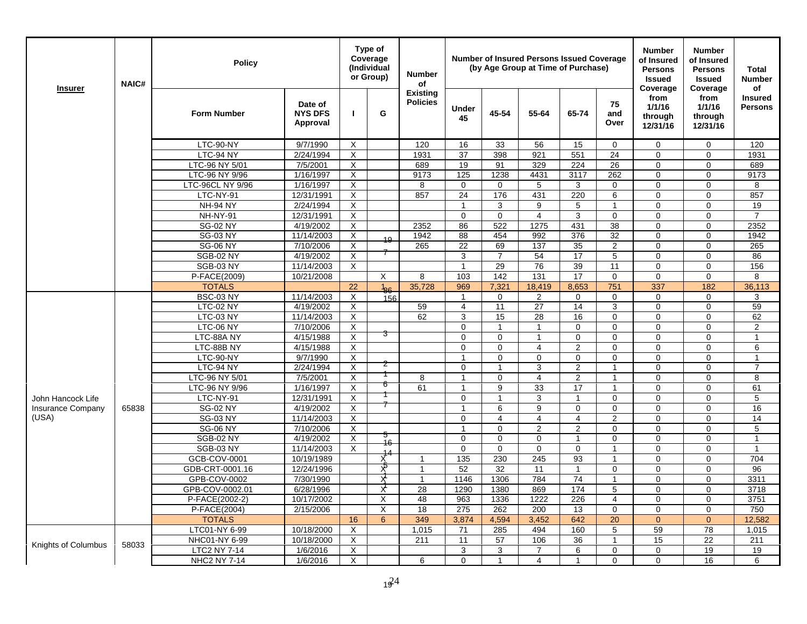| <b>Insurer</b>                                | <b>NAIC#</b> | <b>Policy</b>               |                                       |          | Type of<br>Coverage<br><i>(Individual</i><br>or Group) | <b>Number</b><br>of                |                            |                | <b>Number of Insured Persons Issued Coverage</b><br>(by Age Group at Time of Purchase) |                                  |                   | <b>Number</b><br>of Insured<br><b>Persons</b><br><b>Issued</b><br>Coverage | <b>Number</b><br>of Insured<br><b>Persons</b><br><b>Issued</b><br>Coverage | <b>Total</b><br><b>Number</b><br>of |
|-----------------------------------------------|--------------|-----------------------------|---------------------------------------|----------|--------------------------------------------------------|------------------------------------|----------------------------|----------------|----------------------------------------------------------------------------------------|----------------------------------|-------------------|----------------------------------------------------------------------------|----------------------------------------------------------------------------|-------------------------------------|
|                                               |              | <b>Form Number</b>          | Date of<br><b>NYS DFS</b><br>Approval | п        | G                                                      | <b>Existing</b><br><b>Policies</b> | <b>Under</b><br>45         | 45-54          | 55-64                                                                                  | 65-74                            | 75<br>and<br>Over | from<br>1/1/16<br>through<br>12/31/16                                      | from<br>1/1/16<br>through<br>12/31/16                                      | <b>Insured</b><br><b>Persons</b>    |
|                                               |              | LTC-90-NY                   | 9/7/1990                              | X        |                                                        | 120                                | 16                         | 33             | 56                                                                                     | 15                               | $\Omega$          | $\mathbf 0$                                                                | $\mathbf 0$                                                                | 120                                 |
|                                               |              | LTC-94 NY                   | 2/24/1994                             | $\times$ |                                                        | 1931                               | 37                         | 398            | 921                                                                                    | 551                              | 24                | $\mathbf 0$                                                                | $\mathbf 0$                                                                | 1931                                |
|                                               |              | LTC-96 NY 5/01              | 7/5/2001                              | $\times$ |                                                        | 689                                | 19                         | 91             | 329                                                                                    | 224                              | 26                | $\mathbf 0$                                                                | $\mathbf 0$                                                                | 689                                 |
|                                               |              | LTC-96 NY 9/96              | 1/16/1997                             | $\times$ |                                                        | 9173                               | 125                        | 1238           | 4431                                                                                   | 3117                             | 262               | $\Omega$                                                                   | $\Omega$                                                                   | 9173                                |
|                                               |              | LTC-96CL NY 9/96            | 1/16/1997                             | X        |                                                        | 8                                  | $\Omega$                   | $\Omega$       | 5                                                                                      | 3                                | $\Omega$          | $\mathbf 0$                                                                | $\mathbf 0$                                                                | 8                                   |
|                                               |              | LTC-NY-91                   | 12/31/1991                            | X        |                                                        | 857                                | 24                         | 176            | 431                                                                                    | 220                              | 6                 | $\mathbf 0$                                                                | $\mathbf 0$                                                                | 857                                 |
|                                               |              | <b>NH-94 NY</b>             | 2/24/1994                             | X        |                                                        |                                    | -1                         | 3              | 9                                                                                      | 5                                | 1                 | $\mathbf 0$                                                                | $\mathbf 0$                                                                | 19                                  |
|                                               |              | NH-NY-91                    | 12/31/1991                            | X        |                                                        |                                    | $\Omega$                   | $\Omega$       | 4                                                                                      | 3                                | $\Omega$          | $\Omega$                                                                   | $\mathbf 0$                                                                | $\overline{7}$                      |
|                                               |              | <b>SG-02 NY</b>             | 4/19/2002                             | X        |                                                        | 2352                               | 86                         | 522            | 1275                                                                                   | 431                              | 38                | $\overline{0}$                                                             | $\overline{0}$                                                             | 2352                                |
|                                               |              | <b>SG-03 NY</b>             | 11/14/2003                            | X        | 19                                                     | 1942                               | 88                         | 454            | 992                                                                                    | 376                              | 32                | $\Omega$                                                                   | $\Omega$                                                                   | 1942                                |
|                                               |              | <b>SG-06 NY</b>             | 7/10/2006                             | X        |                                                        | 265                                | 22                         | 69             | 137                                                                                    | 35                               | 2                 | $\Omega$                                                                   | $\Omega$                                                                   | 265                                 |
|                                               |              | <b>SGB-02 NY</b>            | 4/19/2002                             | X        |                                                        |                                    | 3                          | 7              | 54                                                                                     | 17                               | 5                 | $\mathbf 0$                                                                | $\mathbf 0$                                                                | 86                                  |
|                                               |              | SGB-03 NY                   | 11/14/2003                            | X        |                                                        |                                    | $\overline{1}$             | 29             | 76                                                                                     | 39                               | 11                | $\mathbf 0$                                                                | $\mathbf 0$                                                                | 156                                 |
|                                               |              | P-FACE(2009)                | 10/21/2008                            |          | $\times$                                               | 8                                  | 103                        | 142            | 131                                                                                    | 17                               | $\mathbf 0$       | $\mathbf 0$                                                                | $\mathbf 0$                                                                | 8                                   |
|                                               |              | <b>TOTALS</b>               |                                       | 22       | $\frac{1}{86}$                                         | 35,728                             | 969                        | 7,321          | 18,419                                                                                 | 8,653                            | 751               | 337                                                                        | 182                                                                        | 36,113                              |
|                                               |              | <b>BSC-03 NY</b>            | 11/14/2003                            | X        | 156                                                    |                                    | $\mathbf{1}$               | $\Omega$       | $\overline{2}$                                                                         | $\Omega$                         | $\Omega$          | $\Omega$                                                                   | $\mathbf 0$                                                                | 3                                   |
|                                               |              | LTC-02 NY                   | 4/19/2002                             | $\sf X$  |                                                        | 59                                 | $\overline{4}$             | 11             | 27                                                                                     | 14                               | 3                 | $\mathbf 0$                                                                | $\overline{0}$                                                             | 59                                  |
|                                               |              | LTC-03 NY                   | 11/14/2003                            | X        |                                                        | 62                                 | 3                          | 15             | 28                                                                                     | 16                               | $\Omega$          | $\Omega$                                                                   | $\Omega$                                                                   | 62                                  |
|                                               |              | LTC-06 NY                   | 7/10/2006                             | X        | 3                                                      |                                    | $\Omega$                   | $\mathbf{1}$   | $\overline{\mathbf{1}}$                                                                | $\mathbf 0$                      | $\Omega$          | $\mathbf 0$                                                                | $\mathbf 0$                                                                | $\overline{2}$                      |
|                                               |              | LTC-88A NY                  | 4/15/1988                             | $\times$ |                                                        |                                    | $\mathbf 0$                | $\Omega$       | $\overline{1}$                                                                         | $\mathbf 0$                      | $\mathbf 0$       | $\mathbf 0$                                                                | $\mathbf 0$                                                                | $\mathbf{1}$                        |
|                                               |              | LTC-88B NY                  | 4/15/1988                             | X        |                                                        |                                    | $\mathbf 0$                | $\Omega$       | 4                                                                                      | 2                                | $\Omega$          | 0                                                                          | $\mathbf 0$                                                                | 6                                   |
|                                               |              | LTC-90-NY                   | 9/7/1990                              | X        | Z                                                      |                                    | 1                          | $\Omega$       | $\Omega$                                                                               | $\mathbf 0$                      | $\mathbf 0$<br>1  | $\mathbf 0$                                                                | $\mathbf 0$                                                                | 1<br>$\overline{7}$                 |
|                                               |              | LTC-94 NY<br>LTC-96 NY 5/01 | 2/24/1994<br>7/5/2001                 | X<br>X   |                                                        | 8                                  | $\Omega$<br>$\overline{1}$ | $\Omega$       | 3<br>4                                                                                 | $\overline{2}$<br>$\overline{2}$ | $\overline{1}$    | $\mathbf 0$<br>$\Omega$                                                    | $\mathbf 0$<br>$\Omega$                                                    | 8                                   |
|                                               |              | LTC-96 NY 9/96              | 1/16/1997                             | X        | 6                                                      | 61                                 | $\mathbf{1}$               | 9              | 33                                                                                     | 17                               | $\mathbf{1}$      | $\mathbf 0$                                                                | $\mathbf 0$                                                                | 61                                  |
|                                               |              | LTC-NY-91                   | 12/31/1991                            | X        |                                                        |                                    | $\mathbf 0$                | $\mathbf{1}$   | 3                                                                                      | $\mathbf{1}$                     | $\mathbf 0$       | $\mathbf 0$                                                                | $\mathbf 0$                                                                | 5                                   |
| John Hancock Life<br><b>Insurance Company</b> | 65838        | <b>SG-02 NY</b>             | 4/19/2002                             | X        |                                                        |                                    | $\overline{1}$             | 6              | 9                                                                                      | $\mathbf 0$                      | $\mathbf 0$       | $\mathbf 0$                                                                | $\mathbf 0$                                                                | 16                                  |
| (USA)                                         |              | <b>SG-03 NY</b>             | 11/14/2003                            | X        |                                                        |                                    | $\mathbf 0$                | $\overline{4}$ | $\overline{4}$                                                                         | $\overline{4}$                   | 2                 | $\mathbf 0$                                                                | $\mathbf 0$                                                                | 14                                  |
|                                               |              | <b>SG-06 NY</b>             | 7/10/2006                             | X        |                                                        |                                    | $\overline{1}$             | $\Omega$       | 2                                                                                      | 2                                | 0                 | $\Omega$                                                                   | $\mathbf 0$                                                                | 5                                   |
|                                               |              | <b>SGB-02 NY</b>            | 4/19/2002                             | X        | 5                                                      |                                    | $\Omega$                   | $\Omega$       | 0                                                                                      |                                  | $\Omega$          | $\Omega$                                                                   | $\mathbf 0$                                                                | $\overline{1}$                      |
|                                               |              | SGB-03 NY                   | 11/14/2003                            | X        | 16                                                     |                                    | $\mathbf 0$                | $\mathbf 0$    | 0                                                                                      | $\mathbf 0$                      | $\overline{1}$    | $\mathbf 0$                                                                | $\mathbf 0$                                                                | $\overline{1}$                      |
|                                               |              | GCB-COV-0001                | 10/19/1989                            |          | X                                                      | $\overline{1}$                     | 135                        | 230            | 245                                                                                    | 93                               | $\mathbf{1}$      | $\mathbf 0$                                                                | $\Omega$                                                                   | 704                                 |
|                                               |              | GDB-CRT-0001.16             | 12/24/1996                            |          | χō                                                     | $\mathbf{1}$                       | 52                         | 32             | 11                                                                                     | $\mathbf{1}$                     | $\mathbf 0$       | $\mathbf 0$                                                                | $\mathbf 0$                                                                | 96                                  |
|                                               |              | GPB-COV-0002                | 7/30/1990                             |          | X                                                      | $\mathbf{1}$                       | 1146                       | 1306           | 784                                                                                    | 74                               | $\mathbf{1}$      | $\mathbf 0$                                                                | $\mathbf 0$                                                                | 3311                                |
|                                               |              | GPB-COV-0002.01             | 6/28/1996                             |          | X                                                      | 28                                 | 1290                       | 1380           | 869                                                                                    | 174                              | 5                 | $\mathbf 0$                                                                | $\mathbf 0$                                                                | 3718                                |
|                                               |              | P-FACE(2002-2)              | 10/17/2002                            |          | $\times$                                               | 48                                 | 963                        | 1336           | 1222                                                                                   | 226                              | $\overline{4}$    | $\mathbf 0$                                                                | $\mathbf 0$                                                                | 3751                                |
|                                               |              | P-FACE(2004)                | 2/15/2006                             |          | X                                                      | 18                                 | 275                        | 262            | 200                                                                                    | 13                               | $\mathbf 0$       | $\mathbf 0$                                                                | $\mathbf 0$                                                                | 750                                 |
|                                               |              | <b>TOTALS</b>               |                                       | 16       | 6                                                      | 349                                | 3,874                      | 4,594          | 3,452                                                                                  | 642                              | 20                | $\Omega$                                                                   | $\Omega$                                                                   | 12,582                              |
|                                               |              | LTC01-NY 6-99               | 10/18/2000                            | X        |                                                        | 1,015                              | 71                         | 285            | 494                                                                                    | 160                              | 5                 | 59                                                                         | 78                                                                         | 1,015                               |
|                                               |              | NHC01-NY 6-99               | 10/18/2000                            | X        |                                                        | 211                                | 11                         | 57             | 106                                                                                    | 36                               | $\mathbf{1}$      | 15                                                                         | $\overline{22}$                                                            | 211                                 |
| Knights of Columbus                           | 58033        | LTC2 NY 7-14                | 1/6/2016                              | X        |                                                        |                                    | 3                          | 3              | $\overline{7}$                                                                         | $\overline{6}$                   | $\Omega$          | $\mathbf 0$                                                                | 19                                                                         | 19                                  |
|                                               |              | NHC2 NY 7-14                | 1/6/2016                              | X        |                                                        | 6                                  | $\Omega$                   | 1              | 4                                                                                      | $\mathbf{1}$                     | $\Omega$          | $\mathbf 0$                                                                | 16                                                                         | 6                                   |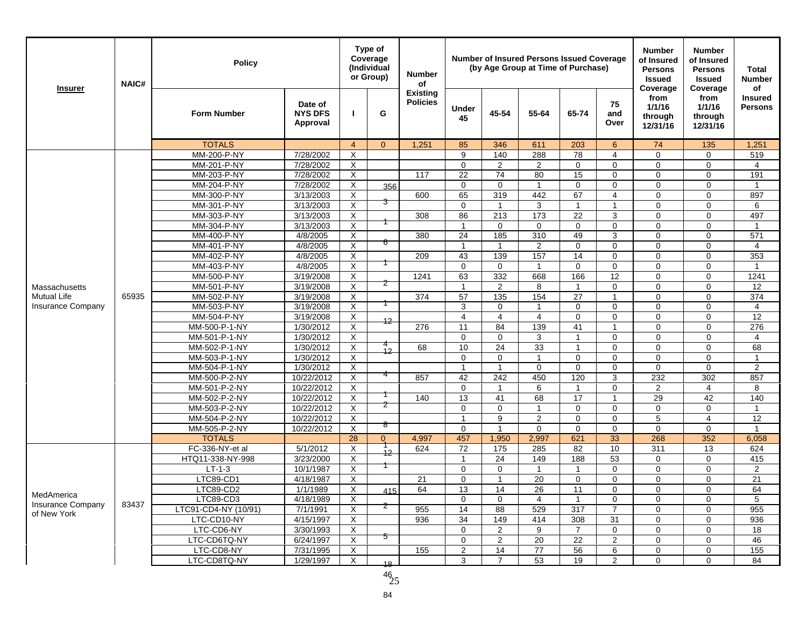| <b>Insurer</b>                          | <b>NAIC#</b> | <b>Policy</b>                  |                                       |                | Type of<br>Coverage<br>(Individual<br>or Group) | <b>Number</b><br>of                |                    |                | <b>Number of Insured Persons Issued Coverage</b><br>(by Age Group at Time of Purchase) |                   |                             | <b>Number</b><br>of Insured<br><b>Persons</b><br><b>Issued</b><br>Coverage | <b>Number</b><br>of Insured<br><b>Persons</b><br><b>Issued</b><br>Coverage | <b>Total</b><br><b>Number</b><br>οf |
|-----------------------------------------|--------------|--------------------------------|---------------------------------------|----------------|-------------------------------------------------|------------------------------------|--------------------|----------------|----------------------------------------------------------------------------------------|-------------------|-----------------------------|----------------------------------------------------------------------------|----------------------------------------------------------------------------|-------------------------------------|
|                                         |              | <b>Form Number</b>             | Date of<br><b>NYS DFS</b><br>Approval |                | G                                               | <b>Existing</b><br><b>Policies</b> | <b>Under</b><br>45 | 45-54          | 55-64                                                                                  | 65-74             | 75<br>and<br>Over           | from<br>1/1/16<br>through<br>12/31/16                                      | from<br>1/1/16<br>through<br>12/31/16                                      | <b>Insured</b><br><b>Persons</b>    |
|                                         |              | <b>TOTALS</b>                  |                                       | $\overline{4}$ | $\Omega$                                        | 1,251                              | 85                 | 346            | 611                                                                                    | 203               | 6                           | 74                                                                         | 135                                                                        | 1,251                               |
|                                         |              | MM-200-P-NY                    | 7/28/2002                             | X              |                                                 |                                    | 9                  | 140            | 288                                                                                    | 78                | 4                           | $\Omega$                                                                   | $\Omega$                                                                   | 519                                 |
|                                         |              | MM-201-P-NY                    | 7/28/2002                             | X              |                                                 |                                    | $\mathbf 0$        | $\overline{2}$ | $\overline{2}$                                                                         | $\mathbf 0$       | $\mathbf 0$                 | $\mathbf 0$                                                                | $\mathbf 0$                                                                | 4                                   |
|                                         |              | MM-203-P-NY                    | 7/28/2002                             | $\overline{X}$ |                                                 | 117                                | 22                 | 74             | 80                                                                                     | 15                | $\mathbf 0$                 | $\mathbf 0$                                                                | $\pmb{0}$                                                                  | 191                                 |
|                                         |              | <b>MM-204-P-NY</b>             | 7/28/2002                             | X              | 356                                             |                                    | 0                  | $\mathbf 0$    | 1                                                                                      | $\mathbf 0$       | $\mathbf 0$                 | $\mathbf 0$                                                                | $\mathbf 0$                                                                | -1                                  |
|                                         |              | MM-300-P-NY                    | 3/13/2003                             | X              | 3                                               | 600                                | 65                 | 319            | 442                                                                                    | 67                | $\overline{4}$              | $\mathbf 0$                                                                | $\mathbf 0$                                                                | 897                                 |
|                                         |              | MM-301-P-NY                    | 3/13/2003                             | X              |                                                 |                                    | $\Omega$           |                | 3                                                                                      |                   |                             | $\Omega$                                                                   | $\Omega$                                                                   | 6                                   |
|                                         |              | MM-303-P-NY                    | 3/13/2003                             | X              |                                                 | 308                                | 86                 | 213            | 173                                                                                    | 22                | 3                           | $\Omega$                                                                   | $\Omega$                                                                   | 497                                 |
|                                         |              | MM-304-P-NY                    | 3/13/2003                             | X              |                                                 |                                    | $\mathbf{1}$       | $\mathbf 0$    | $\mathbf 0$                                                                            | $\mathbf 0$       | $\mathbf 0$                 | $\mathbf 0$                                                                | $\mathbf 0$                                                                | $\mathbf{1}$                        |
|                                         |              | MM-400-P-NY                    | 4/8/2005                              | X              | 6                                               | 380                                | 24                 | 185            | 310                                                                                    | 49                | 3                           | $\Omega$                                                                   | $\Omega$                                                                   | 571                                 |
|                                         |              | MM-401-P-NY                    | 4/8/2005                              | $\overline{X}$ |                                                 |                                    | $\mathbf{1}$       | $\mathbf{1}$   | $\overline{2}$                                                                         | $\mathbf 0$       | $\mathbf 0$                 | $\mathbf 0$                                                                | $\mathbf 0$                                                                | $\overline{4}$                      |
|                                         |              | MM-402-P-NY                    | 4/8/2005                              | X              |                                                 | 209                                | 43                 | 139            | 157                                                                                    | 14                | $\mathbf 0$                 | $\mathbf 0$                                                                | $\mathbf 0$                                                                | 353                                 |
|                                         |              | MM-403-P-NY                    | 4/8/2005                              | X              |                                                 |                                    | $\mathbf 0$        | 0              | $\mathbf{1}$                                                                           | $\mathbf 0$       | $\mathbf 0$                 | $\mathbf 0$                                                                | $\mathbf 0$                                                                | $\mathbf{1}$                        |
|                                         |              | MM-500-P-NY                    | 3/19/2008                             | X              | 2                                               | 1241                               | 63                 | 332            | 668                                                                                    | 166               | 12                          | $\mathbf 0$                                                                | $\mathbf 0$                                                                | 1241                                |
| Massachusetts                           |              | MM-501-P-NY                    | 3/19/2008                             | X              |                                                 |                                    | $\overline{1}$     | $\overline{c}$ | 8                                                                                      |                   | $\mathbf 0$                 | $\mathbf 0$                                                                | $\Omega$                                                                   | 12                                  |
| <b>Mutual Life</b>                      | 65935        | MM-502-P-NY                    | 3/19/2008                             | X              |                                                 | 374                                | 57                 | 135            | 154                                                                                    | 27                | $\mathbf{1}$                | $\mathbf 0$                                                                | $\mathbf 0$                                                                | 374                                 |
| <b>Insurance Company</b>                |              | MM-503-P-NY                    | 3/19/2008                             | X              |                                                 |                                    | 3                  | $\Omega$       | $\mathbf{1}$                                                                           | $\Omega$          | $\mathbf 0$                 | $\mathbf 0$                                                                | $\mathbf 0$                                                                | $\overline{4}$                      |
|                                         |              | MM-504-P-NY                    | 3/19/2008                             | Χ              | 12                                              | 276                                | 4                  | 4<br>84        | $\overline{4}$                                                                         | $\mathbf 0$<br>41 | $\mathbf 0$                 | $\mathbf 0$<br>$\mathbf 0$                                                 | $\mathbf 0$<br>$\mathbf 0$                                                 | 12                                  |
|                                         |              | MM-500-P-1-NY<br>MM-501-P-1-NY | 1/30/2012<br>1/30/2012                | X              |                                                 |                                    | 11<br>$\mathbf 0$  | $\mathbf 0$    | 139<br>3                                                                               | $\mathbf{1}$      | $\mathbf{1}$<br>$\mathbf 0$ | $\mathbf 0$                                                                | $\mathbf 0$                                                                | 276<br>$\overline{4}$               |
|                                         |              | MM-502-P-1-NY                  | 1/30/2012                             | X<br>X         |                                                 | 68                                 | 10                 | 24             | 33                                                                                     |                   | 0                           | $\mathbf 0$                                                                | $\mathbf 0$                                                                | 68                                  |
|                                         |              | MM-503-P-1-NY                  | 1/30/2012                             | X              | 12                                              |                                    | $\Omega$           | 0              | 1                                                                                      | $\Omega$          | $\Omega$                    | $\Omega$                                                                   | $\Omega$                                                                   | $\overline{1}$                      |
|                                         |              | MM-504-P-1-NY                  | 1/30/2012                             | X              |                                                 |                                    | $\mathbf{1}$       | $\mathbf{1}$   | $\Omega$                                                                               | $\Omega$          | $\Omega$                    | $\Omega$                                                                   | $\Omega$                                                                   | 2                                   |
|                                         |              | MM-500-P-2-NY                  | 10/22/2012                            | X              |                                                 | 857                                | 42                 | 242            | 450                                                                                    | 120               | 3                           | 232                                                                        | 302                                                                        | 857                                 |
|                                         |              | MM-501-P-2-NY                  | 10/22/2012                            | X              |                                                 |                                    | $\mathbf 0$        | 1              | 6                                                                                      | -1                | $\mathbf 0$                 | $\overline{2}$                                                             | $\overline{4}$                                                             | 8                                   |
|                                         |              | MM-502-P-2-NY                  | 10/22/2012                            | X              |                                                 | 140                                | 13                 | 41             | 68                                                                                     | 17                | 1                           | 29                                                                         | 42                                                                         | 140                                 |
|                                         |              | MM-503-P-2-NY                  | 10/22/2012                            | Χ              | 2                                               |                                    | 0                  | 0              | $\mathbf{1}$                                                                           | $\mathbf 0$       | $\mathbf 0$                 | $\mathbf 0$                                                                | $\mathbf 0$                                                                | $\mathbf{1}$                        |
|                                         |              | MM-504-P-2-NY                  | 10/22/2012                            | X              |                                                 |                                    |                    | 9              | $\overline{2}$                                                                         | $\Omega$          | 0                           | $\overline{5}$                                                             | $\overline{4}$                                                             | 12                                  |
|                                         |              | MM-505-P-2-NY                  | 10/22/2012                            | X              | 8                                               |                                    | $\Omega$           | 1              | $\Omega$                                                                               | $\Omega$          | $\Omega$                    | $\Omega$                                                                   | $\Omega$                                                                   | $\overline{1}$                      |
|                                         |              | <b>TOTALS</b>                  |                                       | 28             | $\Omega$                                        | 4,997                              | 457                | 1,950          | 2,997                                                                                  | 621               | 33                          | 268                                                                        | 352                                                                        | 6,058                               |
|                                         |              | FC-336-NY-et al                | 5/1/2012                              | X              | 12                                              | 624                                | 72                 | 175            | 285                                                                                    | 82                | 10                          | 311                                                                        | 13                                                                         | 624                                 |
|                                         |              | HTQ11-338-NY-998               | 3/23/2000                             | X              |                                                 |                                    | $\overline{1}$     | 24             | 149                                                                                    | 188               | 53                          | $\Omega$                                                                   | $\mathbf 0$                                                                | 415                                 |
|                                         |              | $LT-1-3$                       | 10/1/1987                             | Χ              |                                                 |                                    | $\mathbf 0$        | $\mathbf 0$    | -1                                                                                     | $\overline{1}$    | $\mathbf 0$                 | $\mathbf 0$                                                                | $\mathbf 0$                                                                | 2                                   |
|                                         |              | LTC89-CD1                      | 4/18/1987                             | X              |                                                 | 21                                 | $\mathbf 0$        | $\mathbf{1}$   | 20                                                                                     | $\mathbf 0$       | $\mathbf 0$                 | $\mathbf 0$                                                                | $\mathbf 0$                                                                | 21                                  |
|                                         |              | LTC89-CD2                      | 1/1/1989                              | X              | 415                                             | 64                                 | 13                 | 14             | 26                                                                                     | 11                | $\Omega$                    | $\Omega$                                                                   | $\Omega$                                                                   | 64                                  |
| MedAmerica                              | 83437        | LTC89-CD3                      | 4/18/1989                             | X              |                                                 |                                    | $\Omega$           | 0              | $\overline{4}$                                                                         | $\overline{1}$    | $\Omega$                    | $\Omega$                                                                   | $\Omega$                                                                   | 5                                   |
| <b>Insurance Company</b><br>of New York |              | LTC91-CD4-NY (10/91)           | 7/1/1991                              | X              | z                                               | 955                                | 14                 | 88             | 529                                                                                    | 317               | $\overline{7}$              | $\mathbf 0$                                                                | $\mathbf 0$                                                                | 955                                 |
|                                         |              | LTC-CD10-NY                    | 4/15/1997                             | X              |                                                 | 936                                | 34                 | 149            | 414                                                                                    | 308               | 31                          | $\mathbf 0$                                                                | $\Omega$                                                                   | 936                                 |
|                                         |              | LTC-CD6-NY                     | 3/30/1993                             | X              |                                                 |                                    | $\Omega$           | $\overline{2}$ | 9                                                                                      | $\overline{7}$    | $\mathbf 0$                 | $\mathbf 0$                                                                | $\mathbf 0$                                                                | 18                                  |
|                                         |              | LTC-CD6TQ-NY                   | 6/24/1997                             | X              |                                                 |                                    | 0                  | $\overline{2}$ | 20                                                                                     | 22                | 2                           | $\mathbf 0$                                                                | $\mathbf 0$                                                                | 46                                  |
|                                         |              | LTC-CD8-NY                     | 7/31/1995                             | X              |                                                 | 155                                | $\overline{2}$     | 14             | 77                                                                                     | 56                | 6                           | $\mathbf 0$                                                                | $\mathbf 0$                                                                | 155                                 |
|                                         |              | LTC-CD8TQ-NY                   | 1/29/1997                             | Χ              | 18                                              |                                    | 3                  | 7              | 53                                                                                     | 19                | $\overline{2}$              | $\Omega$                                                                   | $\Omega$                                                                   | 84                                  |

$$
^{48}_{-25}
$$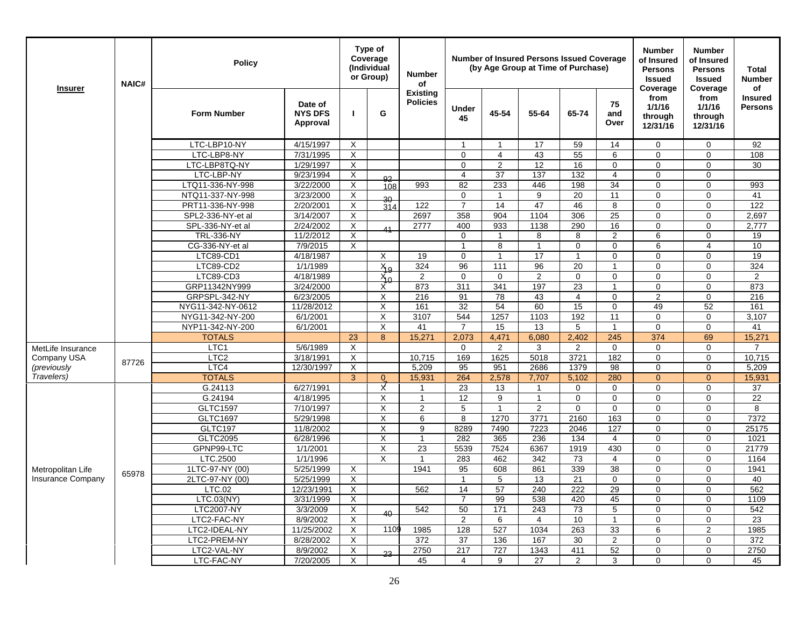| from<br>from<br><b>Insured</b><br><b>Policies</b><br>75<br>Date of<br>1/1/16<br>1/1/16<br><b>Persons</b><br><b>Under</b><br>G<br>45-54<br><b>Form Number</b><br><b>NYS DFS</b><br>55-64<br>65-74<br>п<br>and<br>through<br>through<br>45<br>Approval<br>Over<br>12/31/16<br>12/31/16<br>LTC-LBP10-NY<br>4/15/1997<br>Χ<br>17<br>59<br>14<br>$\mathbf 0$<br>$\mathbf 0$<br>92<br>$\mathbf{1}$<br>$\mathbf{1}$<br>LTC-LBP8-NY<br>43<br>55<br>7/31/1995<br>X<br>$\mathbf 0$<br>$\overline{4}$<br>6<br>108<br>0<br>0<br>$\overline{\mathsf{x}}$<br>$\overline{2}$<br>12<br>16<br>$\mathbf 0$<br>LTC-LBP8TQ-NY<br>$\Omega$<br>$\mathbf 0$<br>$\mathbf 0$<br>30<br>1/29/1997<br>X<br>37<br>137<br>132<br>LTC-LBP-NY<br>9/23/1994<br>$\overline{\mathbf{4}}$<br>$\overline{\mathbf{4}}$<br>$\mathbf 0$<br>$\mathbf 0$<br>92<br>$\overline{34}$<br>X<br>993<br>82<br>233<br>446<br>198<br>LTQ11-336-NY-998<br>3/22/2000<br>$\mathbf 0$<br>$\Omega$<br>993<br>108<br>$\overline{\mathsf{x}}$<br>$\overline{9}$<br>$\overline{11}$<br>$\mathbf 0$<br>20<br>$\mathbf 0$<br>$\Omega$<br>41<br>NTQ11-337-NY-998<br>3/23/2000<br>$\overline{1}$<br>30<br>47<br>PRT11-336-NY-998<br>2/20/2001<br>X<br>122<br>$\overline{7}$<br>14<br>46<br>8<br>$\mathbf 0$<br>$\mathbf 0$<br>122<br>314<br>25<br>SPL2-336-NY-et al<br>3/14/2007<br>X<br>2697<br>358<br>904<br>1104<br>306<br>$\mathbf 0$<br>$\mathbf 0$<br>2,697<br>SPL-336-NY-et al<br>2/24/2002<br>X<br>2777<br>400<br>933<br>1138<br>290<br>16<br>2,777<br>0<br>$\mathbf 0$<br>$\overline{11}$<br>X<br>8<br>$\overline{2}$<br>6<br>$\Omega$<br><b>TRL-336-NY</b><br>11/2/2012<br>$\Omega$<br>8<br>19<br>$\overline{1}$<br>CG-336-NY-et al<br>7/9/2015<br>X<br>$\mathbf{1}$<br>8<br>$\mathbf{1}$<br>$\mathbf 0$<br>10<br>$\mathbf 0$<br>6<br>$\overline{4}$<br>17<br>LTC89-CD1<br>4/18/1987<br>19<br>$\mathbf 0$<br>$\mathbf 0$<br>19<br>X<br>$\overline{1}$<br>$\mathbf{1}$<br>$\mathbf 0$<br>$\mathbf 0$<br>324<br>96<br>96<br>20<br>324<br>LTC89-CD2<br>1/1/1989<br>$X_0$<br>111<br>$\overline{1}$<br>$\mathbf 0$<br>$\Omega$<br>LTC89-CD3<br>$\overline{\mathbf{c}}$<br>4/18/1989<br>$\overline{2}$<br>$\mathbf 0$<br>$\mathbf 0$<br>$\mathbf 0$<br>$\mathbf 0$<br>$\mathbf 0$<br>$\mathbf 0$<br>$\overline{2}$<br>$X_{0}$<br>873<br>311<br>341<br>197<br>23<br>873<br>GRP11342NY999<br>3/24/2000<br>1<br>$\mathbf 0$<br>$\mathbf 0$<br>х<br>78<br>GRPSPL-342-NY<br>6/23/2005<br>X<br>216<br>91<br>43<br>$\overline{4}$<br>$\Omega$<br>2<br>$\Omega$<br>216<br>32<br>54<br>60<br>15<br>52<br>NYG11-342-NY-0612<br>11/28/2012<br>Χ<br>161<br>$\mathbf 0$<br>49<br>161<br>X<br>3107<br>544<br>1257<br>192<br>11<br>NYG11-342-NY-200<br>6/1/2001<br>1103<br>$\mathbf 0$<br>$\Omega$<br>3.107<br>NYP11-342-NY-200<br>6/1/2001<br>X<br>15<br>13<br>5<br>$\mathbf 0$<br>$\overline{7}$<br>$\mathbf{1}$<br>$\mathbf 0$<br>41<br>41<br><b>TOTALS</b><br>2,402<br>245<br>23<br>8<br>15,271<br>2.073<br>4.471<br>6.080<br>374<br>69<br>15,271<br>LTC1<br>X<br>$\mathbf 0$<br>5/6/1989<br>$\mathbf 0$<br>2<br>3<br>$\overline{2}$<br>$\mathbf 0$<br>$\mathbf 0$<br>$\overline{7}$<br>MetLife Insurance<br>X<br>3721<br>LTC <sub>2</sub><br>169<br>1625<br>5018<br>182<br>10,715<br>Company USA<br>3/18/1991<br>10,715<br>0<br>$\mathbf 0$<br>87726<br>LTC4<br>X<br>5,209<br>2686<br>1379<br>98<br>(previously<br>12/30/1997<br>95<br>951<br>$\Omega$<br>$\Omega$<br>5,209<br>Travelers)<br><b>TOTALS</b><br>$\overline{3}$<br>280<br>$\overline{0}$<br>15,931<br>264<br>2,578<br>7,707<br>5,102<br>$\overline{0}$<br>$\overline{0}$<br>15,931<br>χ<br>G.24113<br>6/27/1991<br>23<br>$\mathbf 0$<br>37<br>13<br>$\mathbf{1}$<br>$\mathbf 0$<br>0<br>$\Omega$<br>$\mathbf{1}$<br>$\mathbf 0$<br>G.24194<br>4/18/1995<br>X<br>12<br>9<br>$\mathbf{1}$<br>$\mathbf 0$<br>$\mathbf 0$<br>$\mathbf 0$<br>22<br>$\mathbf{1}$<br><b>GLTC1597</b><br>$\overline{2}$<br>$\overline{c}$<br>$\mathbf 0$<br>7/10/1997<br>X<br>5<br>$\overline{1}$<br>$\mathbf 0$<br>$\mathbf 0$<br>$\Omega$<br>8<br>GLTC1697<br>8<br>1270<br>3771<br>2160<br>163<br>7372<br>5/29/1998<br>X<br>6<br>$\mathbf 0$<br>$\mathbf 0$<br>X<br>9<br>8289<br>7223<br>127<br>25175<br><b>GLTC197</b><br>11/8/2002<br>7490<br>2046<br>$\Omega$<br>$\Omega$<br><b>GLTC2095</b><br>X<br>236<br>6/28/1996<br>$\mathbf{1}$<br>282<br>365<br>134<br>$\overline{4}$<br>$\mathbf 0$<br>$\mathbf 0$<br>1021<br>1919<br>430<br>GPNP99-LTC<br>1/1/2001<br>X<br>23<br>6367<br>5539<br>7524<br>$\mathbf 0$<br>$\Omega$<br>21779<br>X<br>LTC.2500<br>1/1/1996<br>283<br>462<br>342<br>73<br>$\overline{4}$<br>$\Omega$<br>$\Omega$<br>1164<br>$\mathbf{1}$<br>339<br>38<br>1LTC-97-NY (00)<br>5/25/1999<br>X<br>1941<br>95<br>608<br>861<br>$\mathbf 0$<br>$\mathbf 0$<br>1941<br>Metropolitan Life<br>65978<br><b>Insurance Company</b><br>2LTC-97-NY (00)<br>5/25/1999<br>X<br>5<br>13<br>21<br>$\mathbf 0$<br>$\mathbf 0$<br>$\mathbf 0$<br>40<br>$\mathbf{1}$<br>29<br>X<br>562<br>14<br>57<br>240<br>222<br>$\Omega$<br>$\Omega$<br>562<br>LTC.02<br>12/23/1991<br>X<br>LTC.03(NY)<br>$\overline{7}$<br>99<br>538<br>420<br>45<br>$\Omega$<br>$\Omega$<br>1109<br>3/31/1999<br>3/3/2009<br>X<br>50<br>73<br>5<br>542<br><b>LTC2007-NY</b><br>542<br>171<br>243<br>$\Omega$<br>$\Omega$<br>40<br>X<br>10<br>LTC2-FAC-NY<br>8/9/2002<br>2<br>6<br>$\overline{4}$<br>$\mathbf{1}$<br>23<br>0<br>0<br>X<br>1109<br>33<br>LTC2-IDEAL-NY<br>11/25/2002<br>128<br>527<br>1034<br>263<br>6<br>$\mathbf{2}$<br>1985<br>1985<br>LTC2-PREM-NY<br>$\overline{\mathbf{c}}$<br>372<br>8/28/2002<br>X<br>372<br>37<br>136<br>167<br>30<br>0<br>$\mathbf 0$<br>$\overline{\mathsf{x}}$<br>52<br>2750<br>217<br>727<br>1343<br>2750<br>LTC2-VAL-NY<br>8/9/2002<br>411<br>$\mathbf 0$<br>$\mathbf 0$<br>23<br>Χ<br>LTC-FAC-NY<br>27<br>$\overline{2}$<br>3<br>$\Omega$<br>$\Omega$<br>7/20/2005<br>45<br>9<br>45<br>4 | <b>Insurer</b> | <b>NAIC#</b> | <b>Policy</b> |  | Type of<br>Coverage<br>(Individual<br>or Group) | <b>Number</b><br>of |  | <b>Number of Insured Persons Issued Coverage</b><br>(by Age Group at Time of Purchase) |  | <b>Number</b><br>of Insured<br><b>Persons</b><br><b>Issued</b><br>Coverage | <b>Number</b><br>of Insured<br><b>Persons</b><br><b>Issued</b><br>Coverage | <b>Total</b><br><b>Number</b><br>οf |
|---------------------------------------------------------------------------------------------------------------------------------------------------------------------------------------------------------------------------------------------------------------------------------------------------------------------------------------------------------------------------------------------------------------------------------------------------------------------------------------------------------------------------------------------------------------------------------------------------------------------------------------------------------------------------------------------------------------------------------------------------------------------------------------------------------------------------------------------------------------------------------------------------------------------------------------------------------------------------------------------------------------------------------------------------------------------------------------------------------------------------------------------------------------------------------------------------------------------------------------------------------------------------------------------------------------------------------------------------------------------------------------------------------------------------------------------------------------------------------------------------------------------------------------------------------------------------------------------------------------------------------------------------------------------------------------------------------------------------------------------------------------------------------------------------------------------------------------------------------------------------------------------------------------------------------------------------------------------------------------------------------------------------------------------------------------------------------------------------------------------------------------------------------------------------------------------------------------------------------------------------------------------------------------------------------------------------------------------------------------------------------------------------------------------------------------------------------------------------------------------------------------------------------------------------------------------------------------------------------------------------------------------------------------------------------------------------------------------------------------------------------------------------------------------------------------------------------------------------------------------------------------------------------------------------------------------------------------------------------------------------------------------------------------------------------------------------------------------------------------------------------------------------------------------------------------------------------------------------------------------------------------------------------------------------------------------------------------------------------------------------------------------------------------------------------------------------------------------------------------------------------------------------------------------------------------------------------------------------------------------------------------------------------------------------------------------------------------------------------------------------------------------------------------------------------------------------------------------------------------------------------------------------------------------------------------------------------------------------------------------------------------------------------------------------------------------------------------------------------------------------------------------------------------------------------------------------------------------------------------------------------------------------------------------------------------------------------------------------------------------------------------------------------------------------------------------------------------------------------------------------------------------------------------------------------------------------------------------------------------------------------------------------------------------------------------------------------------------------------------------------------------------------------------------------------------------------------------------------------------------------------------------------------------------------------------------------------------------------------------------------------------------------------------------------------------------------------------------------------------------------------------------------------------------------------------------------------------------------------------------------------------------------------------------------------------------------------------------------------------------------------------------------------------------------------------------------------------------------------------------------------------------------------------------------------------------------------------------------------------------------------------------------------------------------------------------------------------------------------------------------------------------------------------------------------------------------------------------------------------------------------|----------------|--------------|---------------|--|-------------------------------------------------|---------------------|--|----------------------------------------------------------------------------------------|--|----------------------------------------------------------------------------|----------------------------------------------------------------------------|-------------------------------------|
|                                                                                                                                                                                                                                                                                                                                                                                                                                                                                                                                                                                                                                                                                                                                                                                                                                                                                                                                                                                                                                                                                                                                                                                                                                                                                                                                                                                                                                                                                                                                                                                                                                                                                                                                                                                                                                                                                                                                                                                                                                                                                                                                                                                                                                                                                                                                                                                                                                                                                                                                                                                                                                                                                                                                                                                                                                                                                                                                                                                                                                                                                                                                                                                                                                                                                                                                                                                                                                                                                                                                                                                                                                                                                                                                                                                                                                                                                                                                                                                                                                                                                                                                                                                                                                                                                                                                                                                                                                                                                                                                                                                                                                                                                                                                                                                                                                                                                                                                                                                                                                                                                                                                                                                                                                                                                                                                                                                                                                                                                                                                                                                                                                                                                                                                                                                                                                                                                 |                |              |               |  |                                                 | <b>Existing</b>     |  |                                                                                        |  |                                                                            |                                                                            |                                     |
|                                                                                                                                                                                                                                                                                                                                                                                                                                                                                                                                                                                                                                                                                                                                                                                                                                                                                                                                                                                                                                                                                                                                                                                                                                                                                                                                                                                                                                                                                                                                                                                                                                                                                                                                                                                                                                                                                                                                                                                                                                                                                                                                                                                                                                                                                                                                                                                                                                                                                                                                                                                                                                                                                                                                                                                                                                                                                                                                                                                                                                                                                                                                                                                                                                                                                                                                                                                                                                                                                                                                                                                                                                                                                                                                                                                                                                                                                                                                                                                                                                                                                                                                                                                                                                                                                                                                                                                                                                                                                                                                                                                                                                                                                                                                                                                                                                                                                                                                                                                                                                                                                                                                                                                                                                                                                                                                                                                                                                                                                                                                                                                                                                                                                                                                                                                                                                                                                 |                |              |               |  |                                                 |                     |  |                                                                                        |  |                                                                            |                                                                            |                                     |
|                                                                                                                                                                                                                                                                                                                                                                                                                                                                                                                                                                                                                                                                                                                                                                                                                                                                                                                                                                                                                                                                                                                                                                                                                                                                                                                                                                                                                                                                                                                                                                                                                                                                                                                                                                                                                                                                                                                                                                                                                                                                                                                                                                                                                                                                                                                                                                                                                                                                                                                                                                                                                                                                                                                                                                                                                                                                                                                                                                                                                                                                                                                                                                                                                                                                                                                                                                                                                                                                                                                                                                                                                                                                                                                                                                                                                                                                                                                                                                                                                                                                                                                                                                                                                                                                                                                                                                                                                                                                                                                                                                                                                                                                                                                                                                                                                                                                                                                                                                                                                                                                                                                                                                                                                                                                                                                                                                                                                                                                                                                                                                                                                                                                                                                                                                                                                                                                                 |                |              |               |  |                                                 |                     |  |                                                                                        |  |                                                                            |                                                                            |                                     |
|                                                                                                                                                                                                                                                                                                                                                                                                                                                                                                                                                                                                                                                                                                                                                                                                                                                                                                                                                                                                                                                                                                                                                                                                                                                                                                                                                                                                                                                                                                                                                                                                                                                                                                                                                                                                                                                                                                                                                                                                                                                                                                                                                                                                                                                                                                                                                                                                                                                                                                                                                                                                                                                                                                                                                                                                                                                                                                                                                                                                                                                                                                                                                                                                                                                                                                                                                                                                                                                                                                                                                                                                                                                                                                                                                                                                                                                                                                                                                                                                                                                                                                                                                                                                                                                                                                                                                                                                                                                                                                                                                                                                                                                                                                                                                                                                                                                                                                                                                                                                                                                                                                                                                                                                                                                                                                                                                                                                                                                                                                                                                                                                                                                                                                                                                                                                                                                                                 |                |              |               |  |                                                 |                     |  |                                                                                        |  |                                                                            |                                                                            |                                     |
|                                                                                                                                                                                                                                                                                                                                                                                                                                                                                                                                                                                                                                                                                                                                                                                                                                                                                                                                                                                                                                                                                                                                                                                                                                                                                                                                                                                                                                                                                                                                                                                                                                                                                                                                                                                                                                                                                                                                                                                                                                                                                                                                                                                                                                                                                                                                                                                                                                                                                                                                                                                                                                                                                                                                                                                                                                                                                                                                                                                                                                                                                                                                                                                                                                                                                                                                                                                                                                                                                                                                                                                                                                                                                                                                                                                                                                                                                                                                                                                                                                                                                                                                                                                                                                                                                                                                                                                                                                                                                                                                                                                                                                                                                                                                                                                                                                                                                                                                                                                                                                                                                                                                                                                                                                                                                                                                                                                                                                                                                                                                                                                                                                                                                                                                                                                                                                                                                 |                |              |               |  |                                                 |                     |  |                                                                                        |  |                                                                            |                                                                            |                                     |
|                                                                                                                                                                                                                                                                                                                                                                                                                                                                                                                                                                                                                                                                                                                                                                                                                                                                                                                                                                                                                                                                                                                                                                                                                                                                                                                                                                                                                                                                                                                                                                                                                                                                                                                                                                                                                                                                                                                                                                                                                                                                                                                                                                                                                                                                                                                                                                                                                                                                                                                                                                                                                                                                                                                                                                                                                                                                                                                                                                                                                                                                                                                                                                                                                                                                                                                                                                                                                                                                                                                                                                                                                                                                                                                                                                                                                                                                                                                                                                                                                                                                                                                                                                                                                                                                                                                                                                                                                                                                                                                                                                                                                                                                                                                                                                                                                                                                                                                                                                                                                                                                                                                                                                                                                                                                                                                                                                                                                                                                                                                                                                                                                                                                                                                                                                                                                                                                                 |                |              |               |  |                                                 |                     |  |                                                                                        |  |                                                                            |                                                                            |                                     |
|                                                                                                                                                                                                                                                                                                                                                                                                                                                                                                                                                                                                                                                                                                                                                                                                                                                                                                                                                                                                                                                                                                                                                                                                                                                                                                                                                                                                                                                                                                                                                                                                                                                                                                                                                                                                                                                                                                                                                                                                                                                                                                                                                                                                                                                                                                                                                                                                                                                                                                                                                                                                                                                                                                                                                                                                                                                                                                                                                                                                                                                                                                                                                                                                                                                                                                                                                                                                                                                                                                                                                                                                                                                                                                                                                                                                                                                                                                                                                                                                                                                                                                                                                                                                                                                                                                                                                                                                                                                                                                                                                                                                                                                                                                                                                                                                                                                                                                                                                                                                                                                                                                                                                                                                                                                                                                                                                                                                                                                                                                                                                                                                                                                                                                                                                                                                                                                                                 |                |              |               |  |                                                 |                     |  |                                                                                        |  |                                                                            |                                                                            |                                     |
|                                                                                                                                                                                                                                                                                                                                                                                                                                                                                                                                                                                                                                                                                                                                                                                                                                                                                                                                                                                                                                                                                                                                                                                                                                                                                                                                                                                                                                                                                                                                                                                                                                                                                                                                                                                                                                                                                                                                                                                                                                                                                                                                                                                                                                                                                                                                                                                                                                                                                                                                                                                                                                                                                                                                                                                                                                                                                                                                                                                                                                                                                                                                                                                                                                                                                                                                                                                                                                                                                                                                                                                                                                                                                                                                                                                                                                                                                                                                                                                                                                                                                                                                                                                                                                                                                                                                                                                                                                                                                                                                                                                                                                                                                                                                                                                                                                                                                                                                                                                                                                                                                                                                                                                                                                                                                                                                                                                                                                                                                                                                                                                                                                                                                                                                                                                                                                                                                 |                |              |               |  |                                                 |                     |  |                                                                                        |  |                                                                            |                                                                            |                                     |
|                                                                                                                                                                                                                                                                                                                                                                                                                                                                                                                                                                                                                                                                                                                                                                                                                                                                                                                                                                                                                                                                                                                                                                                                                                                                                                                                                                                                                                                                                                                                                                                                                                                                                                                                                                                                                                                                                                                                                                                                                                                                                                                                                                                                                                                                                                                                                                                                                                                                                                                                                                                                                                                                                                                                                                                                                                                                                                                                                                                                                                                                                                                                                                                                                                                                                                                                                                                                                                                                                                                                                                                                                                                                                                                                                                                                                                                                                                                                                                                                                                                                                                                                                                                                                                                                                                                                                                                                                                                                                                                                                                                                                                                                                                                                                                                                                                                                                                                                                                                                                                                                                                                                                                                                                                                                                                                                                                                                                                                                                                                                                                                                                                                                                                                                                                                                                                                                                 |                |              |               |  |                                                 |                     |  |                                                                                        |  |                                                                            |                                                                            |                                     |
|                                                                                                                                                                                                                                                                                                                                                                                                                                                                                                                                                                                                                                                                                                                                                                                                                                                                                                                                                                                                                                                                                                                                                                                                                                                                                                                                                                                                                                                                                                                                                                                                                                                                                                                                                                                                                                                                                                                                                                                                                                                                                                                                                                                                                                                                                                                                                                                                                                                                                                                                                                                                                                                                                                                                                                                                                                                                                                                                                                                                                                                                                                                                                                                                                                                                                                                                                                                                                                                                                                                                                                                                                                                                                                                                                                                                                                                                                                                                                                                                                                                                                                                                                                                                                                                                                                                                                                                                                                                                                                                                                                                                                                                                                                                                                                                                                                                                                                                                                                                                                                                                                                                                                                                                                                                                                                                                                                                                                                                                                                                                                                                                                                                                                                                                                                                                                                                                                 |                |              |               |  |                                                 |                     |  |                                                                                        |  |                                                                            |                                                                            |                                     |
|                                                                                                                                                                                                                                                                                                                                                                                                                                                                                                                                                                                                                                                                                                                                                                                                                                                                                                                                                                                                                                                                                                                                                                                                                                                                                                                                                                                                                                                                                                                                                                                                                                                                                                                                                                                                                                                                                                                                                                                                                                                                                                                                                                                                                                                                                                                                                                                                                                                                                                                                                                                                                                                                                                                                                                                                                                                                                                                                                                                                                                                                                                                                                                                                                                                                                                                                                                                                                                                                                                                                                                                                                                                                                                                                                                                                                                                                                                                                                                                                                                                                                                                                                                                                                                                                                                                                                                                                                                                                                                                                                                                                                                                                                                                                                                                                                                                                                                                                                                                                                                                                                                                                                                                                                                                                                                                                                                                                                                                                                                                                                                                                                                                                                                                                                                                                                                                                                 |                |              |               |  |                                                 |                     |  |                                                                                        |  |                                                                            |                                                                            |                                     |
|                                                                                                                                                                                                                                                                                                                                                                                                                                                                                                                                                                                                                                                                                                                                                                                                                                                                                                                                                                                                                                                                                                                                                                                                                                                                                                                                                                                                                                                                                                                                                                                                                                                                                                                                                                                                                                                                                                                                                                                                                                                                                                                                                                                                                                                                                                                                                                                                                                                                                                                                                                                                                                                                                                                                                                                                                                                                                                                                                                                                                                                                                                                                                                                                                                                                                                                                                                                                                                                                                                                                                                                                                                                                                                                                                                                                                                                                                                                                                                                                                                                                                                                                                                                                                                                                                                                                                                                                                                                                                                                                                                                                                                                                                                                                                                                                                                                                                                                                                                                                                                                                                                                                                                                                                                                                                                                                                                                                                                                                                                                                                                                                                                                                                                                                                                                                                                                                                 |                |              |               |  |                                                 |                     |  |                                                                                        |  |                                                                            |                                                                            |                                     |
|                                                                                                                                                                                                                                                                                                                                                                                                                                                                                                                                                                                                                                                                                                                                                                                                                                                                                                                                                                                                                                                                                                                                                                                                                                                                                                                                                                                                                                                                                                                                                                                                                                                                                                                                                                                                                                                                                                                                                                                                                                                                                                                                                                                                                                                                                                                                                                                                                                                                                                                                                                                                                                                                                                                                                                                                                                                                                                                                                                                                                                                                                                                                                                                                                                                                                                                                                                                                                                                                                                                                                                                                                                                                                                                                                                                                                                                                                                                                                                                                                                                                                                                                                                                                                                                                                                                                                                                                                                                                                                                                                                                                                                                                                                                                                                                                                                                                                                                                                                                                                                                                                                                                                                                                                                                                                                                                                                                                                                                                                                                                                                                                                                                                                                                                                                                                                                                                                 |                |              |               |  |                                                 |                     |  |                                                                                        |  |                                                                            |                                                                            |                                     |
|                                                                                                                                                                                                                                                                                                                                                                                                                                                                                                                                                                                                                                                                                                                                                                                                                                                                                                                                                                                                                                                                                                                                                                                                                                                                                                                                                                                                                                                                                                                                                                                                                                                                                                                                                                                                                                                                                                                                                                                                                                                                                                                                                                                                                                                                                                                                                                                                                                                                                                                                                                                                                                                                                                                                                                                                                                                                                                                                                                                                                                                                                                                                                                                                                                                                                                                                                                                                                                                                                                                                                                                                                                                                                                                                                                                                                                                                                                                                                                                                                                                                                                                                                                                                                                                                                                                                                                                                                                                                                                                                                                                                                                                                                                                                                                                                                                                                                                                                                                                                                                                                                                                                                                                                                                                                                                                                                                                                                                                                                                                                                                                                                                                                                                                                                                                                                                                                                 |                |              |               |  |                                                 |                     |  |                                                                                        |  |                                                                            |                                                                            |                                     |
|                                                                                                                                                                                                                                                                                                                                                                                                                                                                                                                                                                                                                                                                                                                                                                                                                                                                                                                                                                                                                                                                                                                                                                                                                                                                                                                                                                                                                                                                                                                                                                                                                                                                                                                                                                                                                                                                                                                                                                                                                                                                                                                                                                                                                                                                                                                                                                                                                                                                                                                                                                                                                                                                                                                                                                                                                                                                                                                                                                                                                                                                                                                                                                                                                                                                                                                                                                                                                                                                                                                                                                                                                                                                                                                                                                                                                                                                                                                                                                                                                                                                                                                                                                                                                                                                                                                                                                                                                                                                                                                                                                                                                                                                                                                                                                                                                                                                                                                                                                                                                                                                                                                                                                                                                                                                                                                                                                                                                                                                                                                                                                                                                                                                                                                                                                                                                                                                                 |                |              |               |  |                                                 |                     |  |                                                                                        |  |                                                                            |                                                                            |                                     |
|                                                                                                                                                                                                                                                                                                                                                                                                                                                                                                                                                                                                                                                                                                                                                                                                                                                                                                                                                                                                                                                                                                                                                                                                                                                                                                                                                                                                                                                                                                                                                                                                                                                                                                                                                                                                                                                                                                                                                                                                                                                                                                                                                                                                                                                                                                                                                                                                                                                                                                                                                                                                                                                                                                                                                                                                                                                                                                                                                                                                                                                                                                                                                                                                                                                                                                                                                                                                                                                                                                                                                                                                                                                                                                                                                                                                                                                                                                                                                                                                                                                                                                                                                                                                                                                                                                                                                                                                                                                                                                                                                                                                                                                                                                                                                                                                                                                                                                                                                                                                                                                                                                                                                                                                                                                                                                                                                                                                                                                                                                                                                                                                                                                                                                                                                                                                                                                                                 |                |              |               |  |                                                 |                     |  |                                                                                        |  |                                                                            |                                                                            |                                     |
|                                                                                                                                                                                                                                                                                                                                                                                                                                                                                                                                                                                                                                                                                                                                                                                                                                                                                                                                                                                                                                                                                                                                                                                                                                                                                                                                                                                                                                                                                                                                                                                                                                                                                                                                                                                                                                                                                                                                                                                                                                                                                                                                                                                                                                                                                                                                                                                                                                                                                                                                                                                                                                                                                                                                                                                                                                                                                                                                                                                                                                                                                                                                                                                                                                                                                                                                                                                                                                                                                                                                                                                                                                                                                                                                                                                                                                                                                                                                                                                                                                                                                                                                                                                                                                                                                                                                                                                                                                                                                                                                                                                                                                                                                                                                                                                                                                                                                                                                                                                                                                                                                                                                                                                                                                                                                                                                                                                                                                                                                                                                                                                                                                                                                                                                                                                                                                                                                 |                |              |               |  |                                                 |                     |  |                                                                                        |  |                                                                            |                                                                            |                                     |
|                                                                                                                                                                                                                                                                                                                                                                                                                                                                                                                                                                                                                                                                                                                                                                                                                                                                                                                                                                                                                                                                                                                                                                                                                                                                                                                                                                                                                                                                                                                                                                                                                                                                                                                                                                                                                                                                                                                                                                                                                                                                                                                                                                                                                                                                                                                                                                                                                                                                                                                                                                                                                                                                                                                                                                                                                                                                                                                                                                                                                                                                                                                                                                                                                                                                                                                                                                                                                                                                                                                                                                                                                                                                                                                                                                                                                                                                                                                                                                                                                                                                                                                                                                                                                                                                                                                                                                                                                                                                                                                                                                                                                                                                                                                                                                                                                                                                                                                                                                                                                                                                                                                                                                                                                                                                                                                                                                                                                                                                                                                                                                                                                                                                                                                                                                                                                                                                                 |                |              |               |  |                                                 |                     |  |                                                                                        |  |                                                                            |                                                                            |                                     |
|                                                                                                                                                                                                                                                                                                                                                                                                                                                                                                                                                                                                                                                                                                                                                                                                                                                                                                                                                                                                                                                                                                                                                                                                                                                                                                                                                                                                                                                                                                                                                                                                                                                                                                                                                                                                                                                                                                                                                                                                                                                                                                                                                                                                                                                                                                                                                                                                                                                                                                                                                                                                                                                                                                                                                                                                                                                                                                                                                                                                                                                                                                                                                                                                                                                                                                                                                                                                                                                                                                                                                                                                                                                                                                                                                                                                                                                                                                                                                                                                                                                                                                                                                                                                                                                                                                                                                                                                                                                                                                                                                                                                                                                                                                                                                                                                                                                                                                                                                                                                                                                                                                                                                                                                                                                                                                                                                                                                                                                                                                                                                                                                                                                                                                                                                                                                                                                                                 |                |              |               |  |                                                 |                     |  |                                                                                        |  |                                                                            |                                                                            |                                     |
|                                                                                                                                                                                                                                                                                                                                                                                                                                                                                                                                                                                                                                                                                                                                                                                                                                                                                                                                                                                                                                                                                                                                                                                                                                                                                                                                                                                                                                                                                                                                                                                                                                                                                                                                                                                                                                                                                                                                                                                                                                                                                                                                                                                                                                                                                                                                                                                                                                                                                                                                                                                                                                                                                                                                                                                                                                                                                                                                                                                                                                                                                                                                                                                                                                                                                                                                                                                                                                                                                                                                                                                                                                                                                                                                                                                                                                                                                                                                                                                                                                                                                                                                                                                                                                                                                                                                                                                                                                                                                                                                                                                                                                                                                                                                                                                                                                                                                                                                                                                                                                                                                                                                                                                                                                                                                                                                                                                                                                                                                                                                                                                                                                                                                                                                                                                                                                                                                 |                |              |               |  |                                                 |                     |  |                                                                                        |  |                                                                            |                                                                            |                                     |
|                                                                                                                                                                                                                                                                                                                                                                                                                                                                                                                                                                                                                                                                                                                                                                                                                                                                                                                                                                                                                                                                                                                                                                                                                                                                                                                                                                                                                                                                                                                                                                                                                                                                                                                                                                                                                                                                                                                                                                                                                                                                                                                                                                                                                                                                                                                                                                                                                                                                                                                                                                                                                                                                                                                                                                                                                                                                                                                                                                                                                                                                                                                                                                                                                                                                                                                                                                                                                                                                                                                                                                                                                                                                                                                                                                                                                                                                                                                                                                                                                                                                                                                                                                                                                                                                                                                                                                                                                                                                                                                                                                                                                                                                                                                                                                                                                                                                                                                                                                                                                                                                                                                                                                                                                                                                                                                                                                                                                                                                                                                                                                                                                                                                                                                                                                                                                                                                                 |                |              |               |  |                                                 |                     |  |                                                                                        |  |                                                                            |                                                                            |                                     |
|                                                                                                                                                                                                                                                                                                                                                                                                                                                                                                                                                                                                                                                                                                                                                                                                                                                                                                                                                                                                                                                                                                                                                                                                                                                                                                                                                                                                                                                                                                                                                                                                                                                                                                                                                                                                                                                                                                                                                                                                                                                                                                                                                                                                                                                                                                                                                                                                                                                                                                                                                                                                                                                                                                                                                                                                                                                                                                                                                                                                                                                                                                                                                                                                                                                                                                                                                                                                                                                                                                                                                                                                                                                                                                                                                                                                                                                                                                                                                                                                                                                                                                                                                                                                                                                                                                                                                                                                                                                                                                                                                                                                                                                                                                                                                                                                                                                                                                                                                                                                                                                                                                                                                                                                                                                                                                                                                                                                                                                                                                                                                                                                                                                                                                                                                                                                                                                                                 |                |              |               |  |                                                 |                     |  |                                                                                        |  |                                                                            |                                                                            |                                     |
|                                                                                                                                                                                                                                                                                                                                                                                                                                                                                                                                                                                                                                                                                                                                                                                                                                                                                                                                                                                                                                                                                                                                                                                                                                                                                                                                                                                                                                                                                                                                                                                                                                                                                                                                                                                                                                                                                                                                                                                                                                                                                                                                                                                                                                                                                                                                                                                                                                                                                                                                                                                                                                                                                                                                                                                                                                                                                                                                                                                                                                                                                                                                                                                                                                                                                                                                                                                                                                                                                                                                                                                                                                                                                                                                                                                                                                                                                                                                                                                                                                                                                                                                                                                                                                                                                                                                                                                                                                                                                                                                                                                                                                                                                                                                                                                                                                                                                                                                                                                                                                                                                                                                                                                                                                                                                                                                                                                                                                                                                                                                                                                                                                                                                                                                                                                                                                                                                 |                |              |               |  |                                                 |                     |  |                                                                                        |  |                                                                            |                                                                            |                                     |
|                                                                                                                                                                                                                                                                                                                                                                                                                                                                                                                                                                                                                                                                                                                                                                                                                                                                                                                                                                                                                                                                                                                                                                                                                                                                                                                                                                                                                                                                                                                                                                                                                                                                                                                                                                                                                                                                                                                                                                                                                                                                                                                                                                                                                                                                                                                                                                                                                                                                                                                                                                                                                                                                                                                                                                                                                                                                                                                                                                                                                                                                                                                                                                                                                                                                                                                                                                                                                                                                                                                                                                                                                                                                                                                                                                                                                                                                                                                                                                                                                                                                                                                                                                                                                                                                                                                                                                                                                                                                                                                                                                                                                                                                                                                                                                                                                                                                                                                                                                                                                                                                                                                                                                                                                                                                                                                                                                                                                                                                                                                                                                                                                                                                                                                                                                                                                                                                                 |                |              |               |  |                                                 |                     |  |                                                                                        |  |                                                                            |                                                                            |                                     |
|                                                                                                                                                                                                                                                                                                                                                                                                                                                                                                                                                                                                                                                                                                                                                                                                                                                                                                                                                                                                                                                                                                                                                                                                                                                                                                                                                                                                                                                                                                                                                                                                                                                                                                                                                                                                                                                                                                                                                                                                                                                                                                                                                                                                                                                                                                                                                                                                                                                                                                                                                                                                                                                                                                                                                                                                                                                                                                                                                                                                                                                                                                                                                                                                                                                                                                                                                                                                                                                                                                                                                                                                                                                                                                                                                                                                                                                                                                                                                                                                                                                                                                                                                                                                                                                                                                                                                                                                                                                                                                                                                                                                                                                                                                                                                                                                                                                                                                                                                                                                                                                                                                                                                                                                                                                                                                                                                                                                                                                                                                                                                                                                                                                                                                                                                                                                                                                                                 |                |              |               |  |                                                 |                     |  |                                                                                        |  |                                                                            |                                                                            |                                     |
|                                                                                                                                                                                                                                                                                                                                                                                                                                                                                                                                                                                                                                                                                                                                                                                                                                                                                                                                                                                                                                                                                                                                                                                                                                                                                                                                                                                                                                                                                                                                                                                                                                                                                                                                                                                                                                                                                                                                                                                                                                                                                                                                                                                                                                                                                                                                                                                                                                                                                                                                                                                                                                                                                                                                                                                                                                                                                                                                                                                                                                                                                                                                                                                                                                                                                                                                                                                                                                                                                                                                                                                                                                                                                                                                                                                                                                                                                                                                                                                                                                                                                                                                                                                                                                                                                                                                                                                                                                                                                                                                                                                                                                                                                                                                                                                                                                                                                                                                                                                                                                                                                                                                                                                                                                                                                                                                                                                                                                                                                                                                                                                                                                                                                                                                                                                                                                                                                 |                |              |               |  |                                                 |                     |  |                                                                                        |  |                                                                            |                                                                            |                                     |
|                                                                                                                                                                                                                                                                                                                                                                                                                                                                                                                                                                                                                                                                                                                                                                                                                                                                                                                                                                                                                                                                                                                                                                                                                                                                                                                                                                                                                                                                                                                                                                                                                                                                                                                                                                                                                                                                                                                                                                                                                                                                                                                                                                                                                                                                                                                                                                                                                                                                                                                                                                                                                                                                                                                                                                                                                                                                                                                                                                                                                                                                                                                                                                                                                                                                                                                                                                                                                                                                                                                                                                                                                                                                                                                                                                                                                                                                                                                                                                                                                                                                                                                                                                                                                                                                                                                                                                                                                                                                                                                                                                                                                                                                                                                                                                                                                                                                                                                                                                                                                                                                                                                                                                                                                                                                                                                                                                                                                                                                                                                                                                                                                                                                                                                                                                                                                                                                                 |                |              |               |  |                                                 |                     |  |                                                                                        |  |                                                                            |                                                                            |                                     |
|                                                                                                                                                                                                                                                                                                                                                                                                                                                                                                                                                                                                                                                                                                                                                                                                                                                                                                                                                                                                                                                                                                                                                                                                                                                                                                                                                                                                                                                                                                                                                                                                                                                                                                                                                                                                                                                                                                                                                                                                                                                                                                                                                                                                                                                                                                                                                                                                                                                                                                                                                                                                                                                                                                                                                                                                                                                                                                                                                                                                                                                                                                                                                                                                                                                                                                                                                                                                                                                                                                                                                                                                                                                                                                                                                                                                                                                                                                                                                                                                                                                                                                                                                                                                                                                                                                                                                                                                                                                                                                                                                                                                                                                                                                                                                                                                                                                                                                                                                                                                                                                                                                                                                                                                                                                                                                                                                                                                                                                                                                                                                                                                                                                                                                                                                                                                                                                                                 |                |              |               |  |                                                 |                     |  |                                                                                        |  |                                                                            |                                                                            |                                     |
|                                                                                                                                                                                                                                                                                                                                                                                                                                                                                                                                                                                                                                                                                                                                                                                                                                                                                                                                                                                                                                                                                                                                                                                                                                                                                                                                                                                                                                                                                                                                                                                                                                                                                                                                                                                                                                                                                                                                                                                                                                                                                                                                                                                                                                                                                                                                                                                                                                                                                                                                                                                                                                                                                                                                                                                                                                                                                                                                                                                                                                                                                                                                                                                                                                                                                                                                                                                                                                                                                                                                                                                                                                                                                                                                                                                                                                                                                                                                                                                                                                                                                                                                                                                                                                                                                                                                                                                                                                                                                                                                                                                                                                                                                                                                                                                                                                                                                                                                                                                                                                                                                                                                                                                                                                                                                                                                                                                                                                                                                                                                                                                                                                                                                                                                                                                                                                                                                 |                |              |               |  |                                                 |                     |  |                                                                                        |  |                                                                            |                                                                            |                                     |
|                                                                                                                                                                                                                                                                                                                                                                                                                                                                                                                                                                                                                                                                                                                                                                                                                                                                                                                                                                                                                                                                                                                                                                                                                                                                                                                                                                                                                                                                                                                                                                                                                                                                                                                                                                                                                                                                                                                                                                                                                                                                                                                                                                                                                                                                                                                                                                                                                                                                                                                                                                                                                                                                                                                                                                                                                                                                                                                                                                                                                                                                                                                                                                                                                                                                                                                                                                                                                                                                                                                                                                                                                                                                                                                                                                                                                                                                                                                                                                                                                                                                                                                                                                                                                                                                                                                                                                                                                                                                                                                                                                                                                                                                                                                                                                                                                                                                                                                                                                                                                                                                                                                                                                                                                                                                                                                                                                                                                                                                                                                                                                                                                                                                                                                                                                                                                                                                                 |                |              |               |  |                                                 |                     |  |                                                                                        |  |                                                                            |                                                                            |                                     |
|                                                                                                                                                                                                                                                                                                                                                                                                                                                                                                                                                                                                                                                                                                                                                                                                                                                                                                                                                                                                                                                                                                                                                                                                                                                                                                                                                                                                                                                                                                                                                                                                                                                                                                                                                                                                                                                                                                                                                                                                                                                                                                                                                                                                                                                                                                                                                                                                                                                                                                                                                                                                                                                                                                                                                                                                                                                                                                                                                                                                                                                                                                                                                                                                                                                                                                                                                                                                                                                                                                                                                                                                                                                                                                                                                                                                                                                                                                                                                                                                                                                                                                                                                                                                                                                                                                                                                                                                                                                                                                                                                                                                                                                                                                                                                                                                                                                                                                                                                                                                                                                                                                                                                                                                                                                                                                                                                                                                                                                                                                                                                                                                                                                                                                                                                                                                                                                                                 |                |              |               |  |                                                 |                     |  |                                                                                        |  |                                                                            |                                                                            |                                     |
|                                                                                                                                                                                                                                                                                                                                                                                                                                                                                                                                                                                                                                                                                                                                                                                                                                                                                                                                                                                                                                                                                                                                                                                                                                                                                                                                                                                                                                                                                                                                                                                                                                                                                                                                                                                                                                                                                                                                                                                                                                                                                                                                                                                                                                                                                                                                                                                                                                                                                                                                                                                                                                                                                                                                                                                                                                                                                                                                                                                                                                                                                                                                                                                                                                                                                                                                                                                                                                                                                                                                                                                                                                                                                                                                                                                                                                                                                                                                                                                                                                                                                                                                                                                                                                                                                                                                                                                                                                                                                                                                                                                                                                                                                                                                                                                                                                                                                                                                                                                                                                                                                                                                                                                                                                                                                                                                                                                                                                                                                                                                                                                                                                                                                                                                                                                                                                                                                 |                |              |               |  |                                                 |                     |  |                                                                                        |  |                                                                            |                                                                            |                                     |
|                                                                                                                                                                                                                                                                                                                                                                                                                                                                                                                                                                                                                                                                                                                                                                                                                                                                                                                                                                                                                                                                                                                                                                                                                                                                                                                                                                                                                                                                                                                                                                                                                                                                                                                                                                                                                                                                                                                                                                                                                                                                                                                                                                                                                                                                                                                                                                                                                                                                                                                                                                                                                                                                                                                                                                                                                                                                                                                                                                                                                                                                                                                                                                                                                                                                                                                                                                                                                                                                                                                                                                                                                                                                                                                                                                                                                                                                                                                                                                                                                                                                                                                                                                                                                                                                                                                                                                                                                                                                                                                                                                                                                                                                                                                                                                                                                                                                                                                                                                                                                                                                                                                                                                                                                                                                                                                                                                                                                                                                                                                                                                                                                                                                                                                                                                                                                                                                                 |                |              |               |  |                                                 |                     |  |                                                                                        |  |                                                                            |                                                                            |                                     |
|                                                                                                                                                                                                                                                                                                                                                                                                                                                                                                                                                                                                                                                                                                                                                                                                                                                                                                                                                                                                                                                                                                                                                                                                                                                                                                                                                                                                                                                                                                                                                                                                                                                                                                                                                                                                                                                                                                                                                                                                                                                                                                                                                                                                                                                                                                                                                                                                                                                                                                                                                                                                                                                                                                                                                                                                                                                                                                                                                                                                                                                                                                                                                                                                                                                                                                                                                                                                                                                                                                                                                                                                                                                                                                                                                                                                                                                                                                                                                                                                                                                                                                                                                                                                                                                                                                                                                                                                                                                                                                                                                                                                                                                                                                                                                                                                                                                                                                                                                                                                                                                                                                                                                                                                                                                                                                                                                                                                                                                                                                                                                                                                                                                                                                                                                                                                                                                                                 |                |              |               |  |                                                 |                     |  |                                                                                        |  |                                                                            |                                                                            |                                     |
|                                                                                                                                                                                                                                                                                                                                                                                                                                                                                                                                                                                                                                                                                                                                                                                                                                                                                                                                                                                                                                                                                                                                                                                                                                                                                                                                                                                                                                                                                                                                                                                                                                                                                                                                                                                                                                                                                                                                                                                                                                                                                                                                                                                                                                                                                                                                                                                                                                                                                                                                                                                                                                                                                                                                                                                                                                                                                                                                                                                                                                                                                                                                                                                                                                                                                                                                                                                                                                                                                                                                                                                                                                                                                                                                                                                                                                                                                                                                                                                                                                                                                                                                                                                                                                                                                                                                                                                                                                                                                                                                                                                                                                                                                                                                                                                                                                                                                                                                                                                                                                                                                                                                                                                                                                                                                                                                                                                                                                                                                                                                                                                                                                                                                                                                                                                                                                                                                 |                |              |               |  |                                                 |                     |  |                                                                                        |  |                                                                            |                                                                            |                                     |
|                                                                                                                                                                                                                                                                                                                                                                                                                                                                                                                                                                                                                                                                                                                                                                                                                                                                                                                                                                                                                                                                                                                                                                                                                                                                                                                                                                                                                                                                                                                                                                                                                                                                                                                                                                                                                                                                                                                                                                                                                                                                                                                                                                                                                                                                                                                                                                                                                                                                                                                                                                                                                                                                                                                                                                                                                                                                                                                                                                                                                                                                                                                                                                                                                                                                                                                                                                                                                                                                                                                                                                                                                                                                                                                                                                                                                                                                                                                                                                                                                                                                                                                                                                                                                                                                                                                                                                                                                                                                                                                                                                                                                                                                                                                                                                                                                                                                                                                                                                                                                                                                                                                                                                                                                                                                                                                                                                                                                                                                                                                                                                                                                                                                                                                                                                                                                                                                                 |                |              |               |  |                                                 |                     |  |                                                                                        |  |                                                                            |                                                                            |                                     |
|                                                                                                                                                                                                                                                                                                                                                                                                                                                                                                                                                                                                                                                                                                                                                                                                                                                                                                                                                                                                                                                                                                                                                                                                                                                                                                                                                                                                                                                                                                                                                                                                                                                                                                                                                                                                                                                                                                                                                                                                                                                                                                                                                                                                                                                                                                                                                                                                                                                                                                                                                                                                                                                                                                                                                                                                                                                                                                                                                                                                                                                                                                                                                                                                                                                                                                                                                                                                                                                                                                                                                                                                                                                                                                                                                                                                                                                                                                                                                                                                                                                                                                                                                                                                                                                                                                                                                                                                                                                                                                                                                                                                                                                                                                                                                                                                                                                                                                                                                                                                                                                                                                                                                                                                                                                                                                                                                                                                                                                                                                                                                                                                                                                                                                                                                                                                                                                                                 |                |              |               |  |                                                 |                     |  |                                                                                        |  |                                                                            |                                                                            |                                     |
|                                                                                                                                                                                                                                                                                                                                                                                                                                                                                                                                                                                                                                                                                                                                                                                                                                                                                                                                                                                                                                                                                                                                                                                                                                                                                                                                                                                                                                                                                                                                                                                                                                                                                                                                                                                                                                                                                                                                                                                                                                                                                                                                                                                                                                                                                                                                                                                                                                                                                                                                                                                                                                                                                                                                                                                                                                                                                                                                                                                                                                                                                                                                                                                                                                                                                                                                                                                                                                                                                                                                                                                                                                                                                                                                                                                                                                                                                                                                                                                                                                                                                                                                                                                                                                                                                                                                                                                                                                                                                                                                                                                                                                                                                                                                                                                                                                                                                                                                                                                                                                                                                                                                                                                                                                                                                                                                                                                                                                                                                                                                                                                                                                                                                                                                                                                                                                                                                 |                |              |               |  |                                                 |                     |  |                                                                                        |  |                                                                            |                                                                            |                                     |
|                                                                                                                                                                                                                                                                                                                                                                                                                                                                                                                                                                                                                                                                                                                                                                                                                                                                                                                                                                                                                                                                                                                                                                                                                                                                                                                                                                                                                                                                                                                                                                                                                                                                                                                                                                                                                                                                                                                                                                                                                                                                                                                                                                                                                                                                                                                                                                                                                                                                                                                                                                                                                                                                                                                                                                                                                                                                                                                                                                                                                                                                                                                                                                                                                                                                                                                                                                                                                                                                                                                                                                                                                                                                                                                                                                                                                                                                                                                                                                                                                                                                                                                                                                                                                                                                                                                                                                                                                                                                                                                                                                                                                                                                                                                                                                                                                                                                                                                                                                                                                                                                                                                                                                                                                                                                                                                                                                                                                                                                                                                                                                                                                                                                                                                                                                                                                                                                                 |                |              |               |  |                                                 |                     |  |                                                                                        |  |                                                                            |                                                                            |                                     |
|                                                                                                                                                                                                                                                                                                                                                                                                                                                                                                                                                                                                                                                                                                                                                                                                                                                                                                                                                                                                                                                                                                                                                                                                                                                                                                                                                                                                                                                                                                                                                                                                                                                                                                                                                                                                                                                                                                                                                                                                                                                                                                                                                                                                                                                                                                                                                                                                                                                                                                                                                                                                                                                                                                                                                                                                                                                                                                                                                                                                                                                                                                                                                                                                                                                                                                                                                                                                                                                                                                                                                                                                                                                                                                                                                                                                                                                                                                                                                                                                                                                                                                                                                                                                                                                                                                                                                                                                                                                                                                                                                                                                                                                                                                                                                                                                                                                                                                                                                                                                                                                                                                                                                                                                                                                                                                                                                                                                                                                                                                                                                                                                                                                                                                                                                                                                                                                                                 |                |              |               |  |                                                 |                     |  |                                                                                        |  |                                                                            |                                                                            |                                     |
|                                                                                                                                                                                                                                                                                                                                                                                                                                                                                                                                                                                                                                                                                                                                                                                                                                                                                                                                                                                                                                                                                                                                                                                                                                                                                                                                                                                                                                                                                                                                                                                                                                                                                                                                                                                                                                                                                                                                                                                                                                                                                                                                                                                                                                                                                                                                                                                                                                                                                                                                                                                                                                                                                                                                                                                                                                                                                                                                                                                                                                                                                                                                                                                                                                                                                                                                                                                                                                                                                                                                                                                                                                                                                                                                                                                                                                                                                                                                                                                                                                                                                                                                                                                                                                                                                                                                                                                                                                                                                                                                                                                                                                                                                                                                                                                                                                                                                                                                                                                                                                                                                                                                                                                                                                                                                                                                                                                                                                                                                                                                                                                                                                                                                                                                                                                                                                                                                 |                |              |               |  |                                                 |                     |  |                                                                                        |  |                                                                            |                                                                            |                                     |
|                                                                                                                                                                                                                                                                                                                                                                                                                                                                                                                                                                                                                                                                                                                                                                                                                                                                                                                                                                                                                                                                                                                                                                                                                                                                                                                                                                                                                                                                                                                                                                                                                                                                                                                                                                                                                                                                                                                                                                                                                                                                                                                                                                                                                                                                                                                                                                                                                                                                                                                                                                                                                                                                                                                                                                                                                                                                                                                                                                                                                                                                                                                                                                                                                                                                                                                                                                                                                                                                                                                                                                                                                                                                                                                                                                                                                                                                                                                                                                                                                                                                                                                                                                                                                                                                                                                                                                                                                                                                                                                                                                                                                                                                                                                                                                                                                                                                                                                                                                                                                                                                                                                                                                                                                                                                                                                                                                                                                                                                                                                                                                                                                                                                                                                                                                                                                                                                                 |                |              |               |  |                                                 |                     |  |                                                                                        |  |                                                                            |                                                                            |                                     |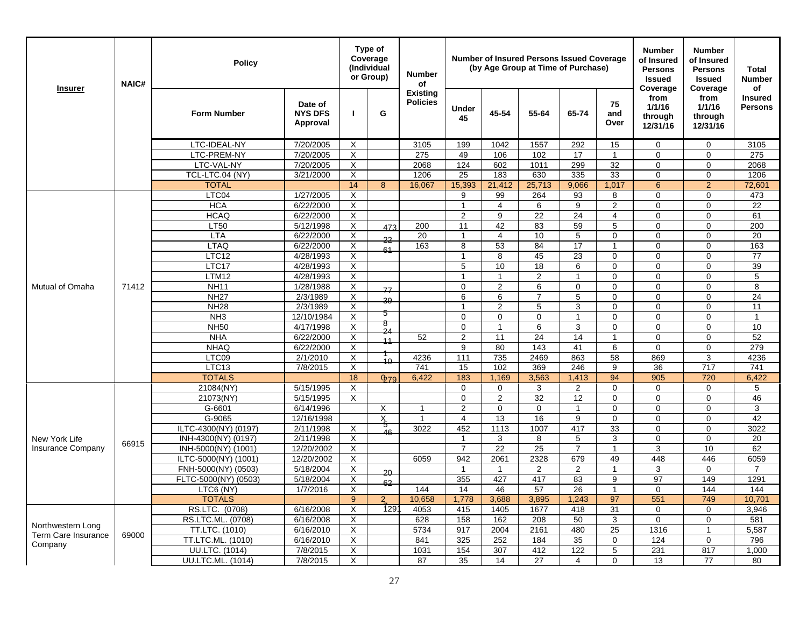| <b>Insurer</b>             | <b>NAIC#</b> | Policy                     |                                       |                           | Type of<br>Coverage<br>(Individual<br>or Group) | <b>Number</b><br>of                |                    |                   | <b>Number of Insured Persons Issued Coverage</b><br>(by Age Group at Time of Purchase) |                |                   | <b>Number</b><br>of Insured<br><b>Persons</b><br><b>Issued</b><br>Coverage | <b>Number</b><br>of Insured<br><b>Persons</b><br><b>Issued</b><br>Coverage | Total<br><b>Number</b><br>οf     |
|----------------------------|--------------|----------------------------|---------------------------------------|---------------------------|-------------------------------------------------|------------------------------------|--------------------|-------------------|----------------------------------------------------------------------------------------|----------------|-------------------|----------------------------------------------------------------------------|----------------------------------------------------------------------------|----------------------------------|
|                            |              | <b>Form Number</b>         | Date of<br><b>NYS DFS</b><br>Approval | $\mathbf{I}$              | G                                               | <b>Existing</b><br><b>Policies</b> | <b>Under</b><br>45 | 45-54             | 55-64                                                                                  | 65-74          | 75<br>and<br>Over | from<br>1/1/16<br>through<br>12/31/16                                      | from<br>1/1/16<br>through<br>12/31/16                                      | <b>Insured</b><br><b>Persons</b> |
|                            |              | LTC-IDEAL-NY               | 7/20/2005                             | X                         |                                                 | 3105                               | 199                | 1042              | 1557                                                                                   | 292            | 15                | $\mathbf 0$                                                                | $\mathbf 0$                                                                | 3105                             |
|                            |              | LTC-PREM-NY                | 7/20/2005                             | Χ                         |                                                 | 275                                | 49                 | 106               | 102                                                                                    | 17             | $\mathbf{1}$      | 0                                                                          | $\Omega$                                                                   | 275                              |
|                            |              | LTC-VAL-NY                 | 7/20/2005                             | X                         |                                                 | 2068                               | 124                | 602               | 1011                                                                                   | 299            | 32                | 0                                                                          | $\Omega$                                                                   | 2068                             |
|                            |              | TCL-LTC.04 (NY)            | 3/21/2000                             | $\times$                  |                                                 | 1206                               | 25                 | 183               | 630                                                                                    | 335            | 33                | $\Omega$                                                                   | $\Omega$                                                                   | 1206                             |
|                            |              | <b>TOTAL</b>               |                                       | 14                        | 8                                               | 16,067                             | 15,393             | 21,412            | 25,713                                                                                 | 9,066          | 1,017             | $6\phantom{1}$                                                             | $\overline{2}$                                                             | 72,601                           |
|                            |              | LTC04                      | 1/27/2005                             | $\times$                  |                                                 |                                    | 9                  | 99                | 264                                                                                    | 93             | 8                 | 0                                                                          | $\Omega$                                                                   | 473                              |
|                            |              | <b>HCA</b>                 | 6/22/2000                             | Χ                         |                                                 |                                    | $\mathbf{1}$       | $\overline{4}$    | 6                                                                                      | 9              | $\overline{c}$    | $\mathbf 0$                                                                | $\mathbf 0$                                                                | 22                               |
|                            |              | <b>HCAQ</b>                | 6/22/2000                             | X                         |                                                 |                                    | 2                  | 9                 | 22                                                                                     | 24             | $\overline{4}$    | 0                                                                          | $\mathbf 0$                                                                | 61                               |
|                            |              | <b>LT50</b>                | 5/12/1998                             | Χ                         | 473                                             | 200                                | 11                 | 42                | 83                                                                                     | 59             | 5                 | 0                                                                          | $\mathbf 0$                                                                | 200                              |
|                            |              | <b>LTA</b>                 | 6/22/2000                             | X                         | 22                                              | 20                                 | $\mathbf{1}$       | 4                 | 10                                                                                     | 5              | 0                 | $\Omega$                                                                   | $\Omega$                                                                   | 20                               |
|                            |              | <b>LTAQ</b>                | 6/22/2000                             | $\times$                  | 61                                              | 163                                | 8                  | 53                | 84                                                                                     | 17             | $\overline{1}$    | $\Omega$                                                                   | $\Omega$                                                                   | 163                              |
|                            |              | LTC12                      | 4/28/1993                             | X                         |                                                 |                                    | $\mathbf{1}$       | 8                 | 45                                                                                     | 23             | $\mathbf 0$       | 0                                                                          | $\mathbf 0$                                                                | 77                               |
|                            |              | LTC17                      | 4/28/1993                             | $\boldsymbol{\mathsf{X}}$ |                                                 |                                    | 5                  | 10                | 18                                                                                     | 6              | $\mathbf 0$       | $\Omega$                                                                   | $\Omega$                                                                   | 39                               |
| Mutual of Omaha            |              | LTM12                      | 4/28/1993                             | Χ                         |                                                 |                                    | 1                  | 1                 | $\overline{2}$                                                                         | $\mathbf{1}$   | $\mathbf 0$       | $\Omega$                                                                   | $\Omega$                                                                   | 5                                |
|                            | 71412        | <b>NH11</b>                | 1/28/1988                             | $\boldsymbol{\mathsf{X}}$ | 77                                              |                                    | $\pmb{0}$          | $\overline{2}$    | 6                                                                                      | $\mathbf 0$    | $\mathbf 0$       | 0                                                                          | $\Omega$                                                                   | 8                                |
|                            |              | <b>NH27</b>                | 2/3/1989                              | X                         | 39                                              |                                    | 6                  | 6                 | 7                                                                                      | 5              | $\mathbf 0$       | 0                                                                          | $\mathbf 0$                                                                | 24                               |
|                            |              | <b>NH28</b>                | 2/3/1989                              | $\times$                  | 5                                               |                                    | $\overline{1}$     | $\overline{2}$    | 5                                                                                      | 3              | $\Omega$          | $\Omega$                                                                   | $\Omega$                                                                   | 11                               |
|                            |              | NH <sub>3</sub>            | 12/10/1984                            | $\times$                  | δ                                               |                                    | $\Omega$           | $\Omega$          | $\Omega$                                                                               | $\overline{1}$ | $\Omega$          | $\Omega$                                                                   | $\Omega$                                                                   | $\mathbf{1}$                     |
|                            |              | <b>NH50</b>                | 4/17/1998                             | X                         | 24                                              |                                    | $\mathbf 0$        | $\overline{1}$    | 6                                                                                      | 3              | $\mathbf 0$       | $\mathbf 0$                                                                | $\mathbf 0$                                                                | 10                               |
|                            |              | <b>NHA</b>                 | 6/22/2000                             | $\boldsymbol{\mathsf{X}}$ | 11                                              | 52                                 | $\overline{2}$     | 11                | 24                                                                                     | 14             | $\mathbf{1}$      | 0                                                                          | $\mathbf 0$                                                                | 52                               |
|                            |              | <b>NHAQ</b>                | 6/22/2000                             | $\times$                  |                                                 |                                    | 9                  | 80                | 143                                                                                    | 41             | 6                 | $\Omega$                                                                   | $\Omega$                                                                   | 279                              |
|                            |              | LTC09                      | 2/1/2010                              | $\boldsymbol{\mathsf{X}}$ | 10                                              | 4236                               | 111                | 735               | 2469                                                                                   | 863            | 58                | 869                                                                        | 3                                                                          | 4236                             |
|                            |              | LTC13                      | 7/8/2015                              | X                         |                                                 | 741                                | 15                 | 102               | 369                                                                                    | 246            | 9                 | 36                                                                         | 717                                                                        | 741                              |
|                            |              | <b>TOTALS</b><br>21084(NY) | 5/15/1995                             | 18<br>$\times$            | 079                                             | 6,422                              | 183<br>$\Omega$    | 1,169<br>$\Omega$ | 3,563                                                                                  | 1,413<br>2     | 94<br>$\Omega$    | 905<br>$\Omega$                                                            | 720<br>$\Omega$                                                            | 6,422<br>5                       |
|                            |              | 21073(NY)                  | 5/15/1995                             | $\times$                  |                                                 |                                    | $\mathbf 0$        | 2                 | 3<br>32                                                                                | 12             | $\mathbf 0$       | $\mathbf 0$                                                                | $\mathbf 0$                                                                | 46                               |
|                            |              | G-6601                     | 6/14/1996                             |                           | X                                               | $\mathbf{1}$                       | $\overline{2}$     | $\Omega$          | $\overline{0}$                                                                         | $\overline{1}$ | $\Omega$          | $\Omega$                                                                   | $\Omega$                                                                   | 3                                |
|                            |              | G-9065                     | 12/16/1998                            |                           | X                                               | $\mathbf{1}$                       | $\overline{4}$     | 13                | 16                                                                                     | 9              | $\mathbf 0$       | $\Omega$                                                                   | $\Omega$                                                                   | 42                               |
|                            |              | ILTC-4300(NY) (0197)       | 2/11/1998                             | Χ                         | ত                                               | 3022                               | 452                | 1113              | 1007                                                                                   | 417            | 33                | 0                                                                          | $\mathbf 0$                                                                | 3022                             |
| New York Life              |              | INH-4300(NY) (0197)        | 2/11/1998                             | X                         | 46                                              |                                    | -1                 | 3                 | 8                                                                                      | 5              | 3                 | 0                                                                          | 0                                                                          | 20                               |
| <b>Insurance Company</b>   | 66915        | INH-5000(NY) (1001)        | 12/20/2002                            | $\boldsymbol{\mathsf{X}}$ |                                                 |                                    | $\overline{7}$     | 22                | 25                                                                                     | $\overline{7}$ | $\mathbf{1}$      | 3                                                                          | 10                                                                         | 62                               |
|                            |              | ILTC-5000(NY) (1001)       | 12/20/2002                            | $\times$                  |                                                 | 6059                               | 942                | 2061              | 2328                                                                                   | 679            | 49                | 448                                                                        | 446                                                                        | 6059                             |
|                            |              | FNH-5000(NY) (0503)        | 5/18/2004                             | $\boldsymbol{\mathsf{X}}$ |                                                 |                                    | $\mathbf{1}$       | $\overline{1}$    | 2                                                                                      | 2              | $\mathbf{1}$      | 3                                                                          | $\Omega$                                                                   | $\overline{7}$                   |
|                            |              | FLTC-5000(NY) (0503)       | 5/18/2004                             | X                         | $20 -$                                          |                                    | 355                | 427               | 417                                                                                    | 83             | 9                 | 97                                                                         | 149                                                                        | 1291                             |
|                            |              | LTC6 (NY)                  | 1/7/2016                              | $\times$                  | 62                                              | 144                                | 14                 | 46                | 57                                                                                     | 26             | $\mathbf{1}$      | $\mathbf 0$                                                                | 144                                                                        | 144                              |
|                            |              | <b>TOTALS</b>              |                                       | 9                         | $\overline{2}$                                  | 10,658                             | 1,778              | 3,688             | 3,895                                                                                  | 1.243          | 97                | 551                                                                        | 749                                                                        | 10.701                           |
|                            |              | RS.LTC. (0708)             | 6/16/2008                             | X                         | 129                                             | 4053                               | 415                | 1405              | 1677                                                                                   | 418            | 31                | 0                                                                          | 0                                                                          | 3,946                            |
|                            |              | RS.LTC.ML. (0708)          | 6/16/2008                             | $\boldsymbol{\mathsf{X}}$ |                                                 | 628                                | 158                | 162               | 208                                                                                    | 50             | 3                 | $\Omega$                                                                   | $\Omega$                                                                   | 581                              |
| Northwestern Long          |              | TT.LTC. (1010)             | 6/16/2010                             | $\times$                  |                                                 | 5734                               | 917                | 2004              | 2161                                                                                   | 480            | 25                | 1316                                                                       | $\mathbf{1}$                                                               | 5,587                            |
| <b>Term Care Insurance</b> | 69000        | TT.LTC.ML. (1010)          | 6/16/2010                             | $\times$                  |                                                 | 841                                | 325                | 252               | 184                                                                                    | 35             | $\mathbf 0$       | 124                                                                        | $\mathbf 0$                                                                | 796                              |
| Company                    |              | UU.LTC. (1014)             | 7/8/2015                              | X                         |                                                 | 1031                               | 154                | 307               | 412                                                                                    | 122            | 5                 | 231                                                                        | 817                                                                        | 1,000                            |
|                            |              | UU.LTC.ML. (1014)          | 7/8/2015                              | X                         |                                                 | 87                                 | 35                 | 14                | 27                                                                                     | 4              | $\mathbf 0$       | 13                                                                         | 77                                                                         | 80                               |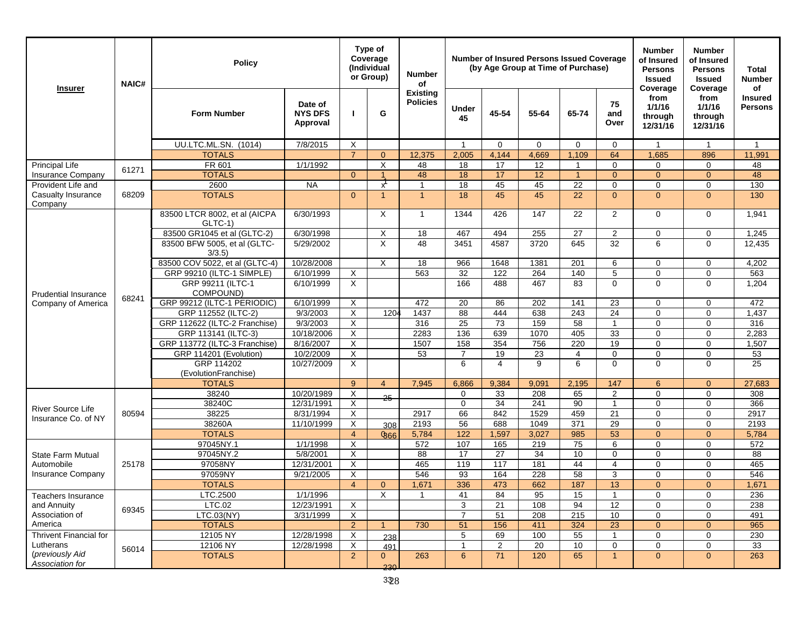| <b>Insurer</b>                     | <b>NAIC#</b> | <b>Policy</b>                             |                                       |                                  | Type of<br>Coverage<br>(Individual<br>or Group) | <b>Number</b><br>of                |                    |                | <b>Number of Insured Persons Issued Coverage</b><br>(by Age Group at Time of Purchase) |                         |                   | <b>Number</b><br>of Insured<br><b>Persons</b><br><b>Issued</b><br>Coverage | <b>Number</b><br>of Insured<br><b>Persons</b><br><b>Issued</b><br>Coverage | Total<br><b>Number</b><br>of     |
|------------------------------------|--------------|-------------------------------------------|---------------------------------------|----------------------------------|-------------------------------------------------|------------------------------------|--------------------|----------------|----------------------------------------------------------------------------------------|-------------------------|-------------------|----------------------------------------------------------------------------|----------------------------------------------------------------------------|----------------------------------|
|                                    |              | <b>Form Number</b>                        | Date of<br><b>NYS DFS</b><br>Approval |                                  | G                                               | <b>Existing</b><br><b>Policies</b> | <b>Under</b><br>45 | 45-54          | 55-64                                                                                  | 65-74                   | 75<br>and<br>Over | from<br>1/1/16<br>through<br>12/31/16                                      | from<br>1/1/16<br>through<br>12/31/16                                      | <b>Insured</b><br><b>Persons</b> |
|                                    |              | <b>UU.LTC.ML.SN. (1014)</b>               | 7/8/2015                              | X                                |                                                 |                                    | $\overline{1}$     | $\Omega$       | $\Omega$                                                                               | $\Omega$                | $\Omega$          | $\mathbf{1}$                                                               | $\mathbf{1}$                                                               | $\mathbf{1}$                     |
|                                    |              | <b>TOTALS</b>                             |                                       | $\overline{7}$                   | $\mathbf{0}$                                    | 12,375                             | 2,005              | 4,144          | 4,669                                                                                  | 1,109                   | 64                | 1,685                                                                      | 896                                                                        | 11,991                           |
| Principal Life                     | 61271        | FR 601                                    | 1/1/1992                              |                                  | X                                               | 48                                 | 18                 | 17             | 12                                                                                     | $\overline{\mathbf{1}}$ | $\Omega$          | $\mathbf 0$                                                                | $\mathbf 0$                                                                | 48                               |
| <b>Insurance Company</b>           |              | <b>TOTALS</b>                             |                                       | $\Omega$                         |                                                 | 48                                 | 18                 | 17             | 12                                                                                     | $\overline{1}$          | $\Omega$          | $\overline{0}$                                                             | $\overline{0}$                                                             | 48                               |
| Provident Life and                 |              | 2600                                      | <b>NA</b>                             |                                  | $x^{\prime}$                                    | $\overline{\mathbf{1}}$            | 18                 | 45             | 45                                                                                     | $\overline{22}$         | $\mathbf 0$       | $\mathbf 0$                                                                | $\mathbf 0$                                                                | 130                              |
| Casualty Insurance<br>Company      | 68209        | <b>TOTALS</b>                             |                                       | $\Omega$                         | -1                                              | $\overline{1}$                     | 18                 | 45             | 45                                                                                     | 22                      | $\Omega$          | $\overline{0}$                                                             | $\overline{0}$                                                             | 130                              |
|                                    |              | 83500 LTCR 8002, et al (AICPA<br>$GLTC-1$ | 6/30/1993                             |                                  | X                                               | $\mathbf{1}$                       | 1344               | 426            | 147                                                                                    | 22                      | $\overline{2}$    | $\mathbf 0$                                                                | $\Omega$                                                                   | 1,941                            |
|                                    |              | 83500 GR1045 et al (GLTC-2)               | 6/30/1998                             |                                  | X                                               | 18                                 | 467                | 494            | 255                                                                                    | 27                      | $\overline{2}$    | $\mathbf 0$                                                                | $\mathbf 0$                                                                | 1,245                            |
|                                    |              | 83500 BFW 5005, et al (GLTC-<br>3/3.5     | 5/29/2002                             |                                  | X                                               | 48                                 | 3451               | 4587           | 3720                                                                                   | 645                     | 32                | 6                                                                          | $\mathbf 0$                                                                | 12,435                           |
|                                    |              | 83500 COV 5022, et al (GLTC-4)            | 10/28/2008                            |                                  | Χ                                               | 18                                 | 966                | 1648           | 1381                                                                                   | 201                     | 6                 | $\mathbf 0$                                                                | 0                                                                          | 4,202                            |
| <b>Prudential Insurance</b>        |              | GRP 99210 (ILTC-1 SIMPLE)                 | 6/10/1999                             | X                                |                                                 | 563                                | 32                 | 122            | 264                                                                                    | 140                     | 5                 | $\mathbf 0$                                                                | $\mathbf 0$                                                                | 563                              |
|                                    | 68241        | GRP 99211 (ILTC-1<br>COMPOUND)            | 6/10/1999                             | X                                |                                                 |                                    | 166                | 488            | 467                                                                                    | 83                      | $\Omega$          | $\Omega$                                                                   | $\Omega$                                                                   | 1,204                            |
| Company of America                 |              | GRP 99212 (ILTC-1 PERIODIC)               | 6/10/1999                             | X                                |                                                 | 472                                | 20                 | 86             | 202                                                                                    | 141                     | 23                | $\mathbf 0$                                                                | $\mathbf 0$                                                                | 472                              |
|                                    |              | GRP 112552 (ILTC-2)                       | 9/3/2003                              | X                                | 1204                                            | 1437                               | 88                 | 444            | 638                                                                                    | 243                     | 24                | $\mathbf 0$                                                                | $\mathbf 0$                                                                | 1,437                            |
|                                    |              | GRP 112622 (ILTC-2 Franchise)             | 9/3/2003                              | X                                |                                                 | 316                                | 25                 | 73             | 159                                                                                    | 58                      | $\mathbf{1}$      | $\mathbf 0$                                                                | $\mathbf 0$                                                                | 316                              |
|                                    |              | GRP 113141 (ILTC-3)                       | 10/18/2006                            | X                                |                                                 | 2283                               | 136                | 639            | 1070                                                                                   | 405                     | 33                | $\mathbf 0$                                                                | $\mathbf 0$                                                                | 2,283                            |
|                                    |              | GRP 113772 (ILTC-3 Franchise)             | 8/16/2007                             | X                                |                                                 | 1507                               | 158                | 354            | 756                                                                                    | 220                     | 19                | $\mathbf 0$                                                                | $\mathbf 0$                                                                | 1,507                            |
|                                    |              | GRP 114201 (Evolution)                    | 10/2/2009                             | X                                |                                                 | 53                                 | $\overline{7}$     | 19             | 23                                                                                     | 4                       | $\mathbf 0$       | $\mathbf 0$                                                                | $\mathbf 0$                                                                | 53                               |
|                                    |              | GRP 114202<br>(EvolutionFranchise)        | 10/27/2009                            | X                                |                                                 |                                    | 6                  | 4              | 9                                                                                      | 6                       | $\Omega$          | $\Omega$                                                                   | $\Omega$                                                                   | 25                               |
|                                    |              | <b>TOTALS</b>                             |                                       | 9                                | $\overline{4}$                                  | 7,945                              | 6,866              | 9,384          | 9,091                                                                                  | 2,195                   | 147               | 6                                                                          | $\mathbf{0}$                                                               | 27,683                           |
|                                    |              | 38240                                     | 10/20/1989                            | X                                | 25                                              |                                    | $\mathbf 0$        | 33             | 208                                                                                    | 65                      | $\overline{2}$    | $\mathbf 0$                                                                | $\mathbf 0$                                                                | 308                              |
| <b>River Source Life</b>           |              | 38240C                                    | 12/31/1991                            | X                                |                                                 |                                    | $\mathbf 0$        | 34             | 241                                                                                    | 90                      | $\mathbf{1}$      | $\mathbf 0$                                                                | $\mathbf 0$                                                                | 366                              |
| Insurance Co. of NY                | 80594        | 38225                                     | 8/31/1994                             | X                                |                                                 | 2917                               | 66                 | 842            | 1529                                                                                   | 459                     | 21                | $\mathbf 0$                                                                | $\mathbf 0$                                                                | 2917                             |
|                                    |              | 38260A                                    | 11/10/1999                            | X                                | 308                                             | 2193                               | 56                 | 688            | 1049                                                                                   | 371                     | 29                | $\mathbf 0$                                                                | $\mathbf 0$                                                                | 2193                             |
|                                    |              | <b>TOTALS</b><br>97045NY.1                | 1/1/1998                              | $\overline{4}$<br>$\overline{X}$ | 866                                             | 5,784<br>572                       | 122<br>107         | 1,597<br>165   | 3,027<br>219                                                                           | 985<br>75               | 53                | $\overline{0}$<br>$\mathbf 0$                                              | $\Omega$<br>$\mathbf 0$                                                    | 5,784<br>572                     |
| State Farm Mutual                  |              | 97045NY.2                                 | 5/8/2001                              | X                                |                                                 | 88                                 | 17                 | 27             | 34                                                                                     | 10                      | 6<br>$\mathbf 0$  | $\mathbf 0$                                                                | $\mathbf 0$                                                                | 88                               |
| Automobile                         | 25178        | 97058NY                                   | 12/31/2001                            | X                                |                                                 | 465                                | 119                | 117            | 181                                                                                    | 44                      | $\overline{4}$    | $\mathbf 0$                                                                | $\mathbf 0$                                                                | 465                              |
| Insurance Company                  |              | 97059NY                                   | 9/21/2005                             | X                                |                                                 | 546                                | 93                 | 164            | 228                                                                                    | 58                      | 3                 | $\mathbf 0$                                                                | $\mathbf 0$                                                                | 546                              |
|                                    |              | <b>TOTALS</b>                             |                                       | $\overline{4}$                   | $\mathbf{0}$                                    | 1,671                              | 336                | 473            | 662                                                                                    | 187                     | 13                | $\Omega$                                                                   | $\Omega$                                                                   | 1,671                            |
| <b>Teachers Insurance</b>          |              | LTC.2500                                  | 1/1/1996                              |                                  | X                                               | -1                                 | 41                 | 84             | 95                                                                                     | 15                      |                   | 0                                                                          | 0                                                                          | 236                              |
| and Annuity                        |              | LTC.02                                    | 12/23/1991                            | X                                |                                                 |                                    | 3                  | 21             | 108                                                                                    | 94                      | 12                | $\mathbf 0$                                                                | $\mathbf 0$                                                                | 238                              |
| Association of                     | 69345        | LTC.03(NY)                                | 3/31/1999                             | X                                |                                                 |                                    | $\overline{7}$     | 51             | 208                                                                                    | 215                     | 10                | $\mathbf 0$                                                                | $\mathbf 0$                                                                | 491                              |
| America                            |              | <b>TOTALS</b>                             |                                       | $\overline{2}$                   | $\overline{1}$                                  | 730                                | 51                 | 156            | 411                                                                                    | 324                     | 23                | $\mathbf{0}$                                                               | $\mathbf{0}$                                                               | 965                              |
| <b>Thrivent Financial for</b>      |              | 12105 NY                                  | 12/28/1998                            | X                                | 238                                             |                                    | 5                  | 69             | 100                                                                                    | 55                      | -1                | $\mathbf 0$                                                                | $\mathbf 0$                                                                | 230                              |
| Lutherans                          | 56014        | 12106 NY                                  | 12/28/1998                            | X                                | 491                                             |                                    | $\mathbf{1}$       | $\overline{2}$ | 20                                                                                     | 10                      | 0                 | $\mathbf 0$                                                                | $\mathbf 0$                                                                | 33                               |
| (previously Aid<br>Association for |              | <b>TOTALS</b>                             |                                       | $\overline{2}$                   | $\mathbf{0}$<br>230                             | 263                                | 6                  | 71             | 120                                                                                    | 65                      | $\mathbf{1}$      | $\mathbf{0}$                                                               | $\mathbf{0}$                                                               | 263                              |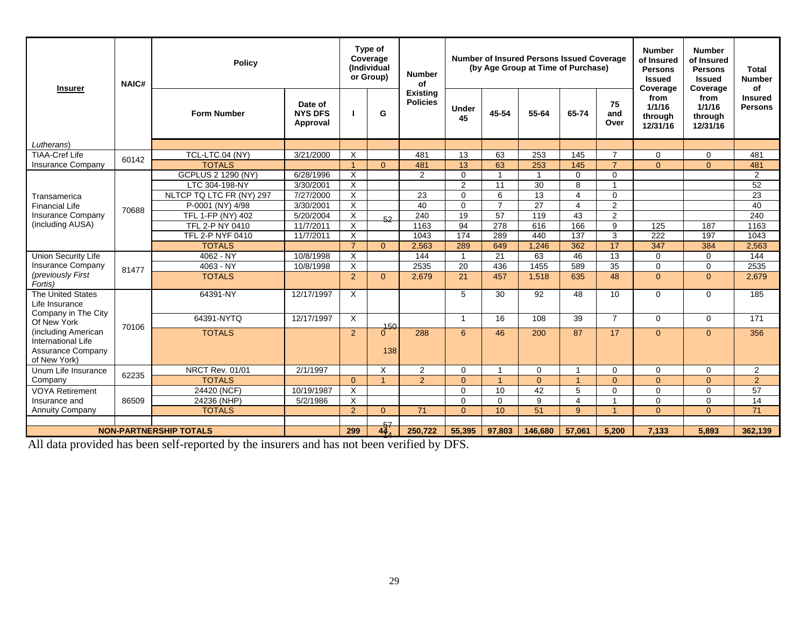| <b>Insurer</b>                               | NAIC#                         | <b>Policy</b>             |                                       |                           | Type of<br>Coverage<br>(Individual<br>or Group) | <b>Number</b><br>of                |                    |                      | <b>Number of Insured Persons Issued Coverage</b><br>(by Age Group at Time of Purchase) |                          |                   | <b>Number</b><br>of Insured<br><b>Persons</b><br><b>Issued</b><br>Coverage | <b>Number</b><br>of Insured<br><b>Persons</b><br><b>Issued</b><br>Coverage | <b>Total</b><br><b>Number</b><br>of |
|----------------------------------------------|-------------------------------|---------------------------|---------------------------------------|---------------------------|-------------------------------------------------|------------------------------------|--------------------|----------------------|----------------------------------------------------------------------------------------|--------------------------|-------------------|----------------------------------------------------------------------------|----------------------------------------------------------------------------|-------------------------------------|
|                                              |                               | <b>Form Number</b>        | Date of<br><b>NYS DFS</b><br>Approval | - 1                       | G                                               | <b>Existing</b><br><b>Policies</b> | <b>Under</b><br>45 | 45-54                | 55-64                                                                                  | 65-74                    | 75<br>and<br>Over | from<br>1/1/16<br>through<br>12/31/16                                      | from<br>1/1/16<br>through<br>12/31/16                                      | <b>Insured</b><br><b>Persons</b>    |
| Lutherans)                                   |                               |                           |                                       |                           |                                                 |                                    |                    |                      |                                                                                        |                          |                   |                                                                            |                                                                            |                                     |
| <b>TIAA-Cref Life</b>                        | 60142                         | TCL-LTC.04 (NY)           | 3/21/2000                             | $\times$                  |                                                 | 481                                | 13                 | 63                   | 253                                                                                    | 145                      | $\overline{7}$    | $\Omega$                                                                   | $\mathbf 0$                                                                | 481                                 |
| <b>Insurance Company</b>                     |                               | <b>TOTALS</b>             |                                       | $\overline{1}$            | $\Omega$                                        | 481                                | 13                 | 63                   | 253                                                                                    | 145                      | $\overline{7}$    | $\Omega$                                                                   | $\Omega$                                                                   | 481                                 |
|                                              |                               | <b>GCPLUS 2 1290 (NY)</b> | 6/28/1996                             | $\boldsymbol{\mathsf{X}}$ |                                                 | 2                                  | $\Omega$           | 1                    |                                                                                        | $\Omega$                 | $\mathbf 0$       |                                                                            |                                                                            | $\overline{2}$                      |
|                                              |                               | LTC 304-198-NY            | 3/30/2001                             | $\overline{\mathsf{x}}$   |                                                 |                                    | 2                  | 11                   | 30                                                                                     | 8                        | $\overline{1}$    |                                                                            |                                                                            | 52                                  |
| Transamerica                                 |                               | NLTCP TQ LTC FR (NY) 297  | 7/27/2000                             | $\times$                  |                                                 | 23                                 | $\Omega$           | 6                    | $\overline{13}$                                                                        | 4                        | $\Omega$          |                                                                            |                                                                            | 23                                  |
| <b>Financial Life</b>                        | 70688                         | P-0001 (NY) 4/98          | 3/30/2001                             | $\times$                  |                                                 | 40                                 | $\Omega$           | $\overline{7}$       | 27                                                                                     | $\overline{4}$           | 2                 |                                                                            |                                                                            | 40                                  |
| <b>Insurance Company</b><br>(including AUSA) |                               | TFL 1-FP (NY) 402         | 5/20/2004                             | $\overline{\mathsf{x}}$   | 52                                              | 240                                | 19                 | 57                   | 119                                                                                    | 43                       | $\mathbf{2}$      |                                                                            |                                                                            | 240                                 |
|                                              |                               | TFL 2-P NY 0410           | 11/7/2011                             | $\times$                  |                                                 | 1163                               | 94                 | 278                  | 616                                                                                    | 166                      | 9                 | 125                                                                        | 187                                                                        | 1163                                |
|                                              |                               | TFL 2-P NYF 0410          | 11/7/2011                             | X                         |                                                 | 1043                               | 174                | 289                  | 440                                                                                    | 137                      | 3                 | 222                                                                        | 197                                                                        | 1043                                |
|                                              |                               | <b>TOTALS</b>             |                                       | $\overline{7}$            | $\Omega$                                        | 2,563                              | 289                | 649                  | 1,246                                                                                  | 362                      | 17                | 347                                                                        | 384                                                                        | 2,563                               |
| <b>Union Security Life</b>                   |                               | $4062 - NY$               | 10/8/1998                             | $\times$                  |                                                 | 144                                | $\overline{1}$     | 21                   | 63                                                                                     | 46                       | 13                | $\Omega$                                                                   | $\mathbf 0$                                                                | 144                                 |
| Insurance Company                            | 81477                         | 4063 - NY                 | 10/8/1998                             | $\times$                  |                                                 | 2535                               | 20                 | 436                  | 1455                                                                                   | 589                      | $\overline{35}$   | $\mathbf{0}$                                                               | $\mathbf{0}$                                                               | 2535                                |
| (previously First<br>Fortis)                 |                               | <b>TOTALS</b>             |                                       | 2                         | $\Omega$                                        | 2.679                              | 21                 | 457                  | 1,518                                                                                  | 635                      | 48                | $\Omega$                                                                   | $\Omega$                                                                   | 2,679                               |
| The United States<br>Life Insurance          |                               | 64391-NY                  | 12/17/1997                            | X                         |                                                 |                                    | 5                  | 30                   | 92                                                                                     | 48                       | 10                | $\Omega$                                                                   | $\mathbf 0$                                                                | 185                                 |
| Company in The City                          |                               | 64391-NYTQ                | 12/17/1997                            | X                         |                                                 |                                    | -1                 | 16                   | 108                                                                                    | 39                       | $\overline{7}$    | $\mathbf 0$                                                                | $\mathbf 0$                                                                | 171                                 |
| Of New York                                  | 70106                         |                           |                                       |                           |                                                 |                                    |                    |                      |                                                                                        |                          |                   |                                                                            |                                                                            |                                     |
| (including American                          |                               | <b>TOTALS</b>             |                                       | 2                         | $\frac{150}{0}$                                 | 288                                | 6                  | 46                   | 200                                                                                    | 87                       | 17                | $\Omega$                                                                   | $\overline{0}$                                                             | 356                                 |
| International Life                           |                               |                           |                                       |                           |                                                 |                                    |                    |                      |                                                                                        |                          |                   |                                                                            |                                                                            |                                     |
| <b>Assurance Company</b><br>of New York)     |                               |                           |                                       |                           | 138                                             |                                    |                    |                      |                                                                                        |                          |                   |                                                                            |                                                                            |                                     |
| Unum Life Insurance                          | 62235                         | <b>NRCT Rev. 01/01</b>    | 2/1/1997                              |                           | X                                               | 2                                  | $\Omega$           | $\overline{ }$       | $\Omega$                                                                               | $\overline{\phantom{a}}$ | $\Omega$          | $\Omega$                                                                   | $\Omega$                                                                   | 2                                   |
| Company                                      |                               | <b>TOTALS</b>             |                                       | $\Omega$                  |                                                 | $\mathcal{P}$                      | $\Omega$           | $\blacktriangleleft$ | $\Omega$                                                                               |                          | $\Omega$          | $\Omega$                                                                   | $\Omega$                                                                   | $\overline{2}$                      |
| <b>VOYA Retirement</b>                       |                               | 24420 (NCF)               | 10/19/1987                            | $\times$                  |                                                 |                                    | $\Omega$           | 10                   | 42                                                                                     | 5                        | $\Omega$          | $\Omega$                                                                   | $\Omega$                                                                   | 57                                  |
| Insurance and                                | 86509                         | 24236 (NHP)               | 5/2/1986                              | $\times$                  |                                                 |                                    | $\Omega$           | $\Omega$             | 9                                                                                      | 4                        | $\overline{1}$    | $\mathbf 0$                                                                | $\mathbf 0$                                                                | $\overline{14}$                     |
| <b>Annuity Company</b>                       |                               | <b>TOTALS</b>             |                                       | $\mathcal{P}$             | $\Omega$                                        | 71                                 | $\Omega$           | 10                   | 51                                                                                     | $\mathbf{q}$             | $\overline{1}$    | $\Omega$                                                                   | $\Omega$                                                                   | 71                                  |
|                                              |                               |                           |                                       |                           |                                                 |                                    |                    |                      |                                                                                        |                          |                   |                                                                            |                                                                            |                                     |
|                                              | <b>NON-PARTNERSHIP TOTALS</b> |                           |                                       | 299                       | $\frac{57}{44}$                                 | 250.722                            | 55,395             | 97.803               | 146,680                                                                                | 57.061                   | 5,200             | 7,133                                                                      | 5.893                                                                      | 362,139                             |

**144 All data provided has been self-reported by the insurers and has not been verified by DFS.**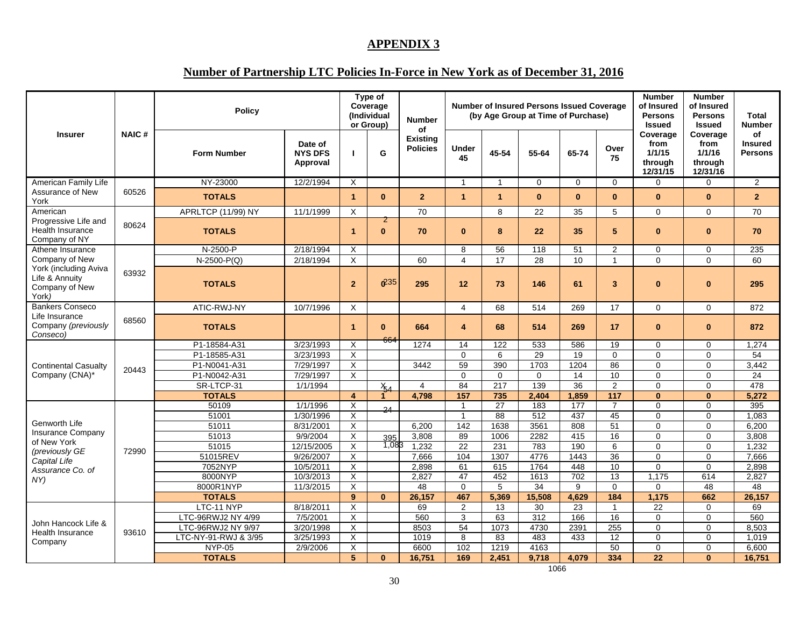#### **APPENDIX 3**

# **Number of Partnership LTC Policies In-Force in New York as of December 31, 2016**

| <b>Insurer</b>                                                     |              | <b>Policy</b>                    |                                       |                         | Type of<br>Coverage<br>(Individual<br>or Group) | <b>Number</b><br>οf                |                |                 | <b>Number of Insured Persons Issued Coverage</b><br>(by Age Group at Time of Purchase) |                          |                         | <b>Number</b><br>of Insured<br><b>Persons</b><br><b>Issued</b> | <b>Number</b><br>of Insured<br><b>Persons</b><br><b>Issued</b> | <b>Total</b><br><b>Number</b>          |
|--------------------------------------------------------------------|--------------|----------------------------------|---------------------------------------|-------------------------|-------------------------------------------------|------------------------------------|----------------|-----------------|----------------------------------------------------------------------------------------|--------------------------|-------------------------|----------------------------------------------------------------|----------------------------------------------------------------|----------------------------------------|
|                                                                    | <b>NAIC#</b> | <b>Form Number</b>               | Date of<br><b>NYS DFS</b><br>Approval |                         | G                                               | <b>Existing</b><br><b>Policies</b> | Under<br>45    | 45-54           | 55-64                                                                                  | 65-74                    | Over<br>75              | Coverage<br>from<br>1/1/15<br>through<br>12/31/15              | Coverage<br>from<br>1/1/16<br>through<br>12/31/16              | οf<br><b>Insured</b><br><b>Persons</b> |
| American Family Life                                               |              | NY-23000                         | 12/2/1994                             | $\times$                |                                                 |                                    |                | -1              | $\Omega$                                                                               | $\Omega$                 | $\Omega$                | $\Omega$                                                       | $\Omega$                                                       | 2                                      |
| Assurance of New<br>York                                           | 60526        | <b>TOTALS</b>                    |                                       | $\blacktriangleleft$    | $\bf{0}$                                        | $\overline{2}$                     | $\overline{1}$ | $\mathbf{1}$    | $\bf{0}$                                                                               | $\mathbf{0}$             | $\bf{0}$                | $\bf{0}$                                                       | $\bf{0}$                                                       | $\overline{2}$                         |
| American                                                           |              | APRLTCP (11/99) NY               | 11/1/1999                             | X                       |                                                 | 70                                 |                | 8               | 22                                                                                     | 35                       | 5                       | $\Omega$                                                       | $\Omega$                                                       | 70                                     |
| Progressive Life and<br>Health Insurance<br>Company of NY          | 80624        | <b>TOTALS</b>                    |                                       | $\overline{1}$          | 2<br>$\mathbf{0}$                               | 70                                 | $\mathbf{0}$   | 8               | 22                                                                                     | 35                       | 5                       | $\bf{0}$                                                       | $\bf{0}$                                                       | 70                                     |
| Athene Insurance                                                   |              | N-2500-P                         | 2/18/1994                             | $\times$                |                                                 |                                    | 8              | 56              | 118                                                                                    | 51                       | $\overline{2}$          | $\Omega$                                                       | $\mathbf 0$                                                    | 235                                    |
| Company of New                                                     |              | $N-2500-P(Q)$                    | 2/18/1994                             | $\times$                |                                                 | 60                                 | $\overline{4}$ | 17              | 28                                                                                     | 10                       | $\mathbf{1}$            | $\Omega$                                                       | $\Omega$                                                       | 60                                     |
| York (including Aviva<br>Life & Annuity<br>Company of New<br>York) | 63932        | <b>TOTALS</b>                    |                                       | $\overline{2}$          | 6235                                            | 295                                | 12             | 73              | 146                                                                                    | 61                       | $\overline{\mathbf{3}}$ | $\bf{0}$                                                       | $\bf{0}$                                                       | 295                                    |
| <b>Bankers Conseco</b>                                             |              | ATIC-RWJ-NY                      | 10/7/1996                             | $\times$                |                                                 |                                    | $\overline{4}$ | 68              | 514                                                                                    | 269                      | 17                      | $\Omega$                                                       | $\Omega$                                                       | 872                                    |
| Life Insurance<br>Company (previously<br>Conseco)                  | 68560        | <b>TOTALS</b>                    |                                       | $\blacktriangleleft$    | $\mathbf{0}$                                    | 664                                | 4              | 68              | 514                                                                                    | 269                      | 17                      | $\mathbf{0}$                                                   | $\bf{0}$                                                       | 872                                    |
|                                                                    |              | P1-18584-A31                     | 3/23/1993                             | $\times$                | 664                                             | 1274                               | 14             | 122             | 533                                                                                    | 586                      | 19                      | $\Omega$                                                       | $\Omega$                                                       | 1,274                                  |
|                                                                    |              | P1-18585-A31                     | 3/23/1993                             | X                       |                                                 |                                    | $\mathbf 0$    | 6               | 29                                                                                     | 19                       | $\mathbf 0$             | $\mathbf 0$                                                    | $\mathbf 0$                                                    | 54                                     |
| <b>Continental Casualty</b>                                        | 20443        | P1-N0041-A31                     | 7/29/1997                             | $\times$                |                                                 | 3442                               | 59             | 390             | 1703                                                                                   | 1204                     | 86                      | $\Omega$                                                       | $\mathbf 0$                                                    | 3,442                                  |
| Company (CNA)*                                                     |              | P1-N0042-A31                     | 7/29/1997                             | X                       |                                                 |                                    | $\Omega$       | $\mathbf 0$     | $\mathbf 0$                                                                            | 14                       | 10                      | $\mathbf 0$                                                    | $\mathbf 0$                                                    | 24                                     |
|                                                                    |              | SR-LTCP-31<br><b>TOTALS</b>      | 1/1/1994                              | $\overline{4}$          | $\frac{\chi}{54}$                               | $\overline{4}$                     | 84<br>157      | 217<br>735      | 139<br>2.404                                                                           | $\overline{36}$<br>1.859 | $\overline{2}$<br>117   | $\Omega$<br>$\bf{0}$                                           | $\Omega$<br>$\bf{0}$                                           | 478<br>5,272                           |
|                                                                    |              | 50109                            | 1/1/1996                              | $\times$                |                                                 | 4,798                              | $\overline{1}$ | $\overline{27}$ | 183                                                                                    | 177                      | $\overline{7}$          | $\Omega$                                                       | $\Omega$                                                       | 395                                    |
|                                                                    |              | 51001                            | 1/30/1996                             | $\overline{\mathsf{x}}$ | 24                                              |                                    | $\overline{1}$ | 88              | 512                                                                                    | 437                      | 45                      | $\Omega$                                                       | $\Omega$                                                       | 1,083                                  |
| Genworth Life                                                      |              | 51011                            | 8/31/2001                             | $\times$                |                                                 | 6.200                              | 142            | 1638            | 3561                                                                                   | 808                      | 51                      | $\Omega$                                                       | $\Omega$                                                       | 6.200                                  |
| <b>Insurance Company</b>                                           |              | 51013                            | 9/9/2004                              | X                       | 395                                             | 3,808                              | 89             | 1006            | 2282                                                                                   | 415                      | 16                      | $\Omega$                                                       | $\mathbf 0$                                                    | 3,808                                  |
| of New York                                                        | 72990        | 51015                            | 12/15/2005                            | X                       | 1,083                                           | 1,232                              | 22             | 231             | 783                                                                                    | 190                      | 6                       | $\Omega$                                                       | $\mathbf 0$                                                    | 1,232                                  |
| (previously GE<br>Capital Life                                     |              | 51015REV                         | 9/26/2007                             | $\overline{\mathsf{x}}$ |                                                 | 7,666                              | 104            | 1307            | 4776                                                                                   | 1443                     | 36                      | $\Omega$                                                       | $\Omega$                                                       | 7.666                                  |
| Assurance Co. of                                                   |              | 7052NYP                          | 10/5/2011                             | $\times$                |                                                 | 2,898                              | 61             | 615             | 1764                                                                                   | 448                      | 10                      | $\mathbf 0$                                                    | $\mathbf 0$                                                    | 2,898                                  |
| NY)                                                                |              | 8000NYP                          | 10/3/2013                             | $\times$                |                                                 | 2.827                              | 47             | 452             | 1613                                                                                   | 702                      | 13                      | 1.175                                                          | 614                                                            | 2,827                                  |
|                                                                    |              | 8000R1NYP                        | 11/3/2015                             | $\times$                |                                                 | 48                                 | $\Omega$       | 5               | 34                                                                                     | 9                        | $\Omega$                | $\Omega$                                                       | $\overline{48}$                                                | 48                                     |
|                                                                    |              | <b>TOTALS</b>                    |                                       | 9                       | $\mathbf{0}$                                    | 26,157                             | 467            | 5,369           | 15,508                                                                                 | 4.629                    | 184                     | 1.175                                                          | 662                                                            | 26,157                                 |
|                                                                    |              | LTC-11 NYP<br>LTC-96RWJ2 NY 4/99 | 8/18/2011<br>7/5/2001                 | $\times$<br>X           |                                                 | 69<br>560                          | 2<br>3         | 13<br>63        | 30<br>312                                                                              | 23<br>166                | $\overline{1}$<br>16    | 22<br>$\Omega$                                                 | $\Omega$<br>$\Omega$                                           | 69<br>560                              |
| John Hancock Life &                                                |              | LTC-96RWJ2 NY 9/97               | 3/20/1998                             | $\times$                |                                                 | 8503                               | 54             | 1073            | 4730                                                                                   | 2391                     | 255                     | $\Omega$                                                       | $\mathbf 0$                                                    | 8,503                                  |
| Health Insurance                                                   | 93610        | LTC-NY-91-RWJ & 3/95             | 3/25/1993                             | X                       |                                                 | 1019                               | 8              | 83              | 483                                                                                    | 433                      | 12                      | $\Omega$                                                       | $\mathbf 0$                                                    | 1,019                                  |
| Company                                                            |              | <b>NYP-05</b>                    | 2/9/2006                              | X                       |                                                 | 6600                               | 102            | 1219            | 4163                                                                                   |                          | 50                      | $\Omega$                                                       | $\Omega$                                                       | 6,600                                  |
|                                                                    |              | <b>TOTALS</b>                    |                                       | 5                       | $\bf{0}$                                        | 16,751                             | 169            | 2,451           | 9,718                                                                                  | 4,079                    | 334                     | 22                                                             | $\Omega$                                                       | 16,751                                 |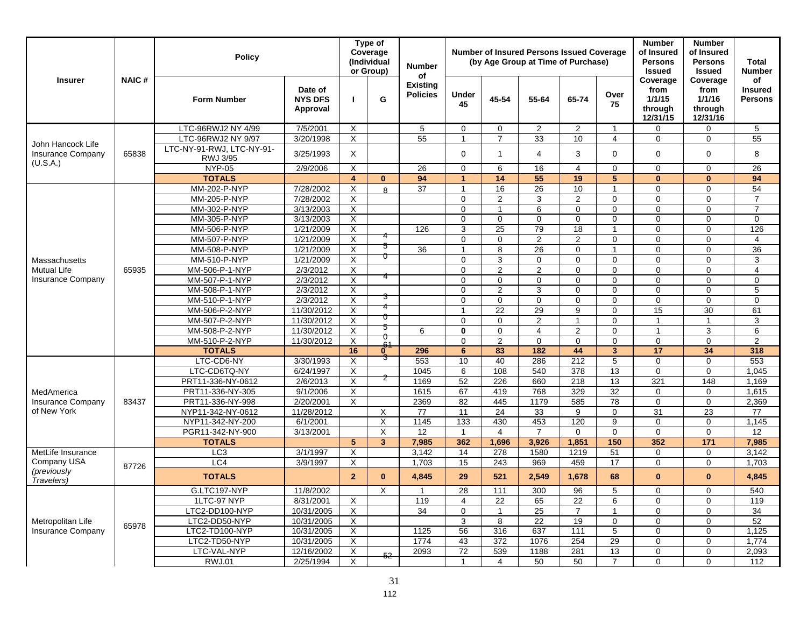|                                                |              | <b>Policy</b>                         |                                       |                           | Type of<br>Coverage<br>(Individual<br>or Group) | <b>Number</b><br>of                |                      |                | <b>Number of Insured Persons Issued Coverage</b><br>(by Age Group at Time of Purchase) |                |                | <b>Number</b><br>of Insured<br><b>Persons</b><br><b>Issued</b> | <b>Number</b><br>of Insured<br><b>Persons</b><br><b>Issued</b> | Total<br><b>Number</b>                 |
|------------------------------------------------|--------------|---------------------------------------|---------------------------------------|---------------------------|-------------------------------------------------|------------------------------------|----------------------|----------------|----------------------------------------------------------------------------------------|----------------|----------------|----------------------------------------------------------------|----------------------------------------------------------------|----------------------------------------|
| <b>Insurer</b>                                 | <b>NAIC#</b> | <b>Form Number</b>                    | Date of<br><b>NYS DFS</b><br>Approval |                           | G                                               | <b>Existing</b><br><b>Policies</b> | Under<br>45          | 45-54          | 55-64                                                                                  | 65-74          | Over<br>75     | Coverage<br>from<br>1/1/15<br>through<br>12/31/15              | Coverage<br>from<br>1/1/16<br>through<br>12/31/16              | of<br><b>Insured</b><br><b>Persons</b> |
|                                                |              | LTC-96RWJ2 NY 4/99                    | 7/5/2001                              | X                         |                                                 | 5                                  | $\mathbf 0$          | 0              | $\overline{2}$                                                                         | 2              | -1             | 0                                                              | 0                                                              | 5                                      |
|                                                |              | LTC-96RWJ2 NY 9/97                    | 3/20/1998                             | X                         |                                                 | $\overline{55}$                    | -1                   | $\overline{7}$ | 33                                                                                     | 10             | $\overline{4}$ | $\Omega$                                                       | $\Omega$                                                       | 55                                     |
| John Hancock Life<br><b>Insurance Company</b>  | 65838        | LTC-NY-91-RWJ, LTC-NY-91-<br>RWJ 3/95 | 3/25/1993                             | X                         |                                                 |                                    | $\Omega$             | $\mathbf 1$    | 4                                                                                      | 3              | 0              | $\Omega$                                                       | $\mathbf 0$                                                    | 8                                      |
| (U.S.A.)                                       |              | <b>NYP-05</b>                         | 2/9/2006                              | X                         |                                                 | 26                                 | $\Omega$             | 6              | 16                                                                                     | 4              | $\mathbf 0$    | $\Omega$                                                       | $\Omega$                                                       | 26                                     |
|                                                |              | <b>TOTALS</b>                         |                                       | $\overline{4}$            | $\mathbf{0}$                                    | 94                                 | $\blacktriangleleft$ | 14             | 55                                                                                     | 19             | 5              | $\bf{0}$                                                       | $\bf{0}$                                                       | 94                                     |
|                                                |              | MM-202-P-NYP                          | 7/28/2002                             | X                         | $\mathsf{R}$                                    | 37                                 | $\mathbf{1}$         | 16             | 26                                                                                     | 10             | -1             | $\Omega$                                                       | $\mathbf 0$                                                    | 54                                     |
|                                                |              | MM-205-P-NYP                          | 7/28/2002                             | X                         |                                                 |                                    | $\Omega$             | $\overline{2}$ | 3                                                                                      | 2              | $\mathbf 0$    | $\Omega$                                                       | $\Omega$                                                       | $\overline{7}$                         |
|                                                |              | MM-302-P-NYP                          | 3/13/2003                             | X                         |                                                 |                                    | $\Omega$             | 1              | 6                                                                                      | $\Omega$       | $\mathbf 0$    | $\Omega$                                                       | $\mathbf 0$                                                    | $\overline{7}$                         |
|                                                |              | MM-305-P-NYP                          | 3/13/2003                             | X                         |                                                 |                                    | $\mathbf{0}$         | $\Omega$       | $\Omega$                                                                               | $\Omega$       | $\Omega$       | $\Omega$                                                       | $\mathbf 0$                                                    | $\mathbf 0$                            |
|                                                |              | MM-506-P-NYP                          | 1/21/2009                             | $\overline{X}$            |                                                 | 126                                | 3                    | 25             | 79                                                                                     | 18             |                | $\Omega$                                                       | $\Omega$                                                       | 126                                    |
|                                                |              | MM-507-P-NYP                          | 1/21/2009                             | X                         |                                                 |                                    | $\Omega$             | 0              | $\overline{2}$                                                                         | 2              | 0              | $\Omega$                                                       | $\mathbf 0$                                                    | $\overline{4}$                         |
|                                                |              | MM-508-P-NYP                          | 1/21/2009                             | X                         | 5<br>0                                          | 36                                 | $\overline{1}$       | 8              | 26                                                                                     | $\Omega$       | -1             | $\Omega$                                                       | $\mathbf 0$                                                    | 36                                     |
| Massachusetts                                  |              | MM-510-P-NYP                          | 1/21/2009                             | $\boldsymbol{\mathsf{X}}$ |                                                 |                                    | $\Omega$             | 3              | $\mathbf{0}$                                                                           | $\Omega$       | $\Omega$       | $\Omega$                                                       | $\Omega$                                                       | 3                                      |
| <b>Mutual Life</b><br><b>Insurance Company</b> | 65935        | MM-506-P-1-NYP                        | 2/3/2012                              | X                         |                                                 |                                    | $\mathbf 0$          | $\overline{2}$ | $\overline{2}$                                                                         | $\mathbf 0$    | $\mathbf 0$    | $\mathbf 0$                                                    | $\mathbf 0$                                                    | $\overline{4}$                         |
|                                                |              | MM-507-P-1-NYP                        | 2/3/2012                              | X                         |                                                 |                                    | $\mathbf 0$          | $\mathbf 0$    | $\mathbf 0$                                                                            | $\Omega$       | $\Omega$       | $\Omega$                                                       | $\Omega$                                                       | $\mathbf 0$                            |
|                                                |              | MM-508-P-1-NYP                        | 2/3/2012                              | X                         |                                                 |                                    | $\Omega$             | $\overline{2}$ | 3                                                                                      | $\Omega$       | $\Omega$       | $\Omega$                                                       | $\Omega$                                                       | 5                                      |
|                                                |              | MM-510-P-1-NYP                        | 2/3/2012                              | X                         | 3                                               |                                    | $\mathbf 0$          | 0              | 0                                                                                      | $\Omega$       | 0              | $\mathbf 0$                                                    | $\mathbf 0$                                                    | $\mathbf 0$                            |
|                                                |              | MM-506-P-2-NYP                        | 11/30/2012                            | X                         | О                                               |                                    | $\mathbf 1$          | 22             | 29                                                                                     | 9              | $\Omega$       | 15                                                             | $\overline{30}$                                                | 61                                     |
|                                                |              | MM-507-P-2-NYP                        | 11/30/2012                            | X                         | 5                                               |                                    | $\Omega$             | $\Omega$       | 2                                                                                      | $\overline{1}$ | $\mathbf 0$    | $\mathbf{1}$                                                   | $\overline{1}$                                                 | 3                                      |
|                                                |              | MM-508-P-2-NYP                        | 11/30/2012                            | X                         | U                                               | 6                                  | $\mathbf{0}$         | $\Omega$       | $\overline{4}$                                                                         | 2              | $\Omega$       | $\overline{1}$                                                 | 3                                                              | 6                                      |
|                                                |              | MM-510-P-2-NYP                        | 11/30/2012                            | X                         | $\frac{64}{6}$                                  |                                    | $\Omega$             | $\overline{2}$ | $\Omega$                                                                               | $\Omega$       | $\Omega$       | $\mathbf 0$                                                    | $\mathbf 0$                                                    | 2                                      |
|                                                |              | <b>TOTALS</b>                         |                                       | 16                        |                                                 | 296                                | 6                    | 83             | 182                                                                                    | 44             | $\overline{3}$ | 17                                                             | 34                                                             | 318                                    |
|                                                |              | LTC-CD6-NY                            | 3/30/1993                             | X                         |                                                 | 553                                | 10                   | 40             | 286                                                                                    | 212            | 5              | $\Omega$                                                       | $\mathbf 0$                                                    | 553                                    |
|                                                |              | LTC-CD6TQ-NY                          | 6/24/1997                             | X                         | z                                               | 1045                               | 6                    | 108            | 540                                                                                    | 378            | 13             | $\mathbf 0$                                                    | $\mathbf 0$                                                    | 1,045                                  |
|                                                |              | PRT11-336-NY-0612                     | 2/6/2013                              | X                         |                                                 | 1169                               | 52                   | 226            | 660                                                                                    | 218            | 13             | 321                                                            | 148                                                            | 1,169                                  |
| MedAmerica                                     |              | PRT11-336-NY-305                      | 9/1/2006                              | X                         |                                                 | 1615                               | 67                   | 419            | 768                                                                                    | 329            | 32             | $\Omega$                                                       | $\mathbf 0$                                                    | 1,615                                  |
| <b>Insurance Company</b><br>of New York        | 83437        | PRT11-336-NY-998                      | 2/20/2001                             | $\times$                  |                                                 | 2369                               | 82                   | 445            | 1179                                                                                   | 585            | 78             | $\Omega$                                                       | $\mathbf 0$                                                    | 2,369                                  |
|                                                |              | NYP11-342-NY-0612<br>NYP11-342-NY-200 | 11/28/2012                            |                           | X                                               | 77<br>1145                         | 11<br>133            | 24<br>430      | 33<br>453                                                                              | 9<br>120       | $\Omega$<br>9  | 31<br>$\Omega$                                                 | 23<br>$\mathbf 0$                                              | 77<br>1,145                            |
|                                                |              | PGR11-342-NY-900                      | 6/1/2001<br>3/13/2001                 |                           | X<br>X                                          | 12                                 | $\overline{1}$       | $\overline{4}$ | $\overline{7}$                                                                         | $\Omega$       | $\mathbf 0$    | $\mathbf 0$                                                    | $\mathbf 0$                                                    | 12                                     |
|                                                |              | <b>TOTALS</b>                         |                                       | 5 <sup>5</sup>            | $\overline{3}$                                  | 7,985                              | 362                  | 1,696          | 3,926                                                                                  | 1,851          | 150            | 352                                                            | $\overline{171}$                                               | 7,985                                  |
| MetLife Insurance                              |              | LC <sub>3</sub>                       | 3/1/1997                              | X                         |                                                 | 3,142                              | 14                   | 278            | 1580                                                                                   | 1219           | 51             | $\Omega$                                                       | $\Omega$                                                       | 3,142                                  |
| Company USA                                    |              | LC4                                   | 3/9/1997                              | X                         |                                                 | 1,703                              | 15                   | 243            | 969                                                                                    | 459            | 17             | $\mathbf 0$                                                    | $\mathbf 0$                                                    | 1,703                                  |
| (previously<br>Travelers)                      | 87726        | <b>TOTALS</b>                         |                                       | $\overline{2}$            | $\bf{0}$                                        | 4,845                              | 29                   | 521            | 2,549                                                                                  | 1,678          | 68             | $\bf{0}$                                                       | $\bf{0}$                                                       | 4,845                                  |
|                                                |              | G.LTC197-NYP                          | 11/8/2002                             |                           | X                                               | $\mathbf{1}$                       | 28                   | 111            | 300                                                                                    | 96             | 5              | 0                                                              | 0                                                              | 540                                    |
|                                                |              | 1LTC-97 NYP                           | 8/31/2001                             | Χ                         |                                                 | 119                                | 4                    | 22             | 65                                                                                     | 22             | 6              | 0                                                              | 0                                                              | 119                                    |
|                                                |              | LTC2-DD100-NYP                        | 10/31/2005                            | X                         |                                                 | 34                                 | $\mathbf 0$          |                | 25                                                                                     | $\overline{7}$ |                | 0                                                              | $\mathbf 0$                                                    | 34                                     |
| Metropolitan Life                              |              | LTC2-DD50-NYP                         | 10/31/2005                            | X                         |                                                 |                                    | 3                    | 8              | 22                                                                                     | 19             | $\mathbf 0$    | 0                                                              | 0                                                              | 52                                     |
| Insurance Company                              | 65978        | LTC2-TD100-NYP                        | 10/31/2005                            | Χ                         |                                                 | 1125                               | 56                   | 316            | 637                                                                                    | 111            | 5              | 0                                                              | 0                                                              | 1,125                                  |
|                                                |              | LTC2-TD50-NYP                         | 10/31/2005                            | X                         |                                                 | 1774                               | 43                   | 372            | 1076                                                                                   | 254            | 29             | 0                                                              | 0                                                              | 1,774                                  |
|                                                |              | LTC-VAL-NYP                           | 12/16/2002                            | X                         | 52                                              | 2093                               | $\overline{72}$      | 539            | 1188                                                                                   | 281            | 13             | 0                                                              | 0                                                              | 2,093                                  |
|                                                |              | RWJ.01                                | 2/25/1994                             | X                         |                                                 |                                    | $\mathbf{1}$         | 4              | 50                                                                                     | 50             | $\overline{7}$ | 0                                                              | 0                                                              | 112                                    |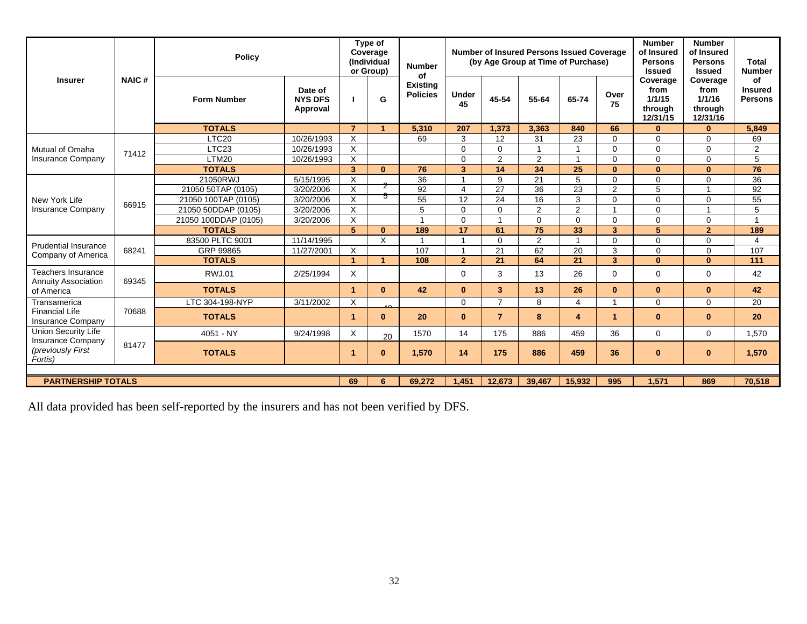| <b>Insurer</b>                                                                         |                           | <b>Policy</b>        |                                       |                      | Type of<br>Coverage<br>(Individual<br>or Group) | <b>Number</b><br>of                |                       |                | <b>Number of Insured Persons Issued Coverage</b><br>(by Age Group at Time of Purchase) |                |                         | <b>Number</b><br>of Insured<br><b>Persons</b><br><b>Issued</b> | <b>Number</b><br>of Insured<br><b>Persons</b><br><b>Issued</b> | <b>Total</b><br><b>Number</b>          |
|----------------------------------------------------------------------------------------|---------------------------|----------------------|---------------------------------------|----------------------|-------------------------------------------------|------------------------------------|-----------------------|----------------|----------------------------------------------------------------------------------------|----------------|-------------------------|----------------------------------------------------------------|----------------------------------------------------------------|----------------------------------------|
|                                                                                        | <b>NAIC#</b>              | <b>Form Number</b>   | Date of<br><b>NYS DFS</b><br>Approval |                      | G                                               | <b>Existing</b><br><b>Policies</b> | <b>Under</b><br>45    | 45-54          | 55-64                                                                                  | 65-74          | Over<br>75              | Coverage<br>from<br>1/1/15<br>through<br>12/31/15              | Coverage<br>from<br>1/1/16<br>through<br>12/31/16              | οf<br><b>Insured</b><br><b>Persons</b> |
|                                                                                        |                           | <b>TOTALS</b>        |                                       | $\overline{7}$       | -4                                              | 5.310                              | 207                   | 1.373          | 3.363                                                                                  | 840            | 66                      | $\mathbf{0}$                                                   | $\bf{0}$                                                       | 5.849                                  |
|                                                                                        |                           | LTC <sub>20</sub>    | 10/26/1993                            | $\times$             |                                                 | 69                                 | 3                     | 12             | 31                                                                                     | 23             | $\Omega$                | $\Omega$                                                       | $\Omega$                                                       | 69                                     |
| Mutual of Omaha                                                                        | 71412                     | LTC <sub>23</sub>    | 10/26/1993                            | X                    |                                                 |                                    | $\Omega$              | $\Omega$       |                                                                                        |                | $\Omega$                | $\Omega$                                                       | $\Omega$                                                       | 2                                      |
| <b>Insurance Company</b>                                                               |                           | LTM20                | 10/26/1993                            | $\times$             |                                                 |                                    | $\Omega$              | 2              | 2                                                                                      | 1              | $\Omega$                | $\mathbf 0$                                                    | $\mathbf 0$                                                    | 5                                      |
|                                                                                        |                           | <b>TOTALS</b>        |                                       | 3                    | $\bf{0}$                                        | 76                                 | 3                     | 14             | 34                                                                                     | 25             | $\mathbf{0}$            | $\mathbf{0}$                                                   | $\mathbf{0}$                                                   | 76                                     |
|                                                                                        |                           | 21050RWJ             | 5/15/1995                             | X                    |                                                 | 36                                 |                       | 9              | 21                                                                                     | 5              | $\Omega$                | $\mathbf 0$                                                    | $\mathbf 0$                                                    | 36                                     |
| New York Life                                                                          |                           | 21050 50TAP (0105)   | 3/20/2006                             | X                    | ∠                                               | 92                                 | $\boldsymbol{\Delta}$ | 27             | 36                                                                                     | 23             | 2                       | 5                                                              |                                                                | 92                                     |
|                                                                                        | 66915                     | 21050 100TAP (0105)  | 3/20/2006                             | $\times$             | 5                                               | 55                                 | 12                    | 24             | 16                                                                                     | 3              | $\Omega$                | $\Omega$                                                       | $\Omega$                                                       | 55                                     |
| <b>Insurance Company</b>                                                               |                           | 21050 50DDAP (0105)  | 3/20/2006                             | $\times$             |                                                 | 5                                  | $\Omega$              | $\Omega$       | $\overline{2}$                                                                         | $\overline{2}$ | $\overline{1}$          | $\Omega$                                                       |                                                                | 5                                      |
|                                                                                        |                           | 21050 100DDAP (0105) | 3/20/2006                             | X                    |                                                 | $\overline{1}$                     | $\Omega$              |                | $\Omega$                                                                               | $\Omega$       | $\Omega$                | $\Omega$                                                       | $\Omega$                                                       | $\overline{1}$                         |
|                                                                                        |                           | <b>TOTALS</b>        |                                       | 5                    | $\mathbf{0}$                                    | 189                                | 17                    | 61             | 75                                                                                     | 33             | $\overline{\mathbf{3}}$ | 5                                                              | $\overline{2}$                                                 | 189                                    |
| <b>Prudential Insurance</b>                                                            |                           | 83500 PLTC 9001      | 11/14/1995                            |                      | $\times$                                        | $\blacktriangleleft$               |                       | $\Omega$       | 2                                                                                      | $\overline{ }$ | $\Omega$                | $\Omega$                                                       | $\Omega$                                                       | 4                                      |
| Company of America                                                                     | 68241                     | GRP 99865            | 11/27/2001                            | $\times$             |                                                 | 107                                |                       | 21             | 62                                                                                     | 20             | 3                       | $\Omega$                                                       | $\Omega$                                                       | 107                                    |
|                                                                                        |                           | <b>TOTALS</b>        |                                       | $\blacktriangleleft$ | $\blacktriangleleft$                            | 108                                | $\overline{2}$        | 21             | 64                                                                                     | 21             | $\overline{\mathbf{3}}$ | $\mathbf{0}$                                                   | $\mathbf{0}$                                                   | 111                                    |
| Teachers Insurance<br><b>Annuity Association</b>                                       | 69345                     | <b>RWJ.01</b>        | 2/25/1994                             | X                    |                                                 |                                    | $\Omega$              | 3              | 13                                                                                     | 26             | $\Omega$                | $\Omega$                                                       | $\Omega$                                                       | 42                                     |
| of America                                                                             |                           | <b>TOTALS</b>        |                                       | $\blacktriangleleft$ | $\bf{0}$                                        | 42                                 | $\mathbf{0}$          | 3 <sup>1</sup> | 13                                                                                     | 26             | $\bf{0}$                | $\mathbf{0}$                                                   | $\mathbf{0}$                                                   | 42                                     |
| Transamerica                                                                           |                           | LTC 304-198-NYP      | 3/11/2002                             | X                    |                                                 |                                    | $\Omega$              | $\overline{7}$ | 8                                                                                      | 4              | $\mathbf{1}$            | $\Omega$                                                       | $\Omega$                                                       | 20                                     |
| <b>Financial Life</b><br>Insurance Company                                             | 70688                     | <b>TOTALS</b>        |                                       | 1                    | $\mathbf{0}$                                    | 20                                 | $\Omega$              | $\overline{7}$ | 8                                                                                      | 4              | $\blacktriangleleft$    | $\Omega$                                                       | $\bf{0}$                                                       | 20                                     |
| <b>Union Security Life</b><br><b>Insurance Company</b><br>(previously First<br>Fortis) |                           | 4051 - NY            | 9/24/1998                             | X                    | 20                                              | 1570                               | 14                    | 175            | 886                                                                                    | 459            | 36                      | $\Omega$                                                       | $\mathbf 0$                                                    | 1,570                                  |
|                                                                                        | 81477                     | <b>TOTALS</b>        |                                       | 1                    | $\bf{0}$                                        | 1,570                              | 14                    | 175            | 886                                                                                    | 459            | 36                      | $\mathbf{0}$                                                   | $\mathbf{0}$                                                   | 1,570                                  |
|                                                                                        |                           |                      |                                       |                      |                                                 |                                    |                       |                |                                                                                        |                |                         |                                                                |                                                                |                                        |
|                                                                                        | <b>PARTNERSHIP TOTALS</b> |                      |                                       |                      |                                                 |                                    | 1.451                 | 12,673         | 39.467                                                                                 | 15.932         | 995                     | 1.571                                                          | 869                                                            | 70.518                                 |

All data provided has been self-reported by the insurers and has not been verified by DFS.